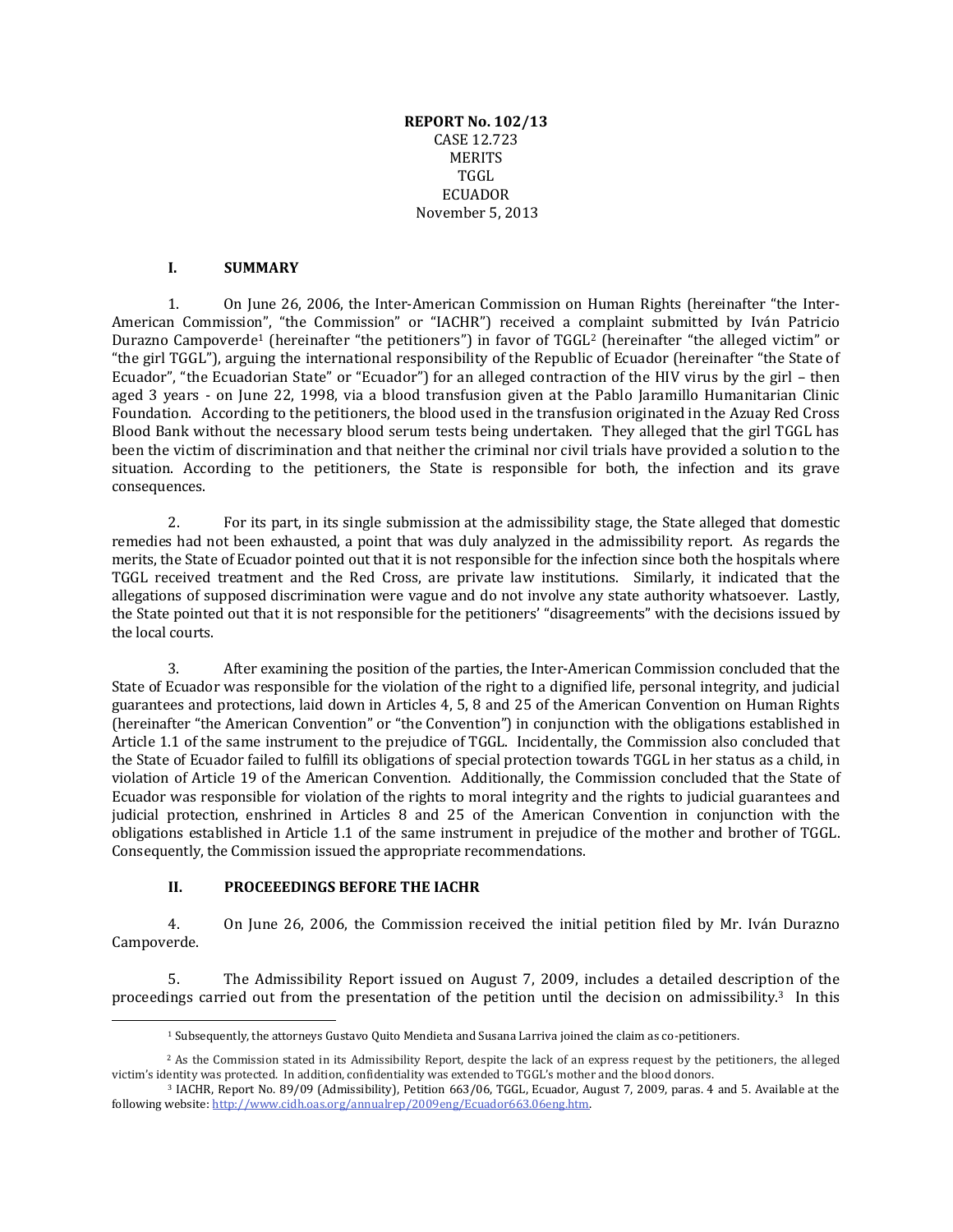**REPORT No. 102/13** CASE 12.723 MERITS TGGL **ECUADOR** November 5, 2013

## **I. SUMMARY**

1. On June 26, 2006, the Inter-American Commission on Human Rights (hereinafter "the Inter-American Commission", "the Commission" or "IACHR") received a complaint submitted by Iván Patricio Durazno Campoverde<sup>1</sup> (hereinafter "the petitioners") in favor of TGGL<sup>2</sup> (hereinafter "the alleged victim" or "the girl TGGL"), arguing the international responsibility of the Republic of Ecuador (hereinafter "the State of Ecuador", "the Ecuadorian State" or "Ecuador") for an alleged contraction of the HIV virus by the girl – then aged 3 years - on June 22, 1998, via a blood transfusion given at the Pablo Jaramillo Humanitarian Clinic Foundation. According to the petitioners, the blood used in the transfusion originated in the Azuay Red Cross Blood Bank without the necessary blood serum tests being undertaken. They alleged that the girl TGGL has been the victim of discrimination and that neither the criminal nor civil trials have provided a solution to the situation. According to the petitioners, the State is responsible for both, the infection and its grave consequences.

2. For its part, in its single submission at the admissibility stage, the State alleged that domestic remedies had not been exhausted, a point that was duly analyzed in the admissibility report. As regards the merits, the State of Ecuador pointed out that it is not responsible for the infection since both the hospitals where TGGL received treatment and the Red Cross, are private law institutions. Similarly, it indicated that the allegations of supposed discrimination were vague and do not involve any state authority whatsoever. Lastly, the State pointed out that it is not responsible for the petitioners' "disagreements" with the decisions issued by the local courts.

3. After examining the position of the parties, the Inter-American Commission concluded that the State of Ecuador was responsible for the violation of the right to a dignified life, personal integrity, and judicial guarantees and protections, laid down in Articles 4, 5, 8 and 25 of the American Convention on Human Rights (hereinafter "the American Convention" or "the Convention") in conjunction with the obligations established in Article 1.1 of the same instrument to the prejudice of TGGL. Incidentally, the Commission also concluded that the State of Ecuador failed to fulfill its obligations of special protection towards TGGL in her status as a child, in violation of Article 19 of the American Convention. Additionally, the Commission concluded that the State of Ecuador was responsible for violation of the rights to moral integrity and the rights to judicial guarantees and judicial protection, enshrined in Articles 8 and 25 of the American Convention in conjunction with the obligations established in Article 1.1 of the same instrument in prejudice of the mother and brother of TGGL. Consequently, the Commission issued the appropriate recommendations.

# **II. PROCEEEDINGS BEFORE THE IACHR**

 $\overline{a}$ 

4. On June 26, 2006, the Commission received the initial petition filed by Mr. Iván Durazno Campoverde.

5. The Admissibility Report issued on August 7, 2009, includes a detailed description of the proceedings carried out from the presentation of the petition until the decision on admissibility.3 In this

<sup>1</sup> Subsequently, the attorneys Gustavo Quito Mendieta and Susana Larriva joined the claim as co-petitioners.

<sup>&</sup>lt;sup>2</sup> As the Commission stated in its Admissibility Report, despite the lack of an express request by the petitioners, the alleged victim's identity was protected. In addition, confidentiality was extended to TGGL's mother and the blood donors.

<sup>3</sup> IACHR, Report No. 89/09 (Admissibility), Petition 663/06, TGGL, Ecuador, August 7, 2009, paras. 4 and 5. Available at the following website[: http://www.cidh.oas.org/annualrep/2009eng/Ecuador663.06eng.htm.](http://www.cidh.oas.org/annualrep/2009eng/Ecuador663.06eng.htm)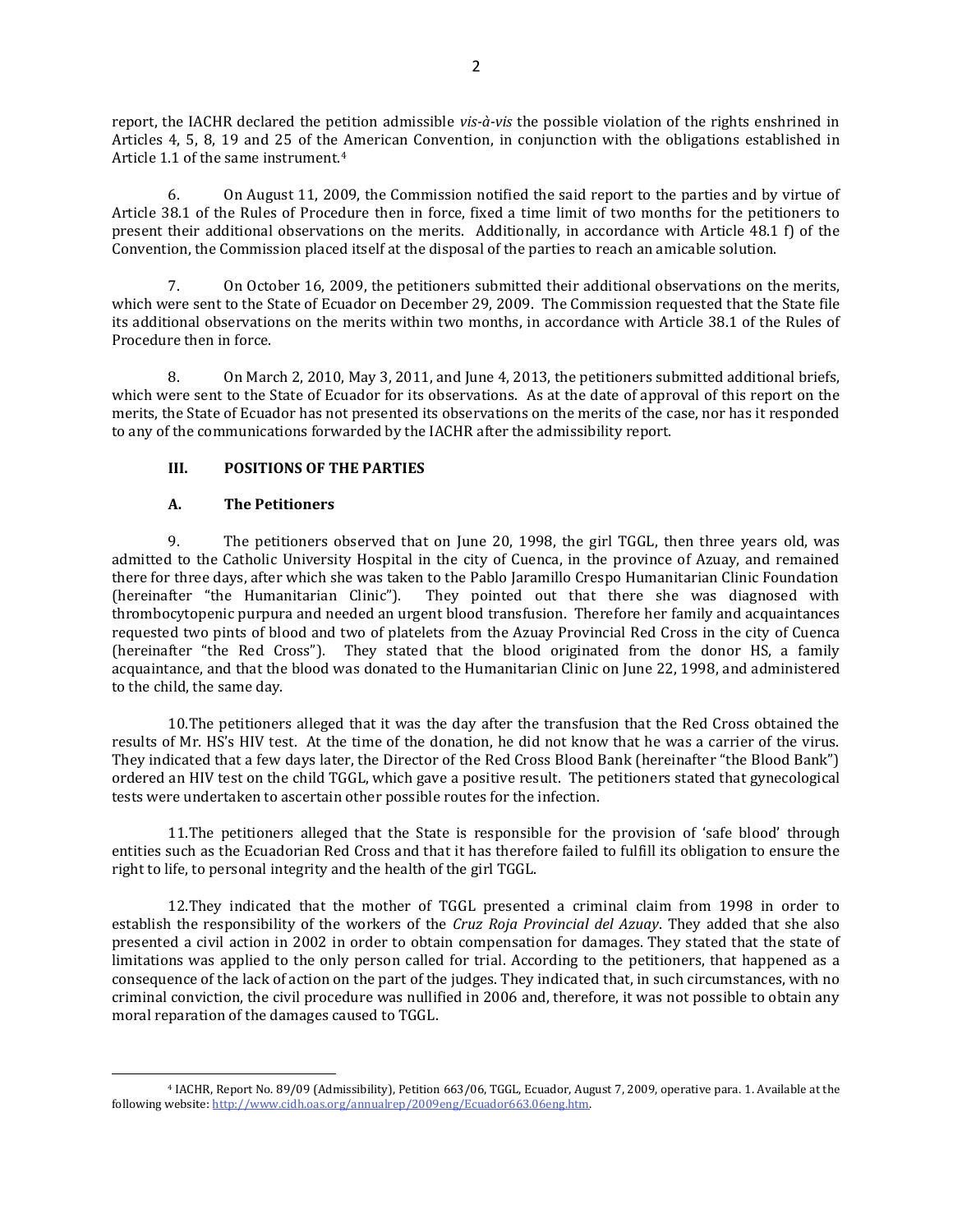report, the IACHR declared the petition admissible *vis-à-vis* the possible violation of the rights enshrined in Articles 4, 5, 8, 19 and 25 of the American Convention, in conjunction with the obligations established in Article 1.1 of the same instrument.<sup>4</sup>

6. On August 11, 2009, the Commission notified the said report to the parties and by virtue of Article 38.1 of the Rules of Procedure then in force, fixed a time limit of two months for the petitioners to present their additional observations on the merits. Additionally, in accordance with Article 48.1 f) of the Convention, the Commission placed itself at the disposal of the parties to reach an amicable solution.

7. On October 16, 2009, the petitioners submitted their additional observations on the merits, which were sent to the State of Ecuador on December 29, 2009. The Commission requested that the State file its additional observations on the merits within two months, in accordance with Article 38.1 of the Rules of Procedure then in force.

8. On March 2, 2010, May 3, 2011, and June 4, 2013, the petitioners submitted additional briefs, which were sent to the State of Ecuador for its observations. As at the date of approval of this report on the merits, the State of Ecuador has not presented its observations on the merits of the case, nor has it responded to any of the communications forwarded by the IACHR after the admissibility report.

# **III. POSITIONS OF THE PARTIES**

# **A. The Petitioners**

 $\overline{a}$ 

9. The petitioners observed that on June 20, 1998, the girl TGGL, then three years old, was admitted to the Catholic University Hospital in the city of Cuenca, in the province of Azuay, and remained there for three days, after which she was taken to the Pablo Jaramillo Crespo Humanitarian Clinic Foundation (hereinafter "the Humanitarian Clinic"). They pointed out that there she was diagnosed with thrombocytopenic purpura and needed an urgent blood transfusion. Therefore her family and acquaintances requested two pints of blood and two of platelets from the Azuay Provincial Red Cross in the city of Cuenca (hereinafter "the Red Cross"). They stated that the blood originated from the donor HS, a family acquaintance, and that the blood was donated to the Humanitarian Clinic on June 22, 1998, and administered to the child, the same day.

10.The petitioners alleged that it was the day after the transfusion that the Red Cross obtained the results of Mr. HS's HIV test. At the time of the donation, he did not know that he was a carrier of the virus. They indicated that a few days later, the Director of the Red Cross Blood Bank (hereinafter "the Blood Bank") ordered an HIV test on the child TGGL, which gave a positive result. The petitioners stated that gynecological tests were undertaken to ascertain other possible routes for the infection.

11.The petitioners alleged that the State is responsible for the provision of 'safe blood' through entities such as the Ecuadorian Red Cross and that it has therefore failed to fulfill its obligation to ensure the right to life, to personal integrity and the health of the girl TGGL.

12.They indicated that the mother of TGGL presented a criminal claim from 1998 in order to establish the responsibility of the workers of the *Cruz Roja Provincial del Azuay*. They added that she also presented a civil action in 2002 in order to obtain compensation for damages. They stated that the state of limitations was applied to the only person called for trial. According to the petitioners, that happened as a consequence of the lack of action on the part of the judges. They indicated that, in such circumstances, with no criminal conviction, the civil procedure was nullified in 2006 and, therefore, it was not possible to obtain any moral reparation of the damages caused to TGGL.

<sup>4</sup> IACHR, Report No. 89/09 (Admissibility), Petition 663/06, TGGL, Ecuador, August 7, 2009, operative para. 1. Available at the following website[: http://www.cidh.oas.org/annualrep/2009eng/Ecuador663.06eng.htm.](http://www.cidh.oas.org/annualrep/2009eng/Ecuador663.06eng.htm)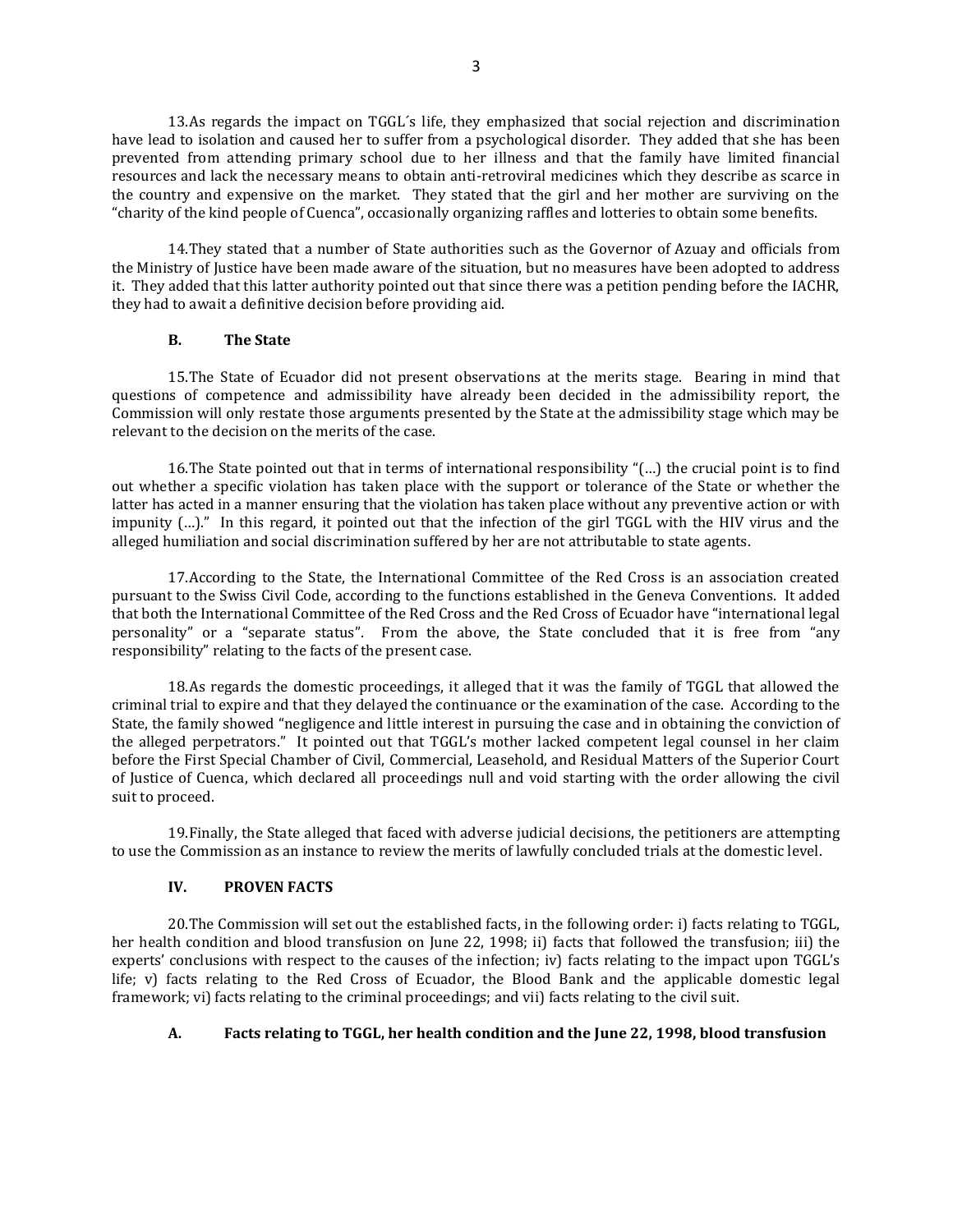13.As regards the impact on TGGL´s life, they emphasized that social rejection and discrimination have lead to isolation and caused her to suffer from a psychological disorder. They added that she has been prevented from attending primary school due to her illness and that the family have limited financial resources and lack the necessary means to obtain anti-retroviral medicines which they describe as scarce in the country and expensive on the market. They stated that the girl and her mother are surviving on the "charity of the kind people of Cuenca", occasionally organizing raffles and lotteries to obtain some benefits.

14.They stated that a number of State authorities such as the Governor of Azuay and officials from the Ministry of Justice have been made aware of the situation, but no measures have been adopted to address it. They added that this latter authority pointed out that since there was a petition pending before the IACHR, they had to await a definitive decision before providing aid.

#### **B. The State**

15.The State of Ecuador did not present observations at the merits stage. Bearing in mind that questions of competence and admissibility have already been decided in the admissibility report, the Commission will only restate those arguments presented by the State at the admissibility stage which may be relevant to the decision on the merits of the case.

16.The State pointed out that in terms of international responsibility "(…) the crucial point is to find out whether a specific violation has taken place with the support or tolerance of the State or whether the latter has acted in a manner ensuring that the violation has taken place without any preventive action or with impunity (…)." In this regard, it pointed out that the infection of the girl TGGL with the HIV virus and the alleged humiliation and social discrimination suffered by her are not attributable to state agents.

17.According to the State, the International Committee of the Red Cross is an association created pursuant to the Swiss Civil Code, according to the functions established in the Geneva Conventions. It added that both the International Committee of the Red Cross and the Red Cross of Ecuador have "international legal personality" or a "separate status". From the above, the State concluded that it is free from "any responsibility" relating to the facts of the present case.

18.As regards the domestic proceedings, it alleged that it was the family of TGGL that allowed the criminal trial to expire and that they delayed the continuance or the examination of the case. According to the State, the family showed "negligence and little interest in pursuing the case and in obtaining the conviction of the alleged perpetrators." It pointed out that TGGL's mother lacked competent legal counsel in her claim before the First Special Chamber of Civil, Commercial, Leasehold, and Residual Matters of the Superior Court of Justice of Cuenca, which declared all proceedings null and void starting with the order allowing the civil suit to proceed.

19.Finally, the State alleged that faced with adverse judicial decisions, the petitioners are attempting to use the Commission as an instance to review the merits of lawfully concluded trials at the domestic level.

# **IV. PROVEN FACTS**

20.The Commission will set out the established facts, in the following order: i) facts relating to TGGL, her health condition and blood transfusion on June 22, 1998; ii) facts that followed the transfusion; iii) the experts' conclusions with respect to the causes of the infection; iv) facts relating to the impact upon TGGL's life; v) facts relating to the Red Cross of Ecuador, the Blood Bank and the applicable domestic legal framework; vi) facts relating to the criminal proceedings; and vii) facts relating to the civil suit.

# **A. Facts relating to TGGL, her health condition and the June 22, 1998, blood transfusion**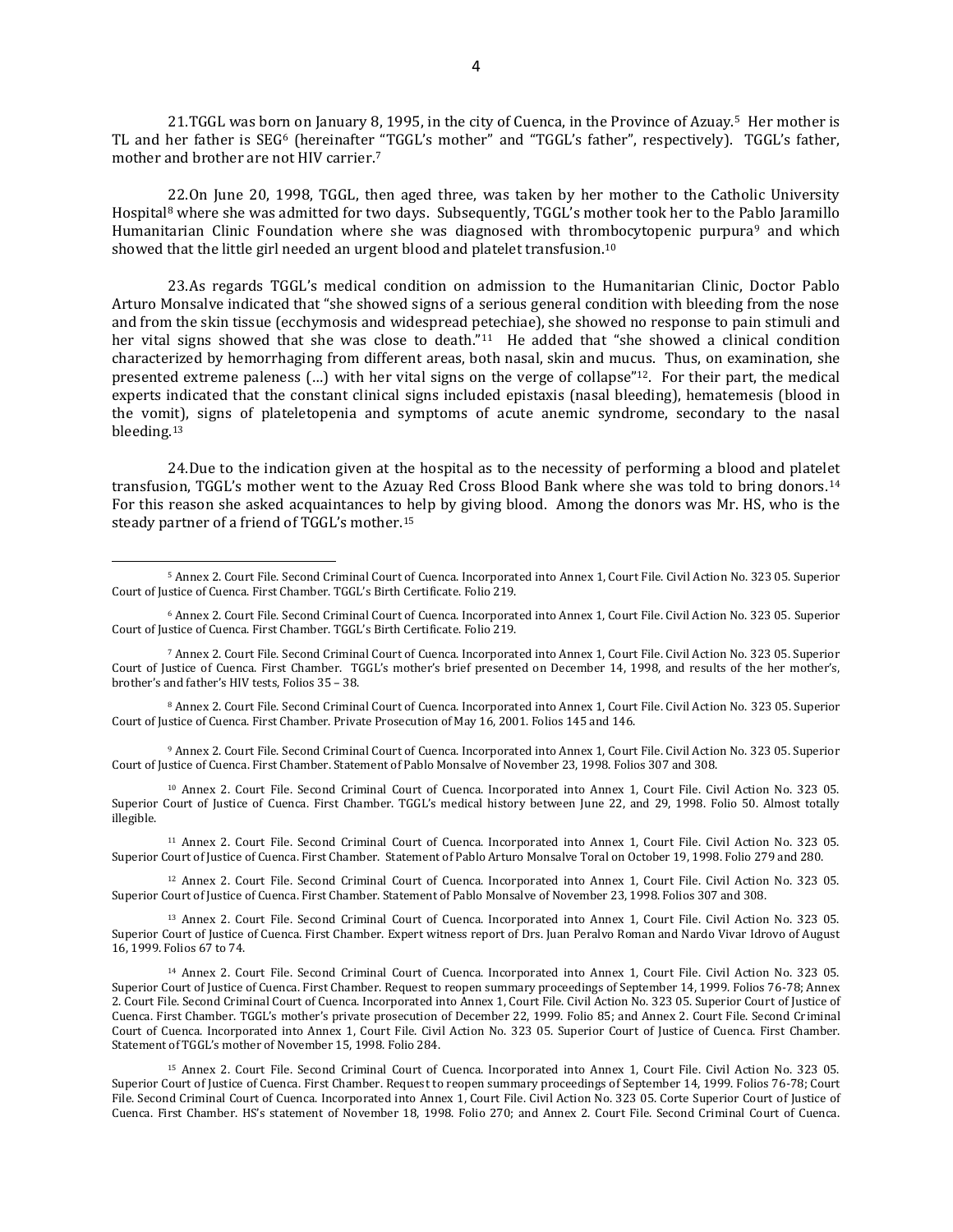21.TGGL was born on January 8, 1995, in the city of Cuenca, in the Province of Azuay.<sup>5</sup> Her mother is TL and her father is SEG<sup>6</sup> (hereinafter "TGGL's mother" and "TGGL's father", respectively). TGGL's father, mother and brother are not HIV carrier. 7

22.On June 20, 1998, TGGL, then aged three, was taken by her mother to the Catholic University Hospital<sup>8</sup> where she was admitted for two days. Subsequently, TGGL's mother took her to the Pablo Jaramillo Humanitarian Clinic Foundation where she was diagnosed with thrombocytopenic purpura<sup>9</sup> and which showed that the little girl needed an urgent blood and platelet transfusion.<sup>10</sup>

23.As regards TGGL's medical condition on admission to the Humanitarian Clinic, Doctor Pablo Arturo Monsalve indicated that "she showed signs of a serious general condition with bleeding from the nose and from the skin tissue (ecchymosis and widespread petechiae), she showed no response to pain stimuli and her vital signs showed that she was close to death."<sup>11</sup> He added that "she showed a clinical condition characterized by hemorrhaging from different areas, both nasal, skin and mucus. Thus, on examination, she presented extreme paleness (...) with her vital signs on the verge of collapse"<sup>12</sup>. For their part, the medical experts indicated that the constant clinical signs included epistaxis (nasal bleeding), hematemesis (blood in the vomit), signs of plateletopenia and symptoms of acute anemic syndrome, secondary to the nasal bleeding.<sup>13</sup>

24.Due to the indication given at the hospital as to the necessity of performing a blood and platelet transfusion, TGGL's mother went to the Azuay Red Cross Blood Bank where she was told to bring donors.<sup>14</sup> For this reason she asked acquaintances to help by giving blood. Among the donors was Mr. HS, who is the steady partner of a friend of TGGL's mother.<sup>15</sup>

<sup>8</sup> Annex 2. Court File. Second Criminal Court of Cuenca. Incorporated into Annex 1, Court File. Civil Action No. 323 05. Superior Court of Justice of Cuenca. First Chamber. Private Prosecution of May 16, 2001. Folios 145 and 146.

<sup>9</sup> Annex 2. Court File. Second Criminal Court of Cuenca. Incorporated into Annex 1, Court File. Civil Action No. 323 05. Superior Court of Justice of Cuenca. First Chamber. Statement of Pablo Monsalve of November 23, 1998. Folios 307 and 308.

<sup>10</sup> Annex 2. Court File. Second Criminal Court of Cuenca. Incorporated into Annex 1, Court File. Civil Action No. 323 05. Superior Court of Justice of Cuenca. First Chamber. TGGL's medical history between June 22, and 29, 1998. Folio 50. Almost totally illegible.

<sup>11</sup> Annex 2. Court File. Second Criminal Court of Cuenca. Incorporated into Annex 1, Court File. Civil Action No. 323 05. Superior Court of Justice of Cuenca. First Chamber. Statement of Pablo Arturo Monsalve Toral on October 19, 1998. Folio 279 and 280.

<sup>12</sup> Annex 2. Court File. Second Criminal Court of Cuenca. Incorporated into Annex 1, Court File. Civil Action No. 323 05. Superior Court of Justice of Cuenca. First Chamber. Statement of Pablo Monsalve of November 23, 1998. Folios 307 and 308.

<sup>13</sup> Annex 2. Court File. Second Criminal Court of Cuenca. Incorporated into Annex 1, Court File. Civil Action No. 323 05. Superior Court of Justice of Cuenca. First Chamber. Expert witness report of Drs. Juan Peralvo Roman and Nardo Vivar Idrovo of August 16, 1999. Folios 67 to 74.

<sup>14</sup> Annex 2. Court File. Second Criminal Court of Cuenca. Incorporated into Annex 1, Court File. Civil Action No. 323 05. Superior Court of Justice of Cuenca. First Chamber. Request to reopen summary proceedings of September 14, 1999. Folios 76-78; Annex 2. Court File. Second Criminal Court of Cuenca. Incorporated into Annex 1, Court File. Civil Action No. 323 05. Superior Court of Justice of Cuenca. First Chamber. TGGL's mother's private prosecution of December 22, 1999. Folio 85; and Annex 2. Court File. Second Criminal Court of Cuenca. Incorporated into Annex 1, Court File. Civil Action No. 323 05. Superior Court of Justice of Cuenca. First Chamber. Statement of TGGL's mother of November 15, 1998. Folio 284.

<sup>15</sup> Annex 2. Court File. Second Criminal Court of Cuenca. Incorporated into Annex 1, Court File. Civil Action No. 323 05. Superior Court of Justice of Cuenca. First Chamber. Request to reopen summary proceedings of September 14, 1999. Folios 76-78; Court File. Second Criminal Court of Cuenca. Incorporated into Annex 1, Court File. Civil Action No. 323 05. Corte Superior Court of Justice of Cuenca. First Chamber. HS's statement of November 18, 1998. Folio 270; and Annex 2. Court File. Second Criminal Court of Cuenca.

<sup>5</sup> Annex 2. Court File. Second Criminal Court of Cuenca. Incorporated into Annex 1, Court File. Civil Action No. 323 05. Superior Court of Justice of Cuenca. First Chamber. TGGL's Birth Certificate. Folio 219.

<sup>6</sup> Annex 2. Court File. Second Criminal Court of Cuenca. Incorporated into Annex 1, Court File. Civil Action No. 323 05. Superior Court of Justice of Cuenca. First Chamber. TGGL's Birth Certificate. Folio 219.

<sup>7</sup> Annex 2. Court File. Second Criminal Court of Cuenca. Incorporated into Annex 1, Court File. Civil Action No. 323 05. Superior Court of Justice of Cuenca. First Chamber. TGGL's mother's brief presented on December 14, 1998, and results of the her mother's, brother's and father's HIV tests, Folios 35 – 38.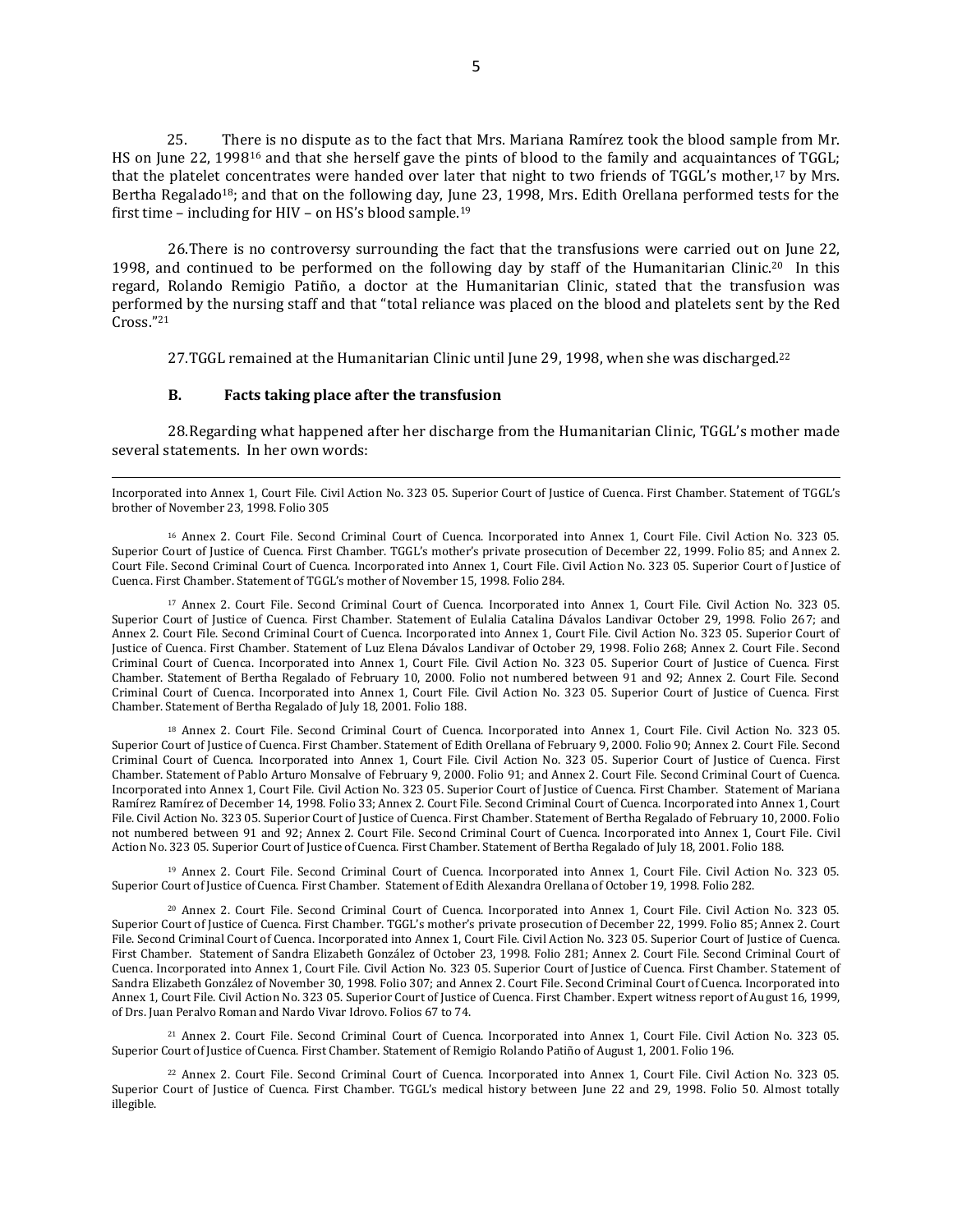25. There is no dispute as to the fact that Mrs. Mariana Ramírez took the blood sample from Mr. HS on June 22, 1998<sup>16</sup> and that she herself gave the pints of blood to the family and acquaintances of TGGL; that the platelet concentrates were handed over later that night to two friends of TGGL's mother,<sup>17</sup> by Mrs. Bertha Regalado<sup>18</sup>; and that on the following day, June 23, 1998, Mrs. Edith Orellana performed tests for the first time – including for HIV – on HS's blood sample.<sup>19</sup>

26.There is no controversy surrounding the fact that the transfusions were carried out on June 22, 1998, and continued to be performed on the following day by staff of the Humanitarian Clinic.<sup>20</sup> In this regard, Rolando Remigio Patiño, a doctor at the Humanitarian Clinic, stated that the transfusion was performed by the nursing staff and that "total reliance was placed on the blood and platelets sent by the Red Cross."<sup>21</sup>

27.TGGL remained at the Humanitarian Clinic until June 29, 1998, when she was discharged.<sup>22</sup>

## **B. Facts taking place after the transfusion**

28.Regarding what happened after her discharge from the Humanitarian Clinic, TGGL's mother made several statements. In her own words:

Incorporated into Annex 1, Court File. Civil Action No. 323 05. Superior Court of Justice of Cuenca. First Chamber. Statement of TGGL's brother of November 23, 1998. Folio 305

<sup>16</sup> Annex 2. Court File. Second Criminal Court of Cuenca. Incorporated into Annex 1, Court File. Civil Action No. 323 05. Superior Court of Justice of Cuenca. First Chamber. TGGL's mother's private prosecution of December 22, 1999. Folio 85; and Annex 2. Court File. Second Criminal Court of Cuenca. Incorporated into Annex 1, Court File. Civil Action No. 323 05. Superior Court of Justice of Cuenca. First Chamber. Statement of TGGL's mother of November 15, 1998. Folio 284.

<sup>17</sup> Annex 2. Court File. Second Criminal Court of Cuenca. Incorporated into Annex 1, Court File. Civil Action No. 323 05. Superior Court of Justice of Cuenca. First Chamber. Statement of Eulalia Catalina Dávalos Landivar October 29, 1998. Folio 267; and Annex 2. Court File. Second Criminal Court of Cuenca. Incorporated into Annex 1, Court File. Civil Action No. 323 05. Superior Court of Justice of Cuenca. First Chamber. Statement of Luz Elena Dávalos Landivar of October 29, 1998. Folio 268; Annex 2. Court File. Second Criminal Court of Cuenca. Incorporated into Annex 1, Court File. Civil Action No. 323 05. Superior Court of Justice of Cuenca. First Chamber. Statement of Bertha Regalado of February 10, 2000. Folio not numbered between 91 and 92; Annex 2. Court File. Second Criminal Court of Cuenca. Incorporated into Annex 1, Court File. Civil Action No. 323 05. Superior Court of Justice of Cuenca. First Chamber. Statement of Bertha Regalado of July 18, 2001. Folio 188.

<sup>18</sup> Annex 2. Court File. Second Criminal Court of Cuenca. Incorporated into Annex 1, Court File. Civil Action No. 323 05. Superior Court of Justice of Cuenca. First Chamber. Statement of Edith Orellana of February 9, 2000. Folio 90; Annex 2. Court File. Second Criminal Court of Cuenca. Incorporated into Annex 1, Court File. Civil Action No. 323 05. Superior Court of Justice of Cuenca. First Chamber. Statement of Pablo Arturo Monsalve of February 9, 2000. Folio 91; and Annex 2. Court File. Second Criminal Court of Cuenca. Incorporated into Annex 1, Court File. Civil Action No. 323 05. Superior Court of Justice of Cuenca. First Chamber. Statement of Mariana Ramírez Ramírez of December 14, 1998. Folio 33; Annex 2. Court File. Second Criminal Court of Cuenca. Incorporated into Annex 1, Court File. Civil Action No. 323 05. Superior Court of Justice of Cuenca. First Chamber. Statement of Bertha Regalado of February 10, 2000. Folio not numbered between 91 and 92; Annex 2. Court File. Second Criminal Court of Cuenca. Incorporated into Annex 1, Court File. Civil Action No. 323 05. Superior Court of Justice of Cuenca. First Chamber. Statement of Bertha Regalado of July 18, 2001. Folio 188.

<sup>19</sup> Annex 2. Court File. Second Criminal Court of Cuenca. Incorporated into Annex 1, Court File. Civil Action No. 323 05. Superior Court of Justice of Cuenca. First Chamber. Statement of Edith Alexandra Orellana of October 19, 1998. Folio 282.

<sup>20</sup> Annex 2. Court File. Second Criminal Court of Cuenca. Incorporated into Annex 1, Court File. Civil Action No. 323 05. Superior Court of Justice of Cuenca. First Chamber. TGGL's mother's private prosecution of December 22, 1999. Folio 85; Annex 2. Court File. Second Criminal Court of Cuenca. Incorporated into Annex 1, Court File. Civil Action No. 323 05. Superior Court of Justice of Cuenca. First Chamber. Statement of Sandra Elizabeth González of October 23, 1998. Folio 281; Annex 2. Court File. Second Criminal Court of Cuenca. Incorporated into Annex 1, Court File. Civil Action No. 323 05. Superior Court of Justice of Cuenca. First Chamber. Statement of Sandra Elizabeth González of November 30, 1998. Folio 307; and Annex 2. Court File. Second Criminal Court of Cuenca. Incorporated into Annex 1, Court File. Civil Action No. 323 05. Superior Court of Justice of Cuenca. First Chamber. Expert witness report of August 16, 1999, of Drs. Juan Peralvo Roman and Nardo Vivar Idrovo. Folios 67 to 74.

<sup>21</sup> Annex 2. Court File. Second Criminal Court of Cuenca. Incorporated into Annex 1, Court File. Civil Action No. 323 05. Superior Court of Justice of Cuenca. First Chamber. Statement of Remigio Rolando Patiño of August 1, 2001. Folio 196.

<sup>22</sup> Annex 2. Court File. Second Criminal Court of Cuenca. Incorporated into Annex 1, Court File. Civil Action No. 323 05. Superior Court of Justice of Cuenca. First Chamber. TGGL's medical history between June 22 and 29, 1998. Folio 50. Almost totally illegible.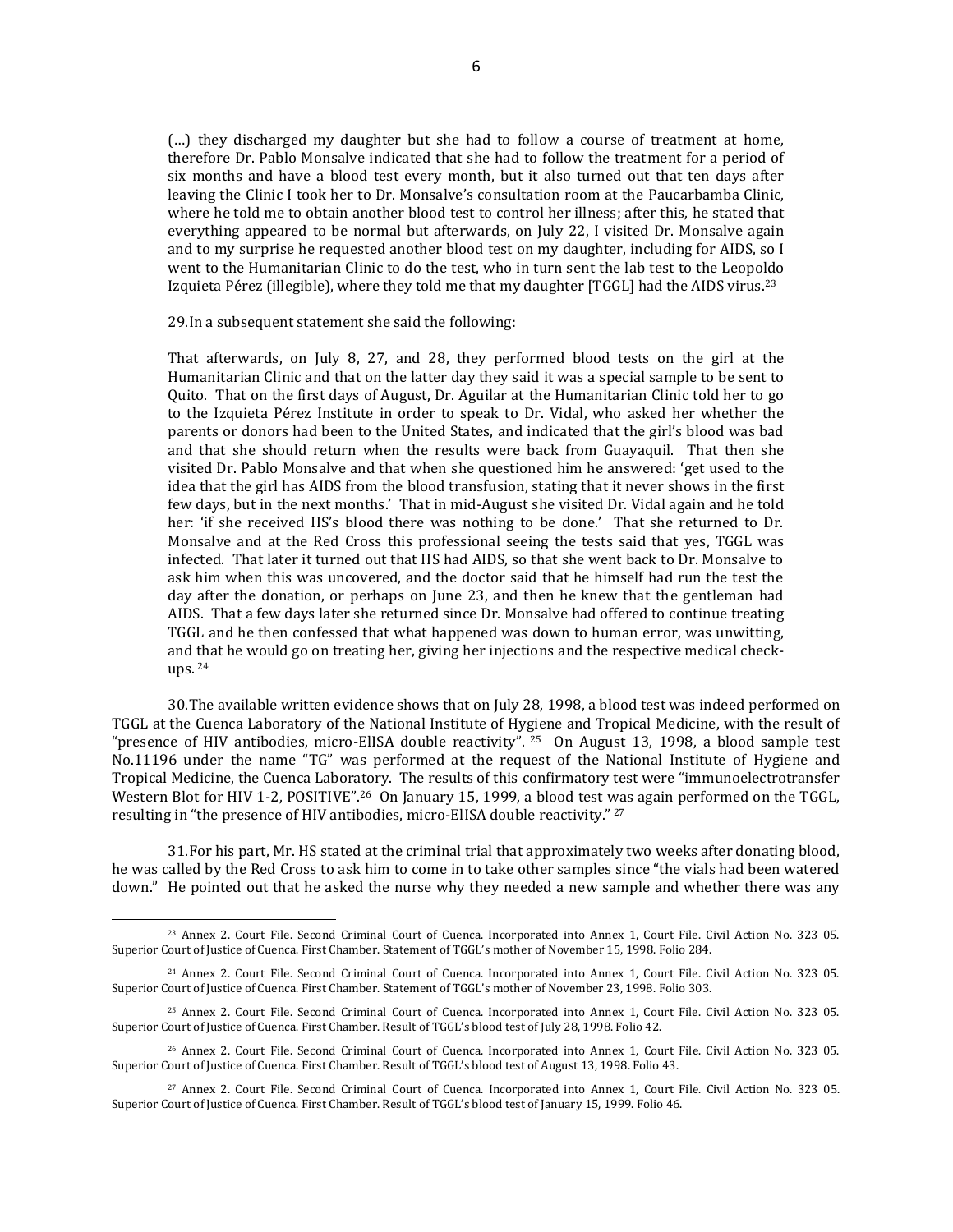(…) they discharged my daughter but she had to follow a course of treatment at home, therefore Dr. Pablo Monsalve indicated that she had to follow the treatment for a period of six months and have a blood test every month, but it also turned out that ten days after leaving the Clinic I took her to Dr. Monsalve's consultation room at the Paucarbamba Clinic, where he told me to obtain another blood test to control her illness; after this, he stated that everything appeared to be normal but afterwards, on July 22, I visited Dr. Monsalve again and to my surprise he requested another blood test on my daughter, including for AIDS, so I went to the Humanitarian Clinic to do the test, who in turn sent the lab test to the Leopoldo Izquieta Pérez (illegible), where they told me that my daughter  $[TGGL]$  had the AIDS virus.<sup>23</sup>

29.In a subsequent statement she said the following:

 $\overline{a}$ 

That afterwards, on July 8, 27, and 28, they performed blood tests on the girl at the Humanitarian Clinic and that on the latter day they said it was a special sample to be sent to Quito. That on the first days of August, Dr. Aguilar at the Humanitarian Clinic told her to go to the Izquieta Pérez Institute in order to speak to Dr. Vidal, who asked her whether the parents or donors had been to the United States, and indicated that the girl's blood was bad and that she should return when the results were back from Guayaquil. That then she visited Dr. Pablo Monsalve and that when she questioned him he answered: 'get used to the idea that the girl has AIDS from the blood transfusion, stating that it never shows in the first few days, but in the next months.' That in mid-August she visited Dr. Vidal again and he told her: 'if she received HS's blood there was nothing to be done.' That she returned to Dr. Monsalve and at the Red Cross this professional seeing the tests said that yes, TGGL was infected. That later it turned out that HS had AIDS, so that she went back to Dr. Monsalve to ask him when this was uncovered, and the doctor said that he himself had run the test the day after the donation, or perhaps on June 23, and then he knew that the gentleman had AIDS. That a few days later she returned since Dr. Monsalve had offered to continue treating TGGL and he then confessed that what happened was down to human error, was unwitting, and that he would go on treating her, giving her injections and the respective medical checkups. <sup>24</sup>

30.The available written evidence shows that on July 28, 1998, a blood test was indeed performed on TGGL at the Cuenca Laboratory of the National Institute of Hygiene and Tropical Medicine, with the result of "presence of HIV antibodies, micro-ElISA double reactivity". <sup>25</sup> On August 13, 1998, a blood sample test No.11196 under the name "TG" was performed at the request of the National Institute of Hygiene and Tropical Medicine, the Cuenca Laboratory. The results of this confirmatory test were "immunoelectrotransfer Western Blot for HIV 1-2, POSITIVE".<sup>26</sup> On January 15, 1999, a blood test was again performed on the TGGL, resulting in "the presence of HIV antibodies, micro-ElISA double reactivity." <sup>27</sup>

31.For his part, Mr. HS stated at the criminal trial that approximately two weeks after donating blood, he was called by the Red Cross to ask him to come in to take other samples since "the vials had been watered down." He pointed out that he asked the nurse why they needed a new sample and whether there was any

<sup>23</sup> Annex 2. Court File. Second Criminal Court of Cuenca. Incorporated into Annex 1, Court File. Civil Action No. 323 05. Superior Court of Justice of Cuenca. First Chamber. Statement of TGGL's mother of November 15, 1998. Folio 284.

<sup>24</sup> Annex 2. Court File. Second Criminal Court of Cuenca. Incorporated into Annex 1, Court File. Civil Action No. 323 05. Superior Court of Justice of Cuenca. First Chamber. Statement of TGGL's mother of November 23, 1998. Folio 303.

<sup>25</sup> Annex 2. Court File. Second Criminal Court of Cuenca. Incorporated into Annex 1, Court File. Civil Action No. 323 05. Superior Court of Justice of Cuenca. First Chamber. Result of TGGL's blood test of July 28, 1998. Folio 42.

<sup>26</sup> Annex 2. Court File. Second Criminal Court of Cuenca. Incorporated into Annex 1, Court File. Civil Action No. 323 05. Superior Court of Justice of Cuenca. First Chamber. Result of TGGL's blood test of August 13, 1998. Folio 43.

<sup>27</sup> Annex 2. Court File. Second Criminal Court of Cuenca. Incorporated into Annex 1, Court File. Civil Action No. 323 05. Superior Court of Justice of Cuenca. First Chamber. Result of TGGL's blood test of January 15, 1999. Folio 46.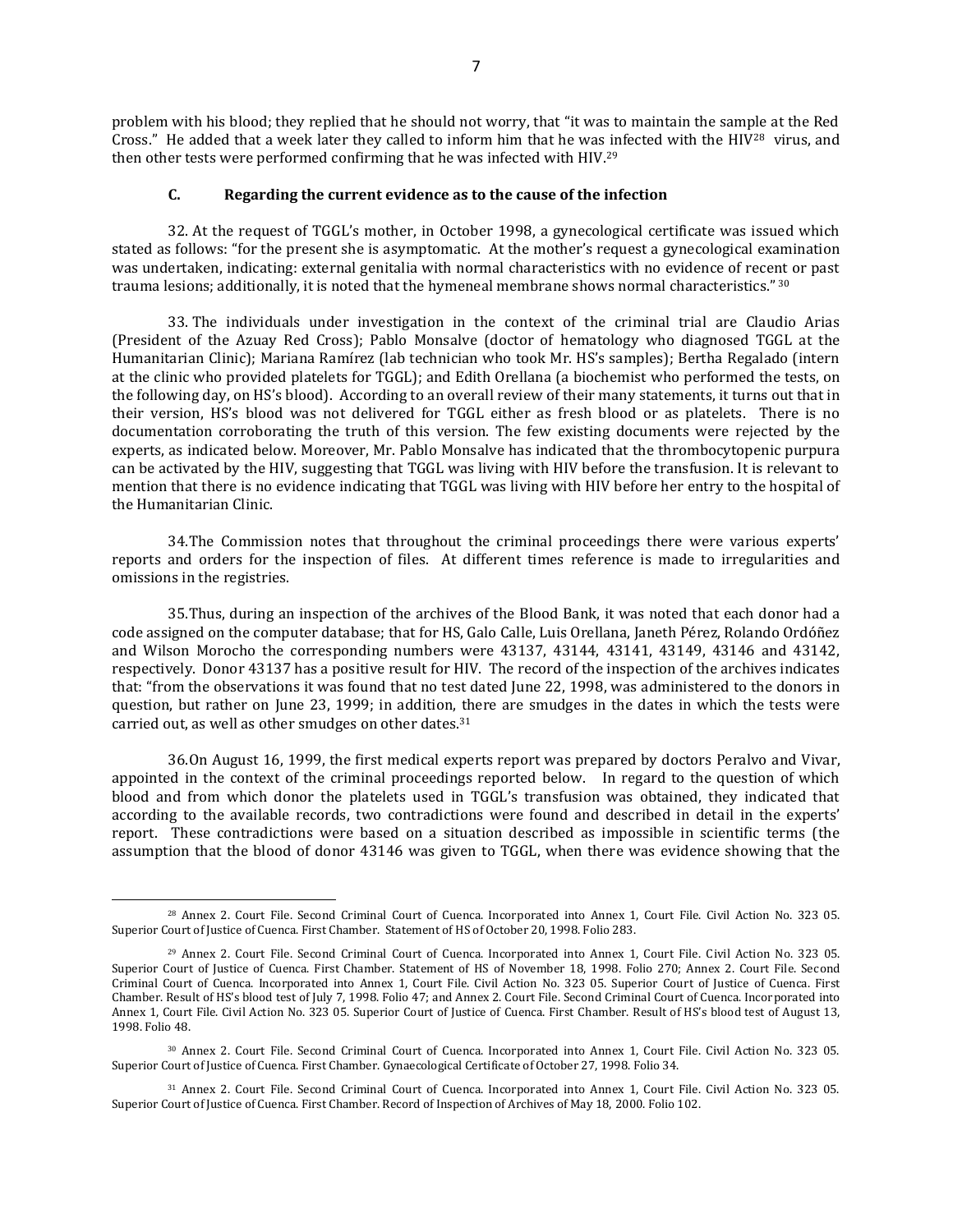problem with his blood; they replied that he should not worry, that "it was to maintain the sample at the Red Cross." He added that a week later they called to inform him that he was infected with the HIV<sup>28</sup> virus, and then other tests were performed confirming that he was infected with HIV.<sup>29</sup>

#### **C. Regarding the current evidence as to the cause of the infection**

32. At the request of TGGL's mother, in October 1998, a gynecological certificate was issued which stated as follows: "for the present she is asymptomatic. At the mother's request a gynecological examination was undertaken, indicating: external genitalia with normal characteristics with no evidence of recent or past trauma lesions; additionally, it is noted that the hymeneal membrane shows normal characteristics." 30

33. The individuals under investigation in the context of the criminal trial are Claudio Arias (President of the Azuay Red Cross); Pablo Monsalve (doctor of hematology who diagnosed TGGL at the Humanitarian Clinic); Mariana Ramírez (lab technician who took Mr. HS's samples); Bertha Regalado (intern at the clinic who provided platelets for TGGL); and Edith Orellana (a biochemist who performed the tests, on the following day, on HS's blood). According to an overall review of their many statements, it turns out that in their version, HS's blood was not delivered for TGGL either as fresh blood or as platelets. There is no documentation corroborating the truth of this version. The few existing documents were rejected by the experts, as indicated below. Moreover, Mr. Pablo Monsalve has indicated that the thrombocytopenic purpura can be activated by the HIV, suggesting that TGGL was living with HIV before the transfusion. It is relevant to mention that there is no evidence indicating that TGGL was living with HIV before her entry to the hospital of the Humanitarian Clinic.

34.The Commission notes that throughout the criminal proceedings there were various experts' reports and orders for the inspection of files. At different times reference is made to irregularities and omissions in the registries.

35.Thus, during an inspection of the archives of the Blood Bank, it was noted that each donor had a code assigned on the computer database; that for HS, Galo Calle, Luis Orellana, Janeth Pérez, Rolando Ordóñez and Wilson Morocho the corresponding numbers were 43137, 43144, 43141, 43149, 43146 and 43142, respectively. Donor 43137 has a positive result for HIV. The record of the inspection of the archives indicates that: "from the observations it was found that no test dated June 22, 1998, was administered to the donors in question, but rather on June 23, 1999; in addition, there are smudges in the dates in which the tests were carried out, as well as other smudges on other dates.<sup>31</sup>

36.On August 16, 1999, the first medical experts report was prepared by doctors Peralvo and Vivar, appointed in the context of the criminal proceedings reported below. In regard to the question of which blood and from which donor the platelets used in TGGL's transfusion was obtained, they indicated that according to the available records, two contradictions were found and described in detail in the experts' report. These contradictions were based on a situation described as impossible in scientific terms (the assumption that the blood of donor 43146 was given to TGGL, when there was evidence showing that the

<sup>28</sup> Annex 2. Court File. Second Criminal Court of Cuenca. Incorporated into Annex 1, Court File. Civil Action No. 323 05. Superior Court of Justice of Cuenca. First Chamber. Statement of HS of October 20, 1998. Folio 283.

<sup>29</sup> Annex 2. Court File. Second Criminal Court of Cuenca. Incorporated into Annex 1, Court File. Civil Action No. 323 05. Superior Court of Justice of Cuenca. First Chamber. Statement of HS of November 18, 1998. Folio 270; Annex 2. Court File. Second Criminal Court of Cuenca. Incorporated into Annex 1, Court File. Civil Action No. 323 05. Superior Court of Justice of Cuenca. First Chamber. Result of HS's blood test of July 7, 1998. Folio 47; and Annex 2. Court File. Second Criminal Court of Cuenca. Incorporated into Annex 1, Court File. Civil Action No. 323 05. Superior Court of Justice of Cuenca. First Chamber. Result of HS's blood test of August 13, 1998. Folio 48.

<sup>30</sup> Annex 2. Court File. Second Criminal Court of Cuenca. Incorporated into Annex 1, Court File. Civil Action No. 323 05. Superior Court of Justice of Cuenca. First Chamber. Gynaecological Certificate of October 27, 1998. Folio 34.

<sup>31</sup> Annex 2. Court File. Second Criminal Court of Cuenca. Incorporated into Annex 1, Court File. Civil Action No. 323 05. Superior Court of Justice of Cuenca. First Chamber. Record of Inspection of Archives of May 18, 2000. Folio 102.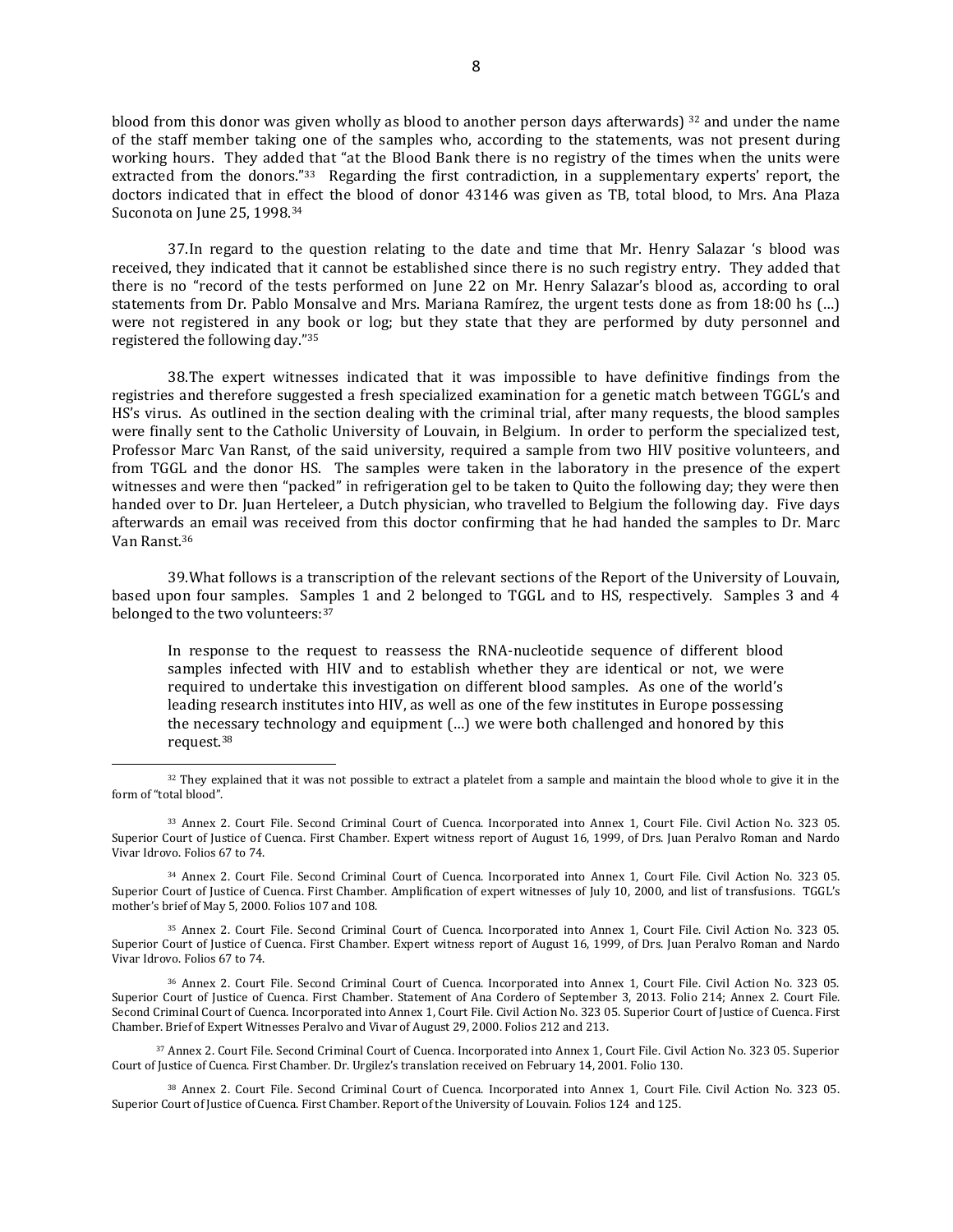blood from this donor was given wholly as blood to another person days afterwards) <sup>32</sup> and under the name of the staff member taking one of the samples who, according to the statements, was not present during working hours. They added that "at the Blood Bank there is no registry of the times when the units were extracted from the donors."<sup>33</sup> Regarding the first contradiction, in a supplementary experts' report, the doctors indicated that in effect the blood of donor 43146 was given as TB, total blood, to Mrs. Ana Plaza Suconota on June 25, 1998.<sup>34</sup>

37.In regard to the question relating to the date and time that Mr. Henry Salazar 's blood was received, they indicated that it cannot be established since there is no such registry entry. They added that there is no "record of the tests performed on June 22 on Mr. Henry Salazar's blood as, according to oral statements from Dr. Pablo Monsalve and Mrs. Mariana Ramírez, the urgent tests done as from 18:00 hs (…) were not registered in any book or log; but they state that they are performed by duty personnel and registered the following day."<sup>35</sup>

38.The expert witnesses indicated that it was impossible to have definitive findings from the registries and therefore suggested a fresh specialized examination for a genetic match between TGGL's and HS's virus. As outlined in the section dealing with the criminal trial, after many requests, the blood samples were finally sent to the Catholic University of Louvain, in Belgium. In order to perform the specialized test, Professor Marc Van Ranst, of the said university, required a sample from two HIV positive volunteers, and from TGGL and the donor HS. The samples were taken in the laboratory in the presence of the expert witnesses and were then "packed" in refrigeration gel to be taken to Quito the following day; they were then handed over to Dr. Juan Herteleer, a Dutch physician, who travelled to Belgium the following day. Five days afterwards an email was received from this doctor confirming that he had handed the samples to Dr. Marc Van Ranst.<sup>36</sup>

39.What follows is a transcription of the relevant sections of the Report of the University of Louvain, based upon four samples. Samples 1 and 2 belonged to TGGL and to HS, respectively. Samples 3 and 4 belonged to the two volunteers: 37

In response to the request to reassess the RNA-nucleotide sequence of different blood samples infected with HIV and to establish whether they are identical or not, we were required to undertake this investigation on different blood samples. As one of the world's leading research institutes into HIV, as well as one of the few institutes in Europe possessing the necessary technology and equipment (…) we were both challenged and honored by this request.<sup>38</sup>

<sup>34</sup> Annex 2. Court File. Second Criminal Court of Cuenca. Incorporated into Annex 1, Court File. Civil Action No. 323 05. Superior Court of Justice of Cuenca. First Chamber. Amplification of expert witnesses of July 10, 2000, and list of transfusions. TGGL's mother's brief of May 5, 2000. Folios 107 and 108.

<sup>35</sup> Annex 2. Court File. Second Criminal Court of Cuenca. Incorporated into Annex 1, Court File. Civil Action No. 323 05. Superior Court of Justice of Cuenca. First Chamber. Expert witness report of August 16, 1999, of Drs. Juan Peralvo Roman and Nardo Vivar Idrovo. Folios 67 to 74.

<sup>36</sup> Annex 2. Court File. Second Criminal Court of Cuenca. Incorporated into Annex 1, Court File. Civil Action No. 323 05. Superior Court of Justice of Cuenca. First Chamber. Statement of Ana Cordero of September 3, 2013. Folio 214; Annex 2. Court File. Second Criminal Court of Cuenca. Incorporated into Annex 1, Court File. Civil Action No. 323 05. Superior Court of Justice of Cuenca. First Chamber. Brief of Expert Witnesses Peralvo and Vivar of August 29, 2000. Folios 212 and 213.

<sup>37</sup> Annex 2. Court File. Second Criminal Court of Cuenca. Incorporated into Annex 1, Court File. Civil Action No. 323 05. Superior Court of Justice of Cuenca. First Chamber. Dr. Urgilez's translation received on February 14, 2001. Folio 130.

<sup>38</sup> Annex 2. Court File. Second Criminal Court of Cuenca. Incorporated into Annex 1, Court File. Civil Action No. 323 05. Superior Court of Justice of Cuenca. First Chamber. Report of the University of Louvain. Folios 124 and 125.

<sup>32</sup> They explained that it was not possible to extract a platelet from a sample and maintain the blood whole to give it in the form of "total blood".

<sup>33</sup> Annex 2. Court File. Second Criminal Court of Cuenca. Incorporated into Annex 1, Court File. Civil Action No. 323 05. Superior Court of Justice of Cuenca. First Chamber. Expert witness report of August 16, 1999, of Drs. Juan Peralvo Roman and Nardo Vivar Idrovo. Folios 67 to 74.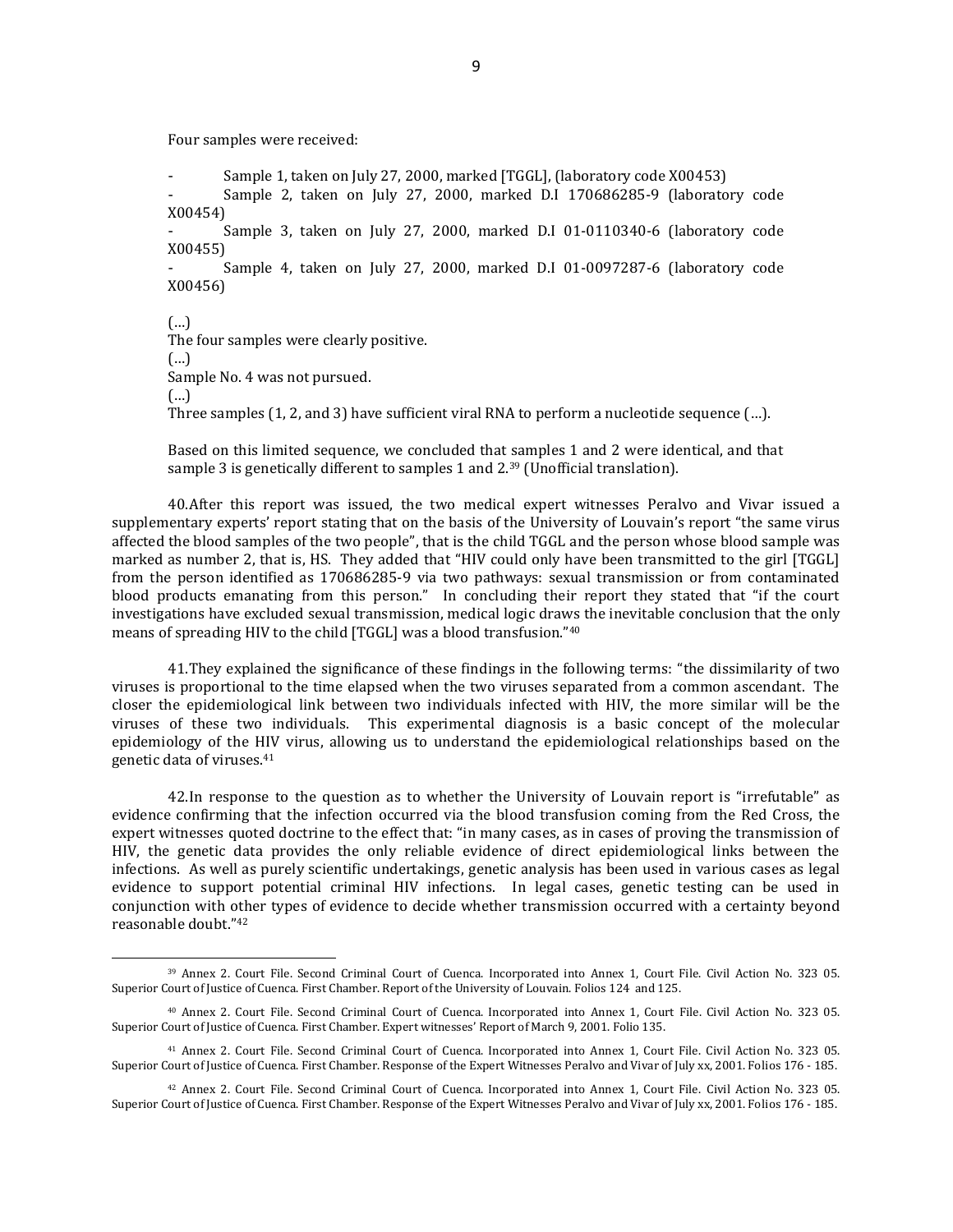Four samples were received:

 $\overline{a}$ 

Sample 1, taken on July 27, 2000, marked [TGGL], (laboratory code X00453) Sample 2, taken on July 27, 2000, marked D.I 170686285-9 (laboratory code X00454) Sample 3, taken on July 27, 2000, marked D.I 01-0110340-6 (laboratory code X00455) Sample 4, taken on July 27, 2000, marked D.I 01-0097287-6 (laboratory code X00456) (…) The four samples were clearly positive. (…) Sample No. 4 was not pursued. (…)

Three samples (1, 2, and 3) have sufficient viral RNA to perform a nucleotide sequence (…).

Based on this limited sequence, we concluded that samples 1 and 2 were identical, and that sample 3 is genetically different to samples 1 and 2.<sup>39</sup> (Unofficial translation).

40.After this report was issued, the two medical expert witnesses Peralvo and Vivar issued a supplementary experts' report stating that on the basis of the University of Louvain's report "the same virus affected the blood samples of the two people", that is the child TGGL and the person whose blood sample was marked as number 2, that is, HS. They added that "HIV could only have been transmitted to the girl [TGGL] from the person identified as 170686285-9 via two pathways: sexual transmission or from contaminated blood products emanating from this person." In concluding their report they stated that "if the court investigations have excluded sexual transmission, medical logic draws the inevitable conclusion that the only means of spreading HIV to the child [TGGL] was a blood transfusion."<sup>40</sup>

41.They explained the significance of these findings in the following terms: "the dissimilarity of two viruses is proportional to the time elapsed when the two viruses separated from a common ascendant. The closer the epidemiological link between two individuals infected with HIV, the more similar will be the viruses of these two individuals. This experimental diagnosis is a basic concept of the molecular epidemiology of the HIV virus, allowing us to understand the epidemiological relationships based on the genetic data of viruses.<sup>41</sup>

42.In response to the question as to whether the University of Louvain report is "irrefutable" as evidence confirming that the infection occurred via the blood transfusion coming from the Red Cross, the expert witnesses quoted doctrine to the effect that: "in many cases, as in cases of proving the transmission of HIV, the genetic data provides the only reliable evidence of direct epidemiological links between the infections. As well as purely scientific undertakings, genetic analysis has been used in various cases as legal evidence to support potential criminal HIV infections. In legal cases, genetic testing can be used in conjunction with other types of evidence to decide whether transmission occurred with a certainty beyond reasonable doubt."<sup>42</sup>

<sup>39</sup> Annex 2. Court File. Second Criminal Court of Cuenca. Incorporated into Annex 1, Court File. Civil Action No. 323 05. Superior Court of Justice of Cuenca. First Chamber. Report of the University of Louvain. Folios 124 and 125.

<sup>40</sup> Annex 2. Court File. Second Criminal Court of Cuenca. Incorporated into Annex 1, Court File. Civil Action No. 323 05. Superior Court of Justice of Cuenca. First Chamber. Expert witnesses' Report of March 9, 2001. Folio 135.

<sup>41</sup> Annex 2. Court File. Second Criminal Court of Cuenca. Incorporated into Annex 1, Court File. Civil Action No. 323 05. Superior Court of Justice of Cuenca. First Chamber. Response of the Expert Witnesses Peralvo and Vivar of July xx, 2001. Folios 176 - 185.

<sup>42</sup> Annex 2. Court File. Second Criminal Court of Cuenca. Incorporated into Annex 1, Court File. Civil Action No. 323 05. Superior Court of Justice of Cuenca. First Chamber. Response of the Expert Witnesses Peralvo and Vivar of July xx, 2001. Folios 176 - 185.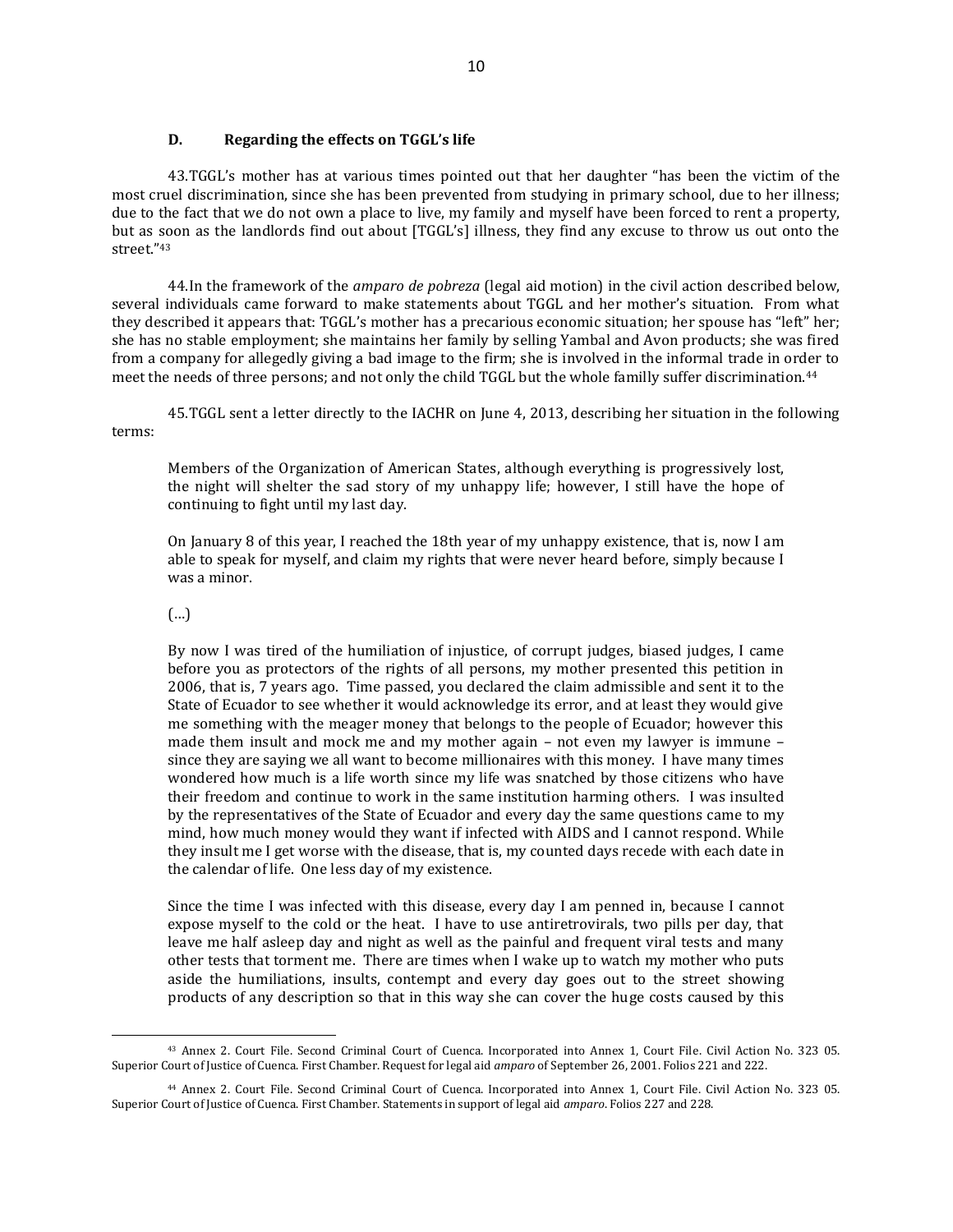## **D. Regarding the effects on TGGL's life**

43.TGGL's mother has at various times pointed out that her daughter "has been the victim of the most cruel discrimination, since she has been prevented from studying in primary school, due to her illness; due to the fact that we do not own a place to live, my family and myself have been forced to rent a property, but as soon as the landlords find out about [TGGL's] illness, they find any excuse to throw us out onto the street."<sup>43</sup>

44.In the framework of the *amparo de pobreza* (legal aid motion) in the civil action described below, several individuals came forward to make statements about TGGL and her mother's situation. From what they described it appears that: TGGL's mother has a precarious economic situation; her spouse has "left" her; she has no stable employment; she maintains her family by selling Yambal and Avon products; she was fired from a company for allegedly giving a bad image to the firm; she is involved in the informal trade in order to meet the needs of three persons; and not only the child TGGL but the whole familly suffer discrimination.<sup>44</sup>

45.TGGL sent a letter directly to the IACHR on June 4, 2013, describing her situation in the following terms:

Members of the Organization of American States, although everything is progressively lost, the night will shelter the sad story of my unhappy life; however, I still have the hope of continuing to fight until my last day.

On January 8 of this year, I reached the 18th year of my unhappy existence, that is, now I am able to speak for myself, and claim my rights that were never heard before, simply because I was a minor.

# (…)

 $\overline{a}$ 

By now I was tired of the humiliation of injustice, of corrupt judges, biased judges, I came before you as protectors of the rights of all persons, my mother presented this petition in 2006, that is, 7 years ago. Time passed, you declared the claim admissible and sent it to the State of Ecuador to see whether it would acknowledge its error, and at least they would give me something with the meager money that belongs to the people of Ecuador; however this made them insult and mock me and my mother again – not even my lawyer is immune – since they are saying we all want to become millionaires with this money. I have many times wondered how much is a life worth since my life was snatched by those citizens who have their freedom and continue to work in the same institution harming others. I was insulted by the representatives of the State of Ecuador and every day the same questions came to my mind, how much money would they want if infected with AIDS and I cannot respond. While they insult me I get worse with the disease, that is, my counted days recede with each date in the calendar of life. One less day of my existence.

Since the time I was infected with this disease, every day I am penned in, because I cannot expose myself to the cold or the heat. I have to use antiretrovirals, two pills per day, that leave me half asleep day and night as well as the painful and frequent viral tests and many other tests that torment me. There are times when I wake up to watch my mother who puts aside the humiliations, insults, contempt and every day goes out to the street showing products of any description so that in this way she can cover the huge costs caused by this

<sup>43</sup> Annex 2. Court File. Second Criminal Court of Cuenca. Incorporated into Annex 1, Court File. Civil Action No. 323 05. Superior Court of Justice of Cuenca. First Chamber. Request for legal aid *amparo* of September 26, 2001. Folios 221 and 222.

<sup>44</sup> Annex 2. Court File. Second Criminal Court of Cuenca. Incorporated into Annex 1, Court File. Civil Action No. 323 05. Superior Court of Justice of Cuenca. First Chamber. Statements in support of legal aid *amparo*. Folios 227 and 228.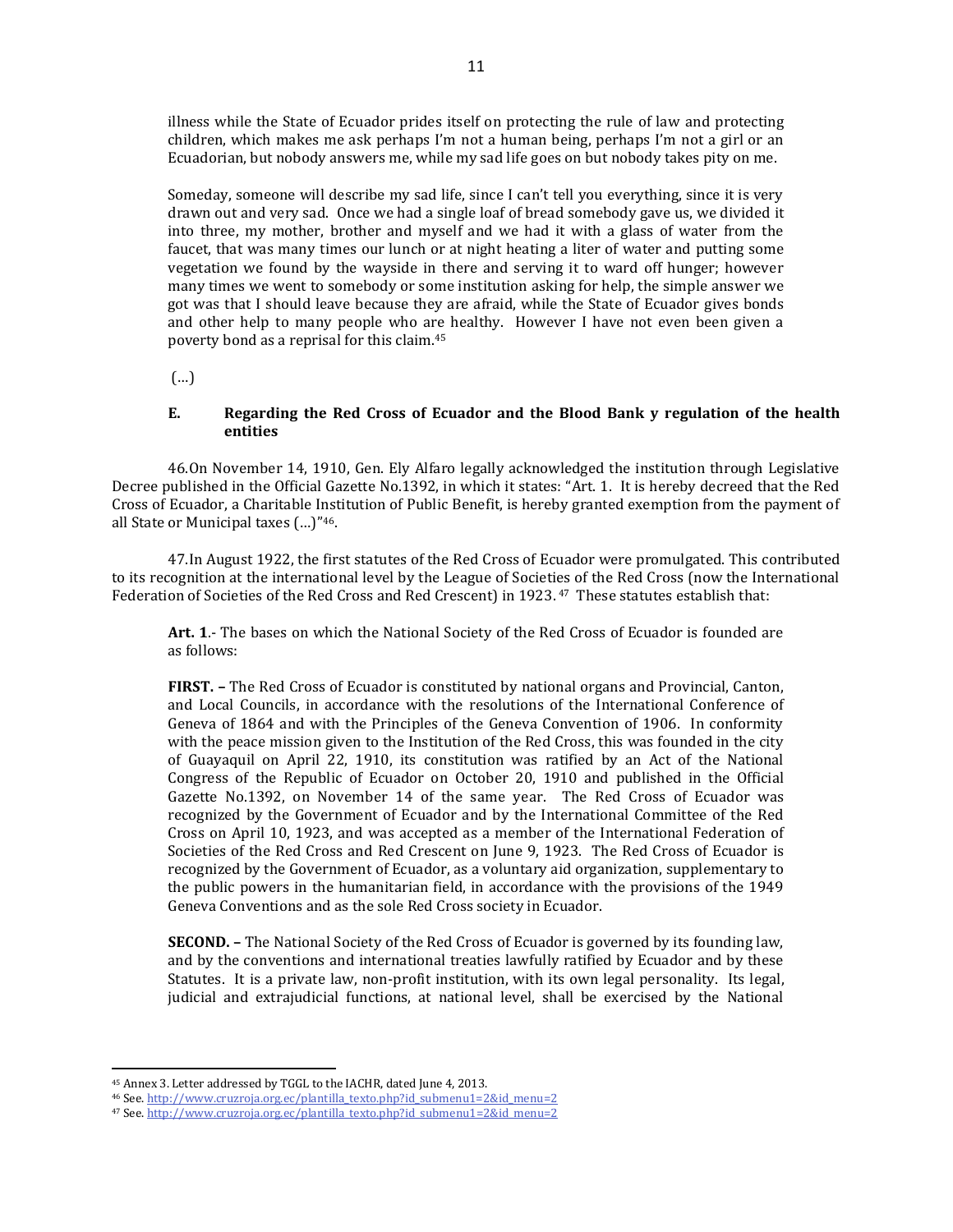illness while the State of Ecuador prides itself on protecting the rule of law and protecting children, which makes me ask perhaps I'm not a human being, perhaps I'm not a girl or an Ecuadorian, but nobody answers me, while my sad life goes on but nobody takes pity on me.

Someday, someone will describe my sad life, since I can't tell you everything, since it is very drawn out and very sad. Once we had a single loaf of bread somebody gave us, we divided it into three, my mother, brother and myself and we had it with a glass of water from the faucet, that was many times our lunch or at night heating a liter of water and putting some vegetation we found by the wayside in there and serving it to ward off hunger; however many times we went to somebody or some institution asking for help, the simple answer we got was that I should leave because they are afraid, while the State of Ecuador gives bonds and other help to many people who are healthy. However I have not even been given a poverty bond as a reprisal for this claim.<sup>45</sup>

(…)

#### **E. Regarding the Red Cross of Ecuador and the Blood Bank y regulation of the health entities**

46.On November 14, 1910, Gen. Ely Alfaro legally acknowledged the institution through Legislative Decree published in the Official Gazette No.1392, in which it states: "Art. 1. It is hereby decreed that the Red Cross of Ecuador, a Charitable Institution of Public Benefit, is hereby granted exemption from the payment of all State or Municipal taxes (…)"46.

47.In August 1922, the first statutes of the Red Cross of Ecuador were promulgated. This contributed to its recognition at the international level by the League of Societies of the Red Cross (now the International Federation of Societies of the Red Cross and Red Crescent) in 1923. <sup>47</sup> These statutes establish that:

**Art. 1**.- The bases on which the National Society of the Red Cross of Ecuador is founded are as follows:

**FIRST. –** The Red Cross of Ecuador is constituted by national organs and Provincial, Canton, and Local Councils, in accordance with the resolutions of the International Conference of Geneva of 1864 and with the Principles of the Geneva Convention of 1906. In conformity with the peace mission given to the Institution of the Red Cross, this was founded in the city of Guayaquil on April 22, 1910, its constitution was ratified by an Act of the National Congress of the Republic of Ecuador on October 20, 1910 and published in the Official Gazette No.1392, on November 14 of the same year. The Red Cross of Ecuador was recognized by the Government of Ecuador and by the International Committee of the Red Cross on April 10, 1923, and was accepted as a member of the International Federation of Societies of the Red Cross and Red Crescent on June 9, 1923. The Red Cross of Ecuador is recognized by the Government of Ecuador, as a voluntary aid organization, supplementary to the public powers in the humanitarian field, in accordance with the provisions of the 1949 Geneva Conventions and as the sole Red Cross society in Ecuador.

**SECOND. –** The National Society of the Red Cross of Ecuador is governed by its founding law, and by the conventions and international treaties lawfully ratified by Ecuador and by these Statutes. It is a private law, non-profit institution, with its own legal personality. Its legal, judicial and extrajudicial functions, at national level, shall be exercised by the National

<sup>45</sup> Annex 3. Letter addressed by TGGL to the IACHR, dated June 4, 2013.

<sup>46</sup> See[. http://www.cruzroja.org.ec/plantilla\\_texto.php?id\\_submenu1=2&id\\_menu=2](http://www.cruzroja.org.ec/plantilla_texto.php?id_submenu1=2&id_menu=2)

<sup>47</sup> See[. http://www.cruzroja.org.ec/plantilla\\_texto.php?id\\_submenu1=2&id\\_menu=2](http://www.cruzroja.org.ec/plantilla_texto.php?id_submenu1=2&id_menu=2)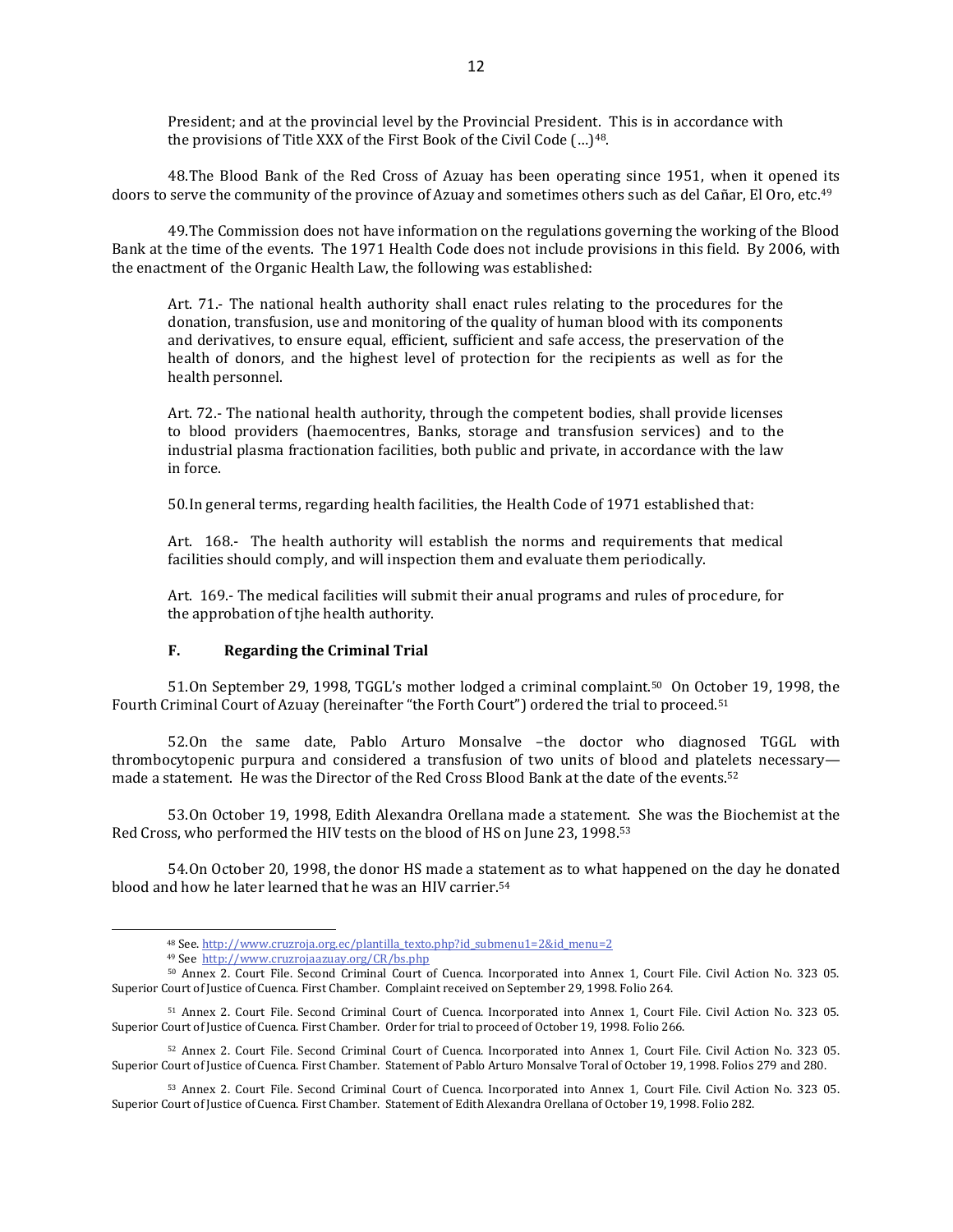President; and at the provincial level by the Provincial President. This is in accordance with the provisions of Title XXX of the First Book of the Civil Code (... )<sup>48</sup>.

48.The Blood Bank of the Red Cross of Azuay has been operating since 1951, when it opened its doors to serve the community of the province of Azuay and sometimes others such as del Cañar, El Oro, etc. 49

49.The Commission does not have information on the regulations governing the working of the Blood Bank at the time of the events. The 1971 Health Code does not include provisions in this field. By 2006, with the enactment of the Organic Health Law, the following was established:

Art. 71.- The national health authority shall enact rules relating to the procedures for the donation, transfusion, use and monitoring of the quality of human blood with its components and derivatives, to ensure equal, efficient, sufficient and safe access, the preservation of the health of donors, and the highest level of protection for the recipients as well as for the health personnel.

Art. 72.- The national health authority, through the competent bodies, shall provide licenses to blood providers (haemocentres, Banks, storage and transfusion services) and to the industrial plasma fractionation facilities, both public and private, in accordance with the law in force.

50.In general terms, regarding health facilities, the Health Code of 1971 established that:

Art. 168.- The health authority will establish the norms and requirements that medical facilities should comply, and will inspection them and evaluate them periodically.

Art. 169.- The medical facilities will submit their anual programs and rules of procedure, for the approbation of tjhe health authority.

## **F. Regarding the Criminal Trial**

51.On September 29, 1998, TGGL's mother lodged a criminal complaint.50 On October 19, 1998, the Fourth Criminal Court of Azuay (hereinafter "the Forth Court") ordered the trial to proceed.<sup>51</sup>

52.On the same date, Pablo Arturo Monsalve –the doctor who diagnosed TGGL with thrombocytopenic purpura and considered a transfusion of two units of blood and platelets necessary made a statement. He was the Director of the Red Cross Blood Bank at the date of the events.<sup>52</sup>

53.On October 19, 1998, Edith Alexandra Orellana made a statement. She was the Biochemist at the Red Cross, who performed the HIV tests on the blood of HS on June 23, 1998.<sup>53</sup>

54.On October 20, 1998, the donor HS made a statement as to what happened on the day he donated blood and how he later learned that he was an HIV carrier.<sup>54</sup>

<sup>48</sup> See[. http://www.cruzroja.org.ec/plantilla\\_texto.php?id\\_submenu1=2&id\\_menu=2](http://www.cruzroja.org.ec/plantilla_texto.php?id_submenu1=2&id_menu=2)

<sup>49</sup> See<http://www.cruzrojaazuay.org/CR/bs.php>

<sup>50</sup> Annex 2. Court File. Second Criminal Court of Cuenca. Incorporated into Annex 1, Court File. Civil Action No. 323 05. Superior Court of Justice of Cuenca. First Chamber. Complaint received on September 29, 1998. Folio 264.

<sup>51</sup> Annex 2. Court File. Second Criminal Court of Cuenca. Incorporated into Annex 1, Court File. Civil Action No. 323 05. Superior Court of Justice of Cuenca. First Chamber. Order for trial to proceed of October 19, 1998. Folio 266.

<sup>52</sup> Annex 2. Court File. Second Criminal Court of Cuenca. Incorporated into Annex 1, Court File. Civil Action No. 323 05. Superior Court of Justice of Cuenca. First Chamber. Statement of Pablo Arturo Monsalve Toral of October 19, 1998. Folios 279 and 280.

<sup>53</sup> Annex 2. Court File. Second Criminal Court of Cuenca. Incorporated into Annex 1, Court File. Civil Action No. 323 05. Superior Court of Justice of Cuenca. First Chamber. Statement of Edith Alexandra Orellana of October 19, 1998. Folio 282.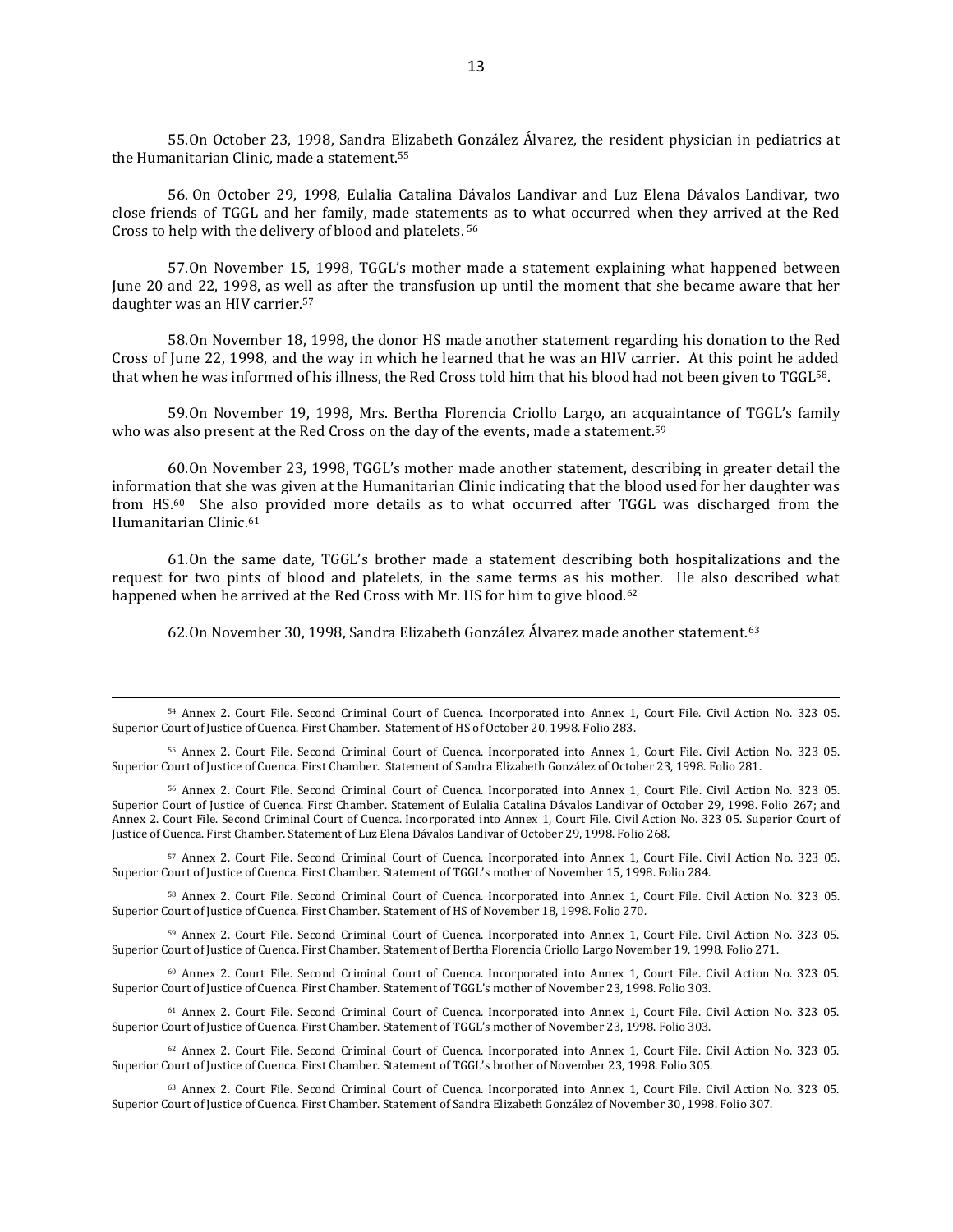55.On October 23, 1998, Sandra Elizabeth González Álvarez, the resident physician in pediatrics at the Humanitarian Clinic, made a statement. 55

56. On October 29, 1998, Eulalia Catalina Dávalos Landivar and Luz Elena Dávalos Landivar, two close friends of TGGL and her family, made statements as to what occurred when they arrived at the Red Cross to help with the delivery of blood and platelets. 56

57.On November 15, 1998, TGGL's mother made a statement explaining what happened between June 20 and 22, 1998, as well as after the transfusion up until the moment that she became aware that her daughter was an HIV carrier.<sup>57</sup>

58.On November 18, 1998, the donor HS made another statement regarding his donation to the Red Cross of June 22, 1998, and the way in which he learned that he was an HIV carrier. At this point he added that when he was informed of his illness, the Red Cross told him that his blood had not been given to TGGL58.

59.On November 19, 1998, Mrs. Bertha Florencia Criollo Largo, an acquaintance of TGGL's family who was also present at the Red Cross on the day of the events, made a statement.<sup>59</sup>

60.On November 23, 1998, TGGL's mother made another statement, describing in greater detail the information that she was given at the Humanitarian Clinic indicating that the blood used for her daughter was from HS.60 She also provided more details as to what occurred after TGGL was discharged from the Humanitarian Clinic.<sup>61</sup>

61.On the same date, TGGL's brother made a statement describing both hospitalizations and the request for two pints of blood and platelets, in the same terms as his mother. He also described what happened when he arrived at the Red Cross with Mr. HS for him to give blood.<sup>62</sup>

62.On November 30, 1998, Sandra Elizabeth González Álvarez made another statement.<sup>63</sup>

<sup>55</sup> Annex 2. Court File. Second Criminal Court of Cuenca. Incorporated into Annex 1, Court File. Civil Action No. 323 05. Superior Court of Justice of Cuenca. First Chamber. Statement of Sandra Elizabeth González of October 23, 1998. Folio 281.

<sup>56</sup> Annex 2. Court File. Second Criminal Court of Cuenca. Incorporated into Annex 1, Court File. Civil Action No. 323 05. Superior Court of Justice of Cuenca. First Chamber. Statement of Eulalia Catalina Dávalos Landivar of October 29, 1998. Folio 267; and Annex 2. Court File. Second Criminal Court of Cuenca. Incorporated into Annex 1, Court File. Civil Action No. 323 05. Superior Court of Justice of Cuenca. First Chamber. Statement of Luz Elena Dávalos Landivar of October 29, 1998. Folio 268.

<sup>57</sup> Annex 2. Court File. Second Criminal Court of Cuenca. Incorporated into Annex 1, Court File. Civil Action No. 323 05. Superior Court of Justice of Cuenca. First Chamber. Statement of TGGL's mother of November 15, 1998. Folio 284.

<sup>58</sup> Annex 2. Court File. Second Criminal Court of Cuenca. Incorporated into Annex 1, Court File. Civil Action No. 323 05. Superior Court of Justice of Cuenca. First Chamber. Statement of HS of November 18, 1998. Folio 270.

<sup>59</sup> Annex 2. Court File. Second Criminal Court of Cuenca. Incorporated into Annex 1, Court File. Civil Action No. 323 05. Superior Court of Justice of Cuenca. First Chamber. Statement of Bertha Florencia Criollo Largo November 19, 1998. Folio 271.

<sup>60</sup> Annex 2. Court File. Second Criminal Court of Cuenca. Incorporated into Annex 1, Court File. Civil Action No. 323 05. Superior Court of Justice of Cuenca. First Chamber. Statement of TGGL's mother of November 23, 1998. Folio 303.

<sup>61</sup> Annex 2. Court File. Second Criminal Court of Cuenca. Incorporated into Annex 1, Court File. Civil Action No. 323 05. Superior Court of Justice of Cuenca. First Chamber. Statement of TGGL's mother of November 23, 1998. Folio 303.

<sup>62</sup> Annex 2. Court File. Second Criminal Court of Cuenca. Incorporated into Annex 1, Court File. Civil Action No. 323 05. Superior Court of Justice of Cuenca. First Chamber. Statement of TGGL's brother of November 23, 1998. Folio 305.

<sup>63</sup> Annex 2. Court File. Second Criminal Court of Cuenca. Incorporated into Annex 1, Court File. Civil Action No. 323 05. Superior Court of Justice of Cuenca. First Chamber. Statement of Sandra Elizabeth González of November 30, 1998. Folio 307.

<sup>54</sup> Annex 2. Court File. Second Criminal Court of Cuenca. Incorporated into Annex 1, Court File. Civil Action No. 323 05. Superior Court of Justice of Cuenca. First Chamber. Statement of HS of October 20, 1998. Folio 283.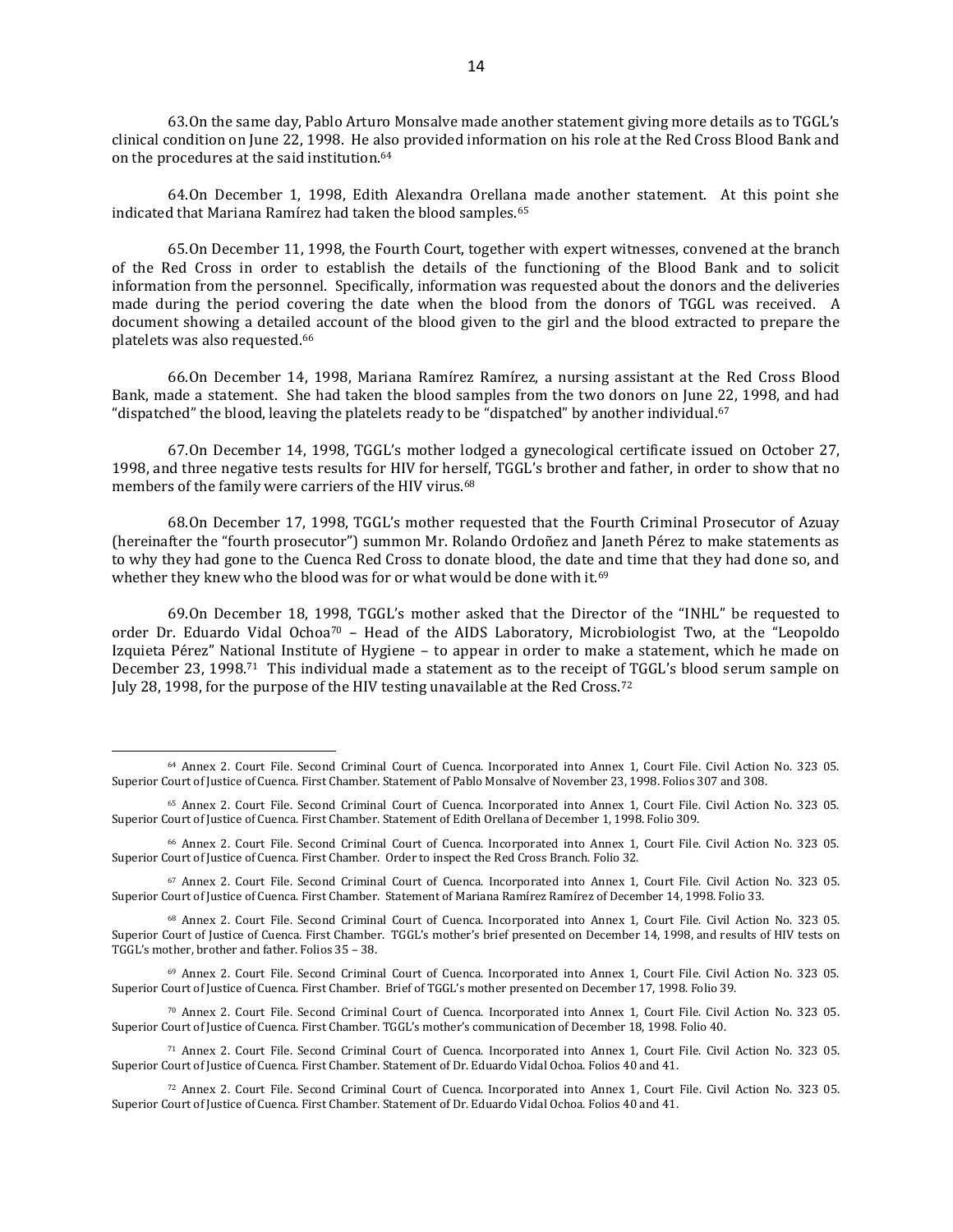63.On the same day, Pablo Arturo Monsalve made another statement giving more details as to TGGL's clinical condition on June 22, 1998. He also provided information on his role at the Red Cross Blood Bank and on the procedures at the said institution.<sup>64</sup>

64.On December 1, 1998, Edith Alexandra Orellana made another statement. At this point she indicated that Mariana Ramírez had taken the blood samples.<sup>65</sup>

65.On December 11, 1998, the Fourth Court, together with expert witnesses, convened at the branch of the Red Cross in order to establish the details of the functioning of the Blood Bank and to solicit information from the personnel. Specifically, information was requested about the donors and the deliveries made during the period covering the date when the blood from the donors of TGGL was received. A document showing a detailed account of the blood given to the girl and the blood extracted to prepare the platelets was also requested. 66

66.On December 14, 1998, Mariana Ramírez Ramírez, a nursing assistant at the Red Cross Blood Bank, made a statement. She had taken the blood samples from the two donors on June 22, 1998, and had "dispatched" the blood, leaving the platelets ready to be "dispatched" by another individual. $67$ 

67.On December 14, 1998, TGGL's mother lodged a gynecological certificate issued on October 27, 1998, and three negative tests results for HIV for herself, TGGL's brother and father, in order to show that no members of the family were carriers of the HIV virus.<sup>68</sup>

68.On December 17, 1998, TGGL's mother requested that the Fourth Criminal Prosecutor of Azuay (hereinafter the "fourth prosecutor") summon Mr. Rolando Ordoñez and Janeth Pérez to make statements as to why they had gone to the Cuenca Red Cross to donate blood, the date and time that they had done so, and whether they knew who the blood was for or what would be done with it.<sup>69</sup>

69.On December 18, 1998, TGGL's mother asked that the Director of the "INHL" be requested to order Dr. Eduardo Vidal Ochoa<sup>70</sup> – Head of the AIDS Laboratory, Microbiologist Two, at the "Leopoldo" Izquieta Pérez" National Institute of Hygiene – to appear in order to make a statement, which he made on December 23, 1998.71 This individual made a statement as to the receipt of TGGL's blood serum sample on July 28, 1998, for the purpose of the HIV testing unavailable at the Red Cross.<sup>72</sup>

 $\overline{a}$ 

<sup>69</sup> Annex 2. Court File. Second Criminal Court of Cuenca. Incorporated into Annex 1, Court File. Civil Action No. 323 05. Superior Court of Justice of Cuenca. First Chamber. Brief of TGGL's mother presented on December 17, 1998. Folio 39.

<sup>70</sup> Annex 2. Court File. Second Criminal Court of Cuenca. Incorporated into Annex 1, Court File. Civil Action No. 323 05. Superior Court of Justice of Cuenca. First Chamber. TGGL's mother's communication of December 18, 1998. Folio 40.

<sup>64</sup> Annex 2. Court File. Second Criminal Court of Cuenca. Incorporated into Annex 1, Court File. Civil Action No. 323 05. Superior Court of Justice of Cuenca. First Chamber. Statement of Pablo Monsalve of November 23, 1998. Folios 307 and 308.

<sup>65</sup> Annex 2. Court File. Second Criminal Court of Cuenca. Incorporated into Annex 1, Court File. Civil Action No. 323 05. Superior Court of Justice of Cuenca. First Chamber. Statement of Edith Orellana of December 1, 1998. Folio 309.

<sup>66</sup> Annex 2. Court File. Second Criminal Court of Cuenca. Incorporated into Annex 1, Court File. Civil Action No. 323 05. Superior Court of Justice of Cuenca. First Chamber. Order to inspect the Red Cross Branch. Folio 32.

<sup>67</sup> Annex 2. Court File. Second Criminal Court of Cuenca. Incorporated into Annex 1, Court File. Civil Action No. 323 05. Superior Court of Justice of Cuenca. First Chamber. Statement of Mariana Ramírez Ramírez of December 14, 1998. Folio 33.

<sup>68</sup> Annex 2. Court File. Second Criminal Court of Cuenca. Incorporated into Annex 1, Court File. Civil Action No. 323 05. Superior Court of Justice of Cuenca. First Chamber. TGGL's mother's brief presented on December 14, 1998, and results of HIV tests on TGGL's mother, brother and father. Folios 35 – 38.

<sup>71</sup> Annex 2. Court File. Second Criminal Court of Cuenca. Incorporated into Annex 1, Court File. Civil Action No. 323 05. Superior Court of Justice of Cuenca. First Chamber. Statement of Dr. Eduardo Vidal Ochoa. Folios 40 and 41.

<sup>72</sup> Annex 2. Court File. Second Criminal Court of Cuenca. Incorporated into Annex 1, Court File. Civil Action No. 323 05. Superior Court of Justice of Cuenca. First Chamber. Statement of Dr. Eduardo Vidal Ochoa. Folios 40 and 41.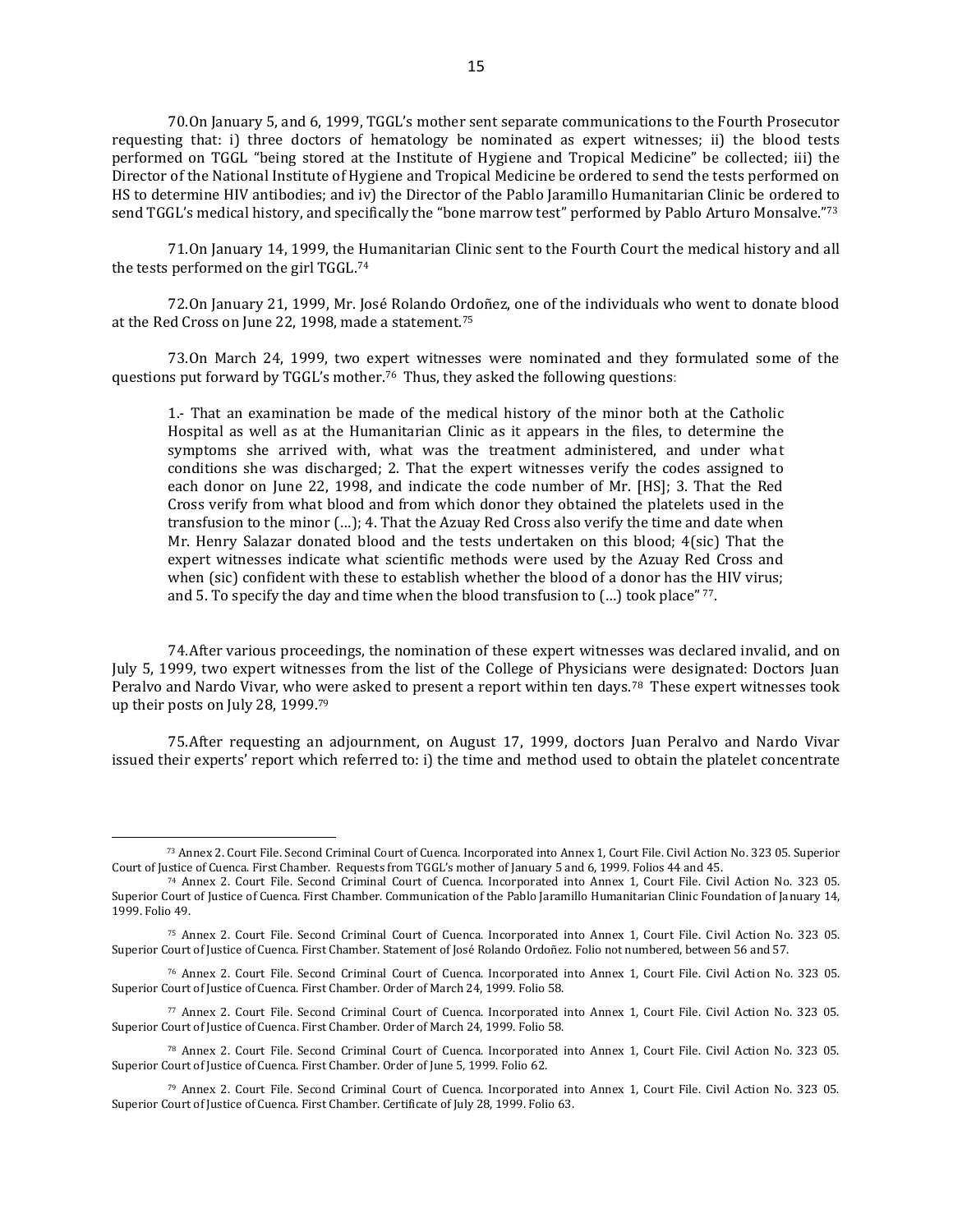70.On January 5, and 6, 1999, TGGL's mother sent separate communications to the Fourth Prosecutor requesting that: i) three doctors of hematology be nominated as expert witnesses; ii) the blood tests performed on TGGL "being stored at the Institute of Hygiene and Tropical Medicine" be collected; iii) the Director of the National Institute of Hygiene and Tropical Medicine be ordered to send the tests performed on HS to determine HIV antibodies; and iv) the Director of the Pablo Jaramillo Humanitarian Clinic be ordered to send TGGL's medical history, and specifically the "bone marrow test" performed by Pablo Arturo Monsalve."<sup>73</sup>

71.On January 14, 1999, the Humanitarian Clinic sent to the Fourth Court the medical history and all the tests performed on the girl TGGL.<sup>74</sup>

72.On January 21, 1999, Mr. José Rolando Ordoñez, one of the individuals who went to donate blood at the Red Cross on June 22, 1998, made a statement.<sup>75</sup>

73.On March 24, 1999, two expert witnesses were nominated and they formulated some of the questions put forward by TGGL's mother.76 Thus, they asked the following questions:

1.- That an examination be made of the medical history of the minor both at the Catholic Hospital as well as at the Humanitarian Clinic as it appears in the files, to determine the symptoms she arrived with, what was the treatment administered, and under what conditions she was discharged; 2. That the expert witnesses verify the codes assigned to each donor on June 22, 1998, and indicate the code number of Mr. [HS]; 3. That the Red Cross verify from what blood and from which donor they obtained the platelets used in the transfusion to the minor (…); 4. That the Azuay Red Cross also verify the time and date when Mr. Henry Salazar donated blood and the tests undertaken on this blood; 4(sic) That the expert witnesses indicate what scientific methods were used by the Azuay Red Cross and when (sic) confident with these to establish whether the blood of a donor has the HIV virus; and 5. To specify the day and time when the blood transfusion to  $(...)$  took place"  $77$ .

74.After various proceedings, the nomination of these expert witnesses was declared invalid, and on July 5, 1999, two expert witnesses from the list of the College of Physicians were designated: Doctors Juan Peralvo and Nardo Vivar, who were asked to present a report within ten days.<sup>78</sup> These expert witnesses took up their posts on July 28, 1999.<sup>79</sup>

75.After requesting an adjournment, on August 17, 1999, doctors Juan Peralvo and Nardo Vivar issued their experts' report which referred to: i) the time and method used to obtain the platelet concentrate

<sup>73</sup> Annex 2. Court File. Second Criminal Court of Cuenca. Incorporated into Annex 1, Court File. Civil Action No. 323 05. Superior Court of Justice of Cuenca. First Chamber. Requests from TGGL's mother of January 5 and 6, 1999. Folios 44 and 45.

<sup>74</sup> Annex 2. Court File. Second Criminal Court of Cuenca. Incorporated into Annex 1, Court File. Civil Action No. 323 05. Superior Court of Justice of Cuenca. First Chamber. Communication of the Pablo Jaramillo Humanitarian Clinic Foundation of January 14, 1999. Folio 49.

<sup>75</sup> Annex 2. Court File. Second Criminal Court of Cuenca. Incorporated into Annex 1, Court File. Civil Action No. 323 05. Superior Court of Justice of Cuenca. First Chamber. Statement of José Rolando Ordoñez. Folio not numbered, between 56 and 57.

<sup>76</sup> Annex 2. Court File. Second Criminal Court of Cuenca. Incorporated into Annex 1, Court File. Civil Action No. 323 05. Superior Court of Justice of Cuenca. First Chamber. Order of March 24, 1999. Folio 58.

<sup>77</sup> Annex 2. Court File. Second Criminal Court of Cuenca. Incorporated into Annex 1, Court File. Civil Action No. 323 05. Superior Court of Justice of Cuenca. First Chamber. Order of March 24, 1999. Folio 58.

<sup>78</sup> Annex 2. Court File. Second Criminal Court of Cuenca. Incorporated into Annex 1, Court File. Civil Action No. 323 05. Superior Court of Justice of Cuenca. First Chamber. Order of June 5, 1999. Folio 62.

<sup>79</sup> Annex 2. Court File. Second Criminal Court of Cuenca. Incorporated into Annex 1, Court File. Civil Action No. 323 05. Superior Court of Justice of Cuenca. First Chamber. Certificate of July 28, 1999. Folio 63.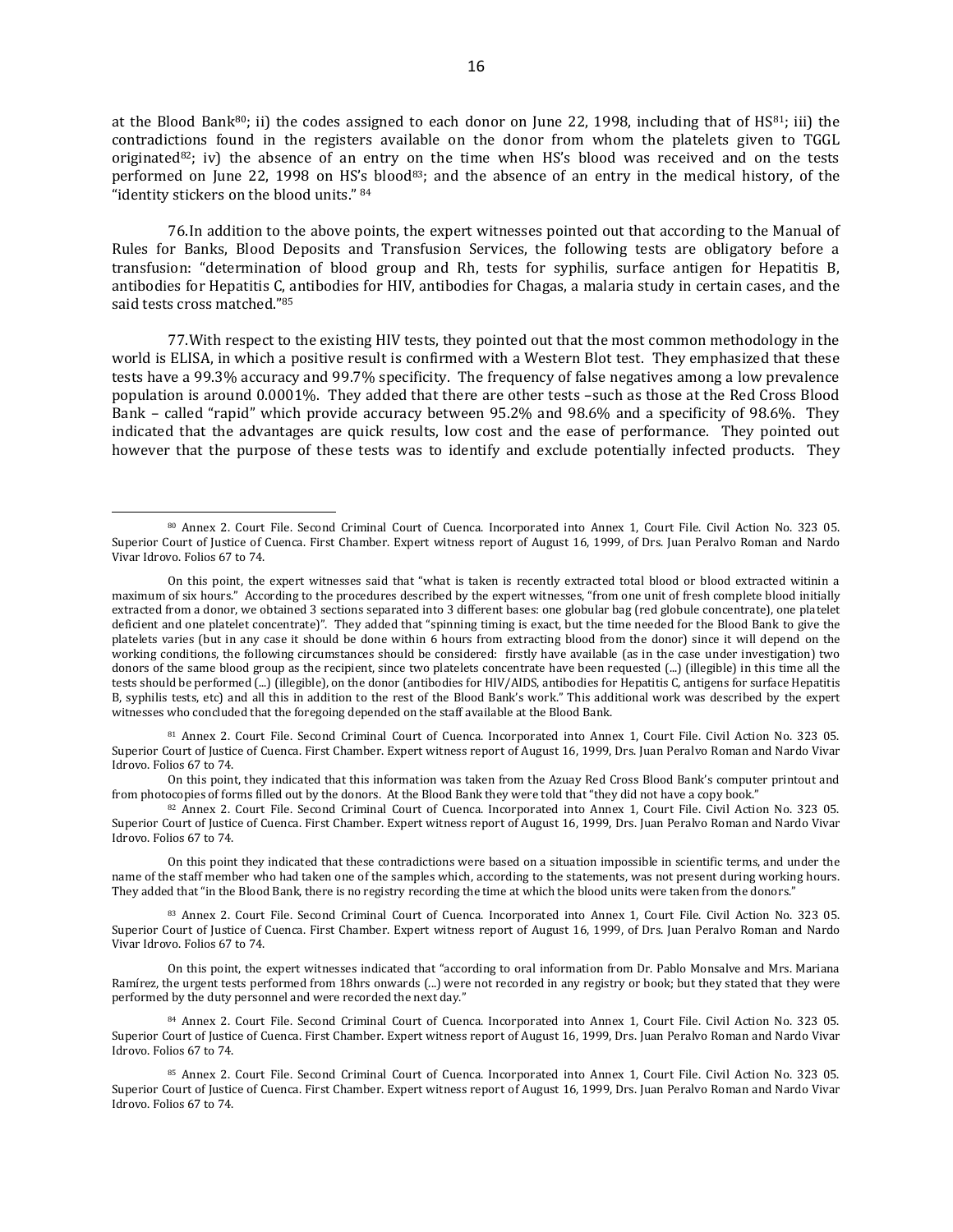at the Blood Bank<sup>80</sup>; ii) the codes assigned to each donor on June 22, 1998, including that of HS<sup>81</sup>; iii) the contradictions found in the registers available on the donor from whom the platelets given to TGGL originated $82$ ; iv) the absence of an entry on the time when HS's blood was received and on the tests performed on June 22, 1998 on HS's blood<sup>83</sup>; and the absence of an entry in the medical history, of the "identity stickers on the blood units." <sup>84</sup>

76.In addition to the above points, the expert witnesses pointed out that according to the Manual of Rules for Banks, Blood Deposits and Transfusion Services, the following tests are obligatory before a transfusion: "determination of blood group and Rh, tests for syphilis, surface antigen for Hepatitis B, antibodies for Hepatitis C, antibodies for HIV, antibodies for Chagas, a malaria study in certain cases, and the said tests cross matched."<sup>85</sup>

77.With respect to the existing HIV tests, they pointed out that the most common methodology in the world is ELISA, in which a positive result is confirmed with a Western Blot test. They emphasized that these tests have a 99.3% accuracy and 99.7% specificity. The frequency of false negatives among a low prevalence population is around 0.0001%. They added that there are other tests –such as those at the Red Cross Blood Bank – called "rapid" which provide accuracy between 95.2% and 98.6% and a specificity of 98.6%. They indicated that the advantages are quick results, low cost and the ease of performance. They pointed out however that the purpose of these tests was to identify and exclude potentially infected products. They

<sup>81</sup> Annex 2. Court File. Second Criminal Court of Cuenca. Incorporated into Annex 1, Court File. Civil Action No. 323 05. Superior Court of Justice of Cuenca. First Chamber. Expert witness report of August 16, 1999, Drs. Juan Peralvo Roman and Nardo Vivar Idrovo. Folios 67 to 74.

On this point, they indicated that this information was taken from the Azuay Red Cross Blood Bank's computer printout and from photocopies of forms filled out by the donors. At the Blood Bank they were told that "they did not have a copy book."

82 Annex 2. Court File. Second Criminal Court of Cuenca. Incorporated into Annex 1, Court File. Civil Action No. 323 05. Superior Court of Justice of Cuenca. First Chamber. Expert witness report of August 16, 1999, Drs. Juan Peralvo Roman and Nardo Vivar Idrovo. Folios 67 to 74.

On this point they indicated that these contradictions were based on a situation impossible in scientific terms, and under the name of the staff member who had taken one of the samples which, according to the statements, was not present during working hours. They added that "in the Blood Bank, there is no registry recording the time at which the blood units were taken from the donors."

83 Annex 2. Court File. Second Criminal Court of Cuenca. Incorporated into Annex 1, Court File. Civil Action No. 323 05. Superior Court of Justice of Cuenca. First Chamber. Expert witness report of August 16, 1999, of Drs. Juan Peralvo Roman and Nardo Vivar Idrovo. Folios 67 to 74.

On this point, the expert witnesses indicated that "according to oral information from Dr. Pablo Monsalve and Mrs. Mariana Ramírez, the urgent tests performed from 18hrs onwards (...) were not recorded in any registry or book; but they stated that they were performed by the duty personnel and were recorded the next day."

<sup>84</sup> Annex 2. Court File. Second Criminal Court of Cuenca. Incorporated into Annex 1, Court File. Civil Action No. 323 05. Superior Court of Justice of Cuenca. First Chamber. Expert witness report of August 16, 1999, Drs. Juan Peralvo Roman and Nardo Vivar Idrovo. Folios 67 to 74.

<sup>80</sup> Annex 2. Court File. Second Criminal Court of Cuenca. Incorporated into Annex 1, Court File. Civil Action No. 323 05. Superior Court of Justice of Cuenca. First Chamber. Expert witness report of August 16, 1999, of Drs. Juan Peralvo Roman and Nardo Vivar Idrovo. Folios 67 to 74.

On this point, the expert witnesses said that "what is taken is recently extracted total blood or blood extracted witinin a maximum of six hours." According to the procedures described by the expert witnesses, "from one unit of fresh complete blood initially extracted from a donor, we obtained 3 sections separated into 3 different bases: one globular bag (red globule concentrate), one platelet deficient and one platelet concentrate)". They added that "spinning timing is exact, but the time needed for the Blood Bank to give the platelets varies (but in any case it should be done within 6 hours from extracting blood from the donor) since it will depend on the working conditions, the following circumstances should be considered: firstly have available (as in the case under investigation) two donors of the same blood group as the recipient, since two platelets concentrate have been requested (...) (illegible) in this time all the tests should be performed (...) (illegible), on the donor (antibodies for HIV/AIDS, antibodies for Hepatitis C, antigens for surface Hepatitis B, syphilis tests, etc) and all this in addition to the rest of the Blood Bank's work." This additional work was described by the expert witnesses who concluded that the foregoing depended on the staff available at the Blood Bank.

<sup>85</sup> Annex 2. Court File. Second Criminal Court of Cuenca. Incorporated into Annex 1, Court File. Civil Action No. 323 05. Superior Court of Justice of Cuenca. First Chamber. Expert witness report of August 16, 1999, Drs. Juan Peralvo Roman and Nardo Vivar Idrovo. Folios 67 to 74.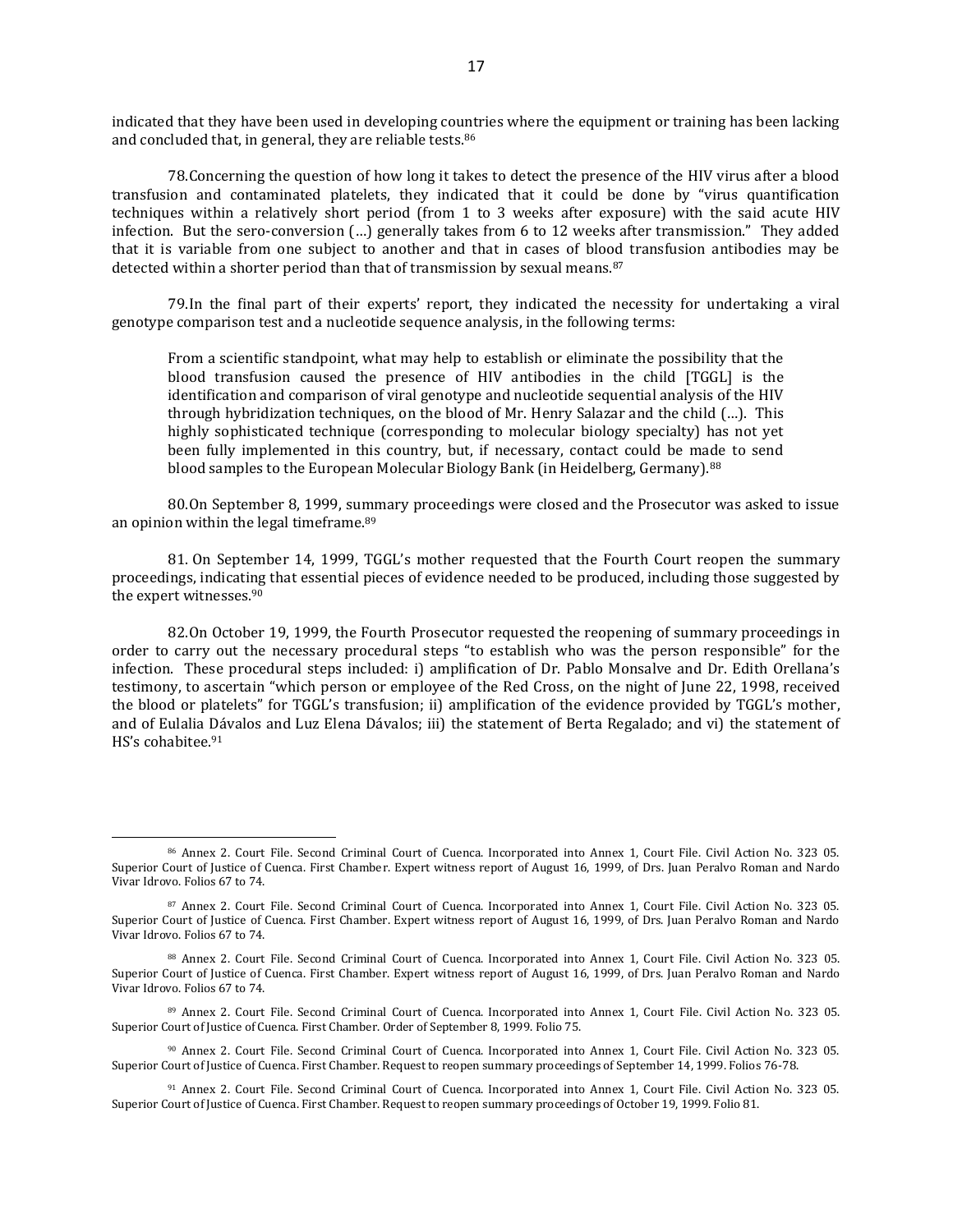indicated that they have been used in developing countries where the equipment or training has been lacking and concluded that, in general, they are reliable tests.<sup>86</sup>

78.Concerning the question of how long it takes to detect the presence of the HIV virus after a blood transfusion and contaminated platelets, they indicated that it could be done by "virus quantification techniques within a relatively short period (from 1 to 3 weeks after exposure) with the said acute HIV infection. But the sero-conversion (…) generally takes from 6 to 12 weeks after transmission." They added that it is variable from one subject to another and that in cases of blood transfusion antibodies may be detected within a shorter period than that of transmission by sexual means.<sup>87</sup>

79.In the final part of their experts' report, they indicated the necessity for undertaking a viral genotype comparison test and a nucleotide sequence analysis, in the following terms:

From a scientific standpoint, what may help to establish or eliminate the possibility that the blood transfusion caused the presence of HIV antibodies in the child [TGGL] is the identification and comparison of viral genotype and nucleotide sequential analysis of the HIV through hybridization techniques, on the blood of Mr. Henry Salazar and the child (…). This highly sophisticated technique (corresponding to molecular biology specialty) has not yet been fully implemented in this country, but, if necessary, contact could be made to send blood samples to the European Molecular Biology Bank (in Heidelberg, Germany).<sup>88</sup>

80.On September 8, 1999, summary proceedings were closed and the Prosecutor was asked to issue an opinion within the legal timeframe.<sup>89</sup>

81. On September 14, 1999, TGGL's mother requested that the Fourth Court reopen the summary proceedings, indicating that essential pieces of evidence needed to be produced, including those suggested by the expert witnesses.<sup>90</sup>

82.On October 19, 1999, the Fourth Prosecutor requested the reopening of summary proceedings in order to carry out the necessary procedural steps "to establish who was the person responsible" for the infection. These procedural steps included: i) amplification of Dr. Pablo Monsalve and Dr. Edith Orellana's testimony, to ascertain "which person or employee of the Red Cross, on the night of June 22, 1998, received the blood or platelets" for TGGL's transfusion; ii) amplification of the evidence provided by TGGL's mother, and of Eulalia Dávalos and Luz Elena Dávalos; iii) the statement of Berta Regalado; and vi) the statement of HS's cohabitee.<sup>91</sup>

<sup>86</sup> Annex 2. Court File. Second Criminal Court of Cuenca. Incorporated into Annex 1, Court File. Civil Action No. 323 05. Superior Court of Justice of Cuenca. First Chamber. Expert witness report of August 16, 1999, of Drs. Juan Peralvo Roman and Nardo Vivar Idrovo. Folios 67 to 74.

<sup>87</sup> Annex 2. Court File. Second Criminal Court of Cuenca. Incorporated into Annex 1, Court File. Civil Action No. 323 05. Superior Court of Justice of Cuenca. First Chamber. Expert witness report of August 16, 1999, of Drs. Juan Peralvo Roman and Nardo Vivar Idrovo. Folios 67 to 74.

<sup>88</sup> Annex 2. Court File. Second Criminal Court of Cuenca. Incorporated into Annex 1, Court File. Civil Action No. 323 05. Superior Court of Justice of Cuenca. First Chamber. Expert witness report of August 16, 1999, of Drs. Juan Peralvo Roman and Nardo Vivar Idrovo. Folios 67 to 74.

<sup>89</sup> Annex 2. Court File. Second Criminal Court of Cuenca. Incorporated into Annex 1, Court File. Civil Action No. 323 05. Superior Court of Justice of Cuenca. First Chamber. Order of September 8, 1999. Folio 75.

<sup>90</sup> Annex 2. Court File. Second Criminal Court of Cuenca. Incorporated into Annex 1, Court File. Civil Action No. 323 05. Superior Court of Justice of Cuenca. First Chamber. Request to reopen summary proceedings of September 14, 1999. Folios 76-78.

<sup>91</sup> Annex 2. Court File. Second Criminal Court of Cuenca. Incorporated into Annex 1, Court File. Civil Action No. 323 05. Superior Court of Justice of Cuenca. First Chamber. Request to reopen summary proceedings of October 19, 1999. Folio 81.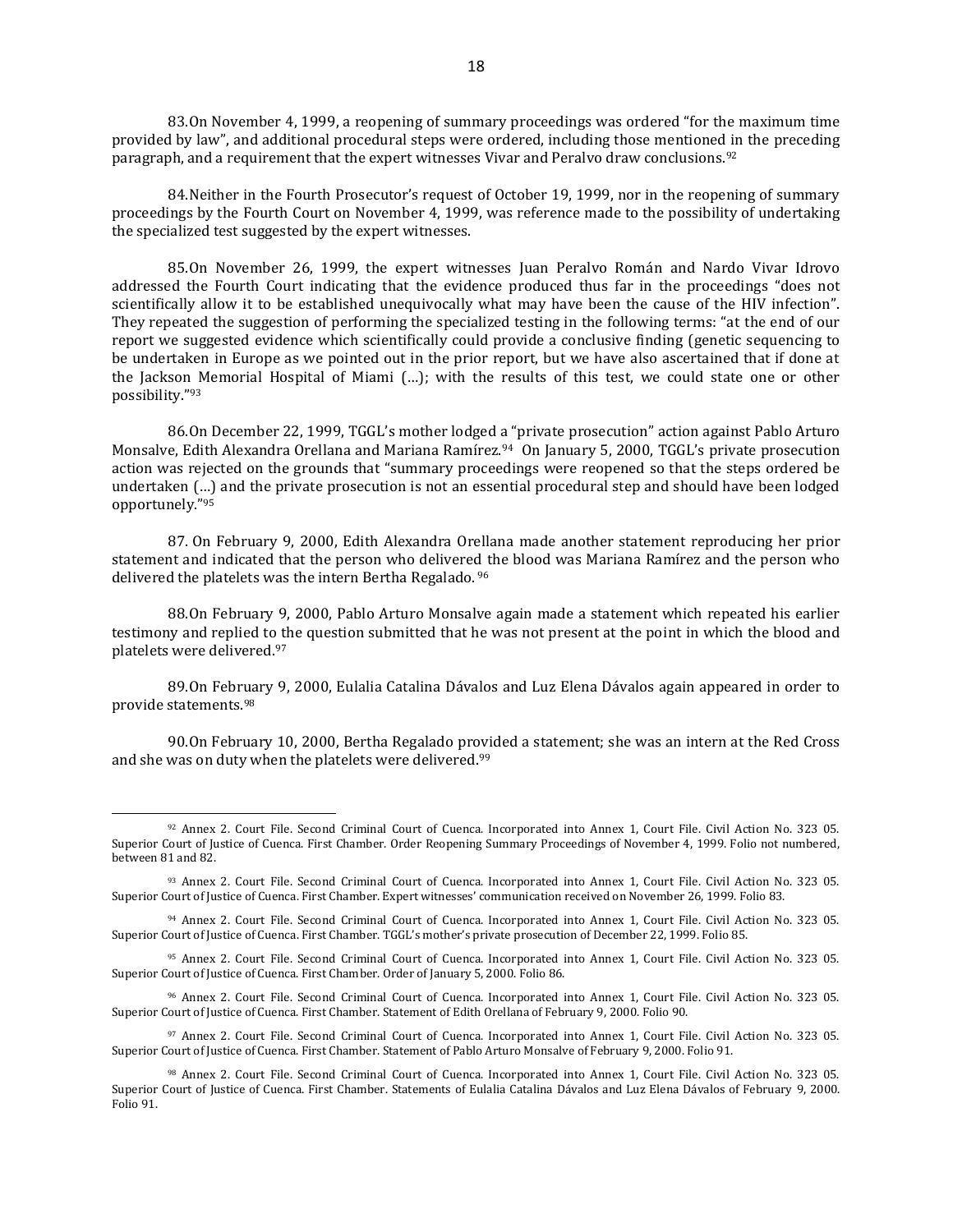83.On November 4, 1999, a reopening of summary proceedings was ordered "for the maximum time provided by law", and additional procedural steps were ordered, including those mentioned in the preceding paragraph, and a requirement that the expert witnesses Vivar and Peralvo draw conclusions.<sup>92</sup>

84.Neither in the Fourth Prosecutor's request of October 19, 1999, nor in the reopening of summary proceedings by the Fourth Court on November 4, 1999, was reference made to the possibility of undertaking the specialized test suggested by the expert witnesses.

85.On November 26, 1999, the expert witnesses Juan Peralvo Román and Nardo Vivar Idrovo addressed the Fourth Court indicating that the evidence produced thus far in the proceedings "does not scientifically allow it to be established unequivocally what may have been the cause of the HIV infection". They repeated the suggestion of performing the specialized testing in the following terms: "at the end of our report we suggested evidence which scientifically could provide a conclusive finding (genetic sequencing to be undertaken in Europe as we pointed out in the prior report, but we have also ascertained that if done at the Jackson Memorial Hospital of Miami (…); with the results of this test, we could state one or other possibility."<sup>93</sup>

86.On December 22, 1999, TGGL's mother lodged a "private prosecution" action against Pablo Arturo Monsalve, Edith Alexandra Orellana and Mariana Ramírez.94 On January 5, 2000, TGGL's private prosecution action was rejected on the grounds that "summary proceedings were reopened so that the steps ordered be undertaken (…) and the private prosecution is not an essential procedural step and should have been lodged opportunely."<sup>95</sup>

87. On February 9, 2000, Edith Alexandra Orellana made another statement reproducing her prior statement and indicated that the person who delivered the blood was Mariana Ramírez and the person who delivered the platelets was the intern Bertha Regalado. <sup>96</sup>

88.On February 9, 2000, Pablo Arturo Monsalve again made a statement which repeated his earlier testimony and replied to the question submitted that he was not present at the point in which the blood and platelets were delivered. 97

89.On February 9, 2000, Eulalia Catalina Dávalos and Luz Elena Dávalos again appeared in order to provide statements. 98

90.On February 10, 2000, Bertha Regalado provided a statement; she was an intern at the Red Cross and she was on duty when the platelets were delivered.<sup>99</sup>

<sup>92</sup> Annex 2. Court File. Second Criminal Court of Cuenca. Incorporated into Annex 1, Court File. Civil Action No. 323 05. Superior Court of Justice of Cuenca. First Chamber. Order Reopening Summary Proceedings of November 4, 1999. Folio not numbered, between 81 and 82.

<sup>93</sup> Annex 2. Court File. Second Criminal Court of Cuenca. Incorporated into Annex 1, Court File. Civil Action No. 323 05. Superior Court of Justice of Cuenca. First Chamber. Expert witnesses' communication received on November 26, 1999. Folio 83.

<sup>94</sup> Annex 2. Court File. Second Criminal Court of Cuenca. Incorporated into Annex 1, Court File. Civil Action No. 323 05. Superior Court of Justice of Cuenca. First Chamber. TGGL's mother's private prosecution of December 22, 1999. Folio 85.

<sup>95</sup> Annex 2. Court File. Second Criminal Court of Cuenca. Incorporated into Annex 1, Court File. Civil Action No. 323 05. Superior Court of Justice of Cuenca. First Chamber. Order of January 5, 2000. Folio 86.

<sup>96</sup> Annex 2. Court File. Second Criminal Court of Cuenca. Incorporated into Annex 1, Court File. Civil Action No. 323 05. Superior Court of Justice of Cuenca. First Chamber. Statement of Edith Orellana of February 9, 2000. Folio 90.

<sup>97</sup> Annex 2. Court File. Second Criminal Court of Cuenca. Incorporated into Annex 1, Court File. Civil Action No. 323 05. Superior Court of Justice of Cuenca. First Chamber. Statement of Pablo Arturo Monsalve of February 9, 2000. Folio 91.

<sup>98</sup> Annex 2. Court File. Second Criminal Court of Cuenca. Incorporated into Annex 1, Court File. Civil Action No. 323 05. Superior Court of Justice of Cuenca. First Chamber. Statements of Eulalia Catalina Dávalos and Luz Elena Dávalos of February 9, 2000. Folio 91.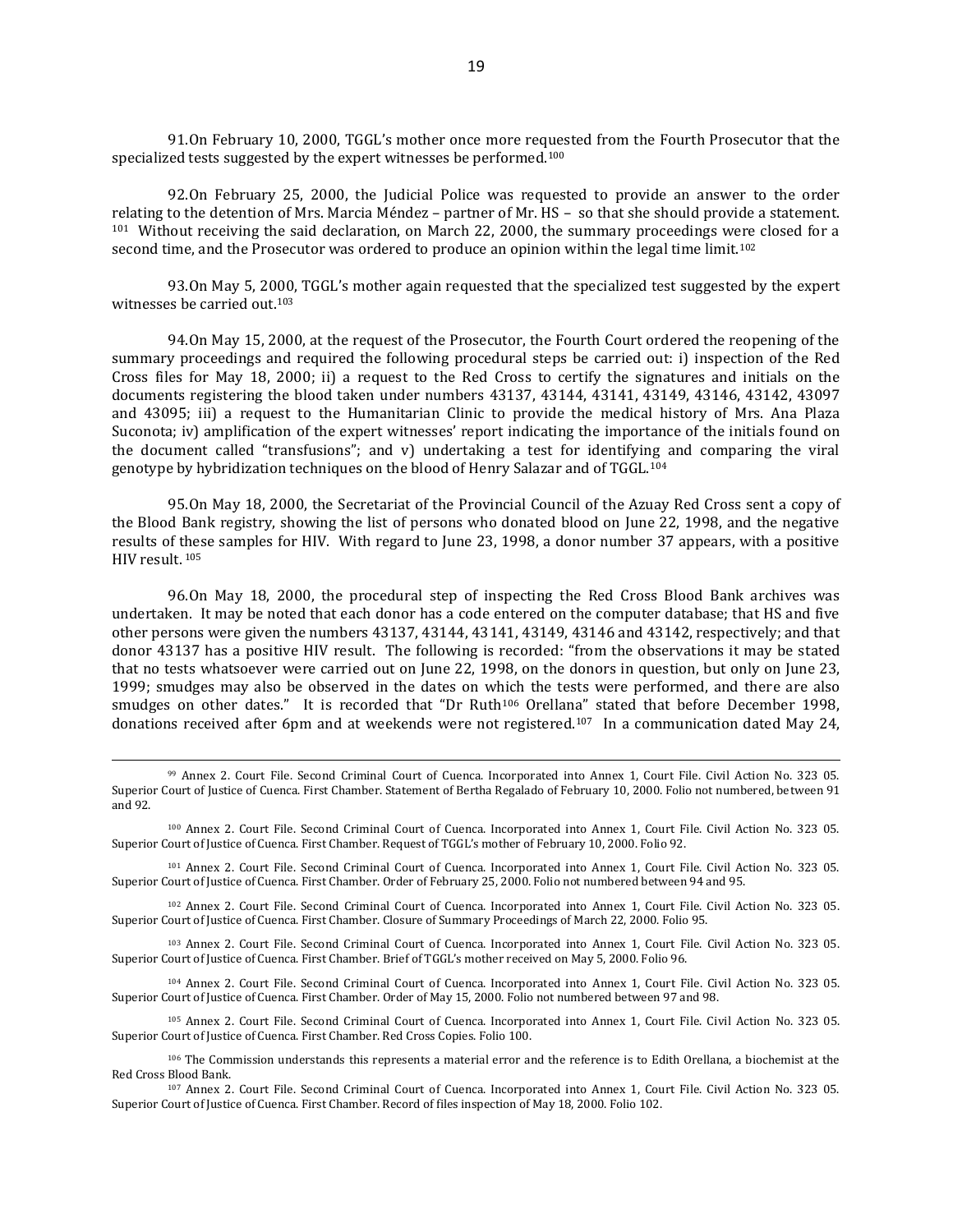91.On February 10, 2000, TGGL's mother once more requested from the Fourth Prosecutor that the specialized tests suggested by the expert witnesses be performed.<sup>100</sup>

92.On February 25, 2000, the Judicial Police was requested to provide an answer to the order relating to the detention of Mrs. Marcia Méndez – partner of Mr. HS – so that she should provide a statement. <sup>101</sup> Without receiving the said declaration, on March 22, 2000, the summary proceedings were closed for a second time, and the Prosecutor was ordered to produce an opinion within the legal time limit.<sup>102</sup>

93.On May 5, 2000, TGGL's mother again requested that the specialized test suggested by the expert witnesses be carried out.<sup>103</sup>

94.On May 15, 2000, at the request of the Prosecutor, the Fourth Court ordered the reopening of the summary proceedings and required the following procedural steps be carried out: i) inspection of the Red Cross files for May 18, 2000; ii) a request to the Red Cross to certify the signatures and initials on the documents registering the blood taken under numbers 43137, 43144, 43141, 43149, 43146, 43142, 43097 and 43095; iii) a request to the Humanitarian Clinic to provide the medical history of Mrs. Ana Plaza Suconota; iv) amplification of the expert witnesses' report indicating the importance of the initials found on the document called "transfusions"; and v) undertaking a test for identifying and comparing the viral genotype by hybridization techniques on the blood of Henry Salazar and of TGGL.<sup>104</sup>

95.On May 18, 2000, the Secretariat of the Provincial Council of the Azuay Red Cross sent a copy of the Blood Bank registry, showing the list of persons who donated blood on June 22, 1998, and the negative results of these samples for HIV. With regard to June 23, 1998, a donor number 37 appears, with a positive HIV result. <sup>105</sup>

96.On May 18, 2000, the procedural step of inspecting the Red Cross Blood Bank archives was undertaken. It may be noted that each donor has a code entered on the computer database; that HS and five other persons were given the numbers 43137, 43144, 43141, 43149, 43146 and 43142, respectively; and that donor 43137 has a positive HIV result. The following is recorded: "from the observations it may be stated that no tests whatsoever were carried out on June 22, 1998, on the donors in question, but only on June 23, 1999; smudges may also be observed in the dates on which the tests were performed, and there are also smudges on other dates." It is recorded that "Dr Ruth<sup>106</sup> Orellana" stated that before December 1998, donations received after 6pm and at weekends were not registered.107 In a communication dated May 24,

 $\overline{a}$ 

<sup>101</sup> Annex 2. Court File. Second Criminal Court of Cuenca. Incorporated into Annex 1, Court File. Civil Action No. 323 05. Superior Court of Justice of Cuenca. First Chamber. Order of February 25, 2000. Folio not numbered between 94 and 95.

<sup>102</sup> Annex 2. Court File. Second Criminal Court of Cuenca. Incorporated into Annex 1, Court File. Civil Action No. 323 05. Superior Court of Justice of Cuenca. First Chamber. Closure of Summary Proceedings of March 22, 2000. Folio 95.

<sup>103</sup> Annex 2. Court File. Second Criminal Court of Cuenca. Incorporated into Annex 1, Court File. Civil Action No. 323 05. Superior Court of Justice of Cuenca. First Chamber. Brief of TGGL's mother received on May 5, 2000. Folio 96.

<sup>104</sup> Annex 2. Court File. Second Criminal Court of Cuenca. Incorporated into Annex 1, Court File. Civil Action No. 323 05. Superior Court of Justice of Cuenca. First Chamber. Order of May 15, 2000. Folio not numbered between 97 and 98.

<sup>105</sup> Annex 2. Court File. Second Criminal Court of Cuenca. Incorporated into Annex 1, Court File. Civil Action No. 323 05. Superior Court of Justice of Cuenca. First Chamber. Red Cross Copies. Folio 100.

<sup>99</sup> Annex 2. Court File. Second Criminal Court of Cuenca. Incorporated into Annex 1, Court File. Civil Action No. 323 05. Superior Court of Justice of Cuenca. First Chamber. Statement of Bertha Regalado of February 10, 2000. Folio not numbered, between 91 and 92.

<sup>100</sup> Annex 2. Court File. Second Criminal Court of Cuenca. Incorporated into Annex 1, Court File. Civil Action No. 323 05. Superior Court of Justice of Cuenca. First Chamber. Request of TGGL's mother of February 10, 2000. Folio 92.

<sup>106</sup> The Commission understands this represents a material error and the reference is to Edith Orellana, a biochemist at the Red Cross Blood Bank.

<sup>107</sup> Annex 2. Court File. Second Criminal Court of Cuenca. Incorporated into Annex 1, Court File. Civil Action No. 323 05. Superior Court of Justice of Cuenca. First Chamber. Record of files inspection of May 18, 2000. Folio 102.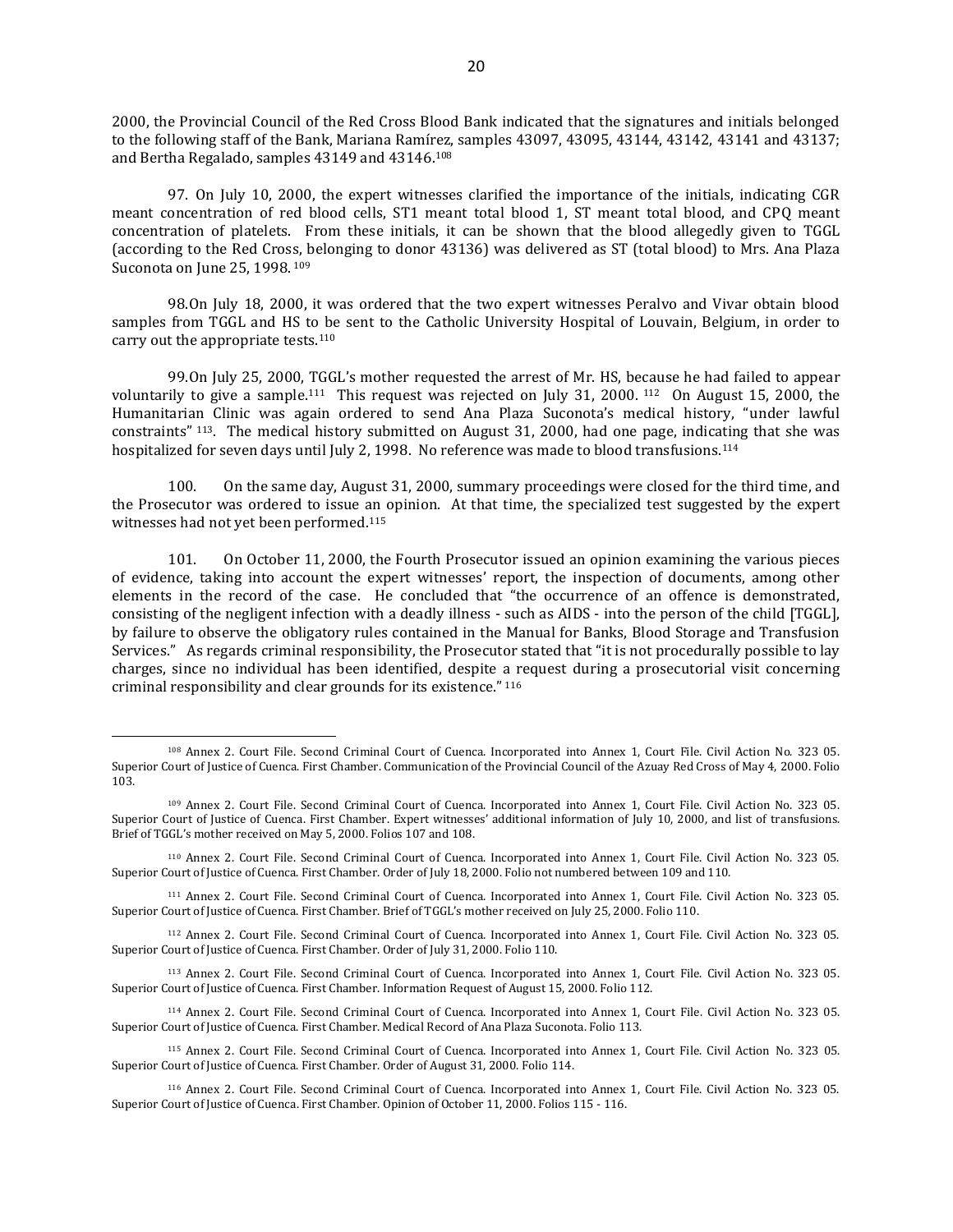2000, the Provincial Council of the Red Cross Blood Bank indicated that the signatures and initials belonged to the following staff of the Bank, Mariana Ramírez, samples 43097, 43095, 43144, 43142, 43141 and 43137; and Bertha Regalado, samples 43149 and 43146. 108

97. On July 10, 2000, the expert witnesses clarified the importance of the initials, indicating CGR meant concentration of red blood cells, ST1 meant total blood 1, ST meant total blood, and CPQ meant concentration of platelets. From these initials, it can be shown that the blood allegedly given to TGGL (according to the Red Cross, belonging to donor 43136) was delivered as ST (total blood) to Mrs. Ana Plaza Suconota on June 25, 1998. <sup>109</sup>

98.On July 18, 2000, it was ordered that the two expert witnesses Peralvo and Vivar obtain blood samples from TGGL and HS to be sent to the Catholic University Hospital of Louvain, Belgium, in order to carry out the appropriate tests.<sup>110</sup>

99.On July 25, 2000, TGGL's mother requested the arrest of Mr. HS, because he had failed to appear voluntarily to give a sample.111 This request was rejected on July 31, 2000. <sup>112</sup> On August 15, 2000, the Humanitarian Clinic was again ordered to send Ana Plaza Suconota's medical history, "under lawful constraints" <sup>113</sup>. The medical history submitted on August 31, 2000, had one page, indicating that she was hospitalized for seven days until July 2, 1998. No reference was made to blood transfusions.<sup>114</sup>

100. On the same day, August 31, 2000, summary proceedings were closed for the third time, and the Prosecutor was ordered to issue an opinion. At that time, the specialized test suggested by the expert witnesses had not yet been performed.<sup>115</sup>

101. On October 11, 2000, the Fourth Prosecutor issued an opinion examining the various pieces of evidence, taking into account the expert witnesses' report, the inspection of documents, among other elements in the record of the case. He concluded that "the occurrence of an offence is demonstrated, consisting of the negligent infection with a deadly illness - such as AIDS - into the person of the child [TGGL], by failure to observe the obligatory rules contained in the Manual for Banks, Blood Storage and Transfusion Services." As regards criminal responsibility, the Prosecutor stated that "it is not procedurally possible to lay charges, since no individual has been identified, despite a request during a prosecutorial visit concerning criminal responsibility and clear grounds for its existence." <sup>116</sup>

<sup>108</sup> Annex 2. Court File. Second Criminal Court of Cuenca. Incorporated into Annex 1, Court File. Civil Action No. 323 05. Superior Court of Justice of Cuenca. First Chamber. Communication of the Provincial Council of the Azuay Red Cross of May 4, 2000. Folio 103.

<sup>109</sup> Annex 2. Court File. Second Criminal Court of Cuenca. Incorporated into Annex 1, Court File. Civil Action No. 323 05. Superior Court of Justice of Cuenca. First Chamber. Expert witnesses' additional information of July 10, 2000, and list of transfusions. Brief of TGGL's mother received on May 5, 2000. Folios 107 and 108.

<sup>110</sup> Annex 2. Court File. Second Criminal Court of Cuenca. Incorporated into Annex 1, Court File. Civil Action No. 323 05. Superior Court of Justice of Cuenca. First Chamber. Order of July 18, 2000. Folio not numbered between 109 and 110.

<sup>111</sup> Annex 2. Court File. Second Criminal Court of Cuenca. Incorporated into Annex 1, Court File. Civil Action No. 323 05. Superior Court of Justice of Cuenca. First Chamber. Brief of TGGL's mother received on July 25, 2000. Folio 110.

<sup>112</sup> Annex 2. Court File. Second Criminal Court of Cuenca. Incorporated into Annex 1, Court File. Civil Action No. 323 05. Superior Court of Justice of Cuenca. First Chamber. Order of July 31, 2000. Folio 110.

<sup>113</sup> Annex 2. Court File. Second Criminal Court of Cuenca. Incorporated into Annex 1, Court File. Civil Action No. 323 05. Superior Court of Justice of Cuenca. First Chamber. Information Request of August 15, 2000. Folio 112.

<sup>114</sup> Annex 2. Court File. Second Criminal Court of Cuenca. Incorporated into Annex 1, Court File. Civil Action No. 323 05. Superior Court of Justice of Cuenca. First Chamber. Medical Record of Ana Plaza Suconota. Folio 113.

<sup>115</sup> Annex 2. Court File. Second Criminal Court of Cuenca. Incorporated into Annex 1, Court File. Civil Action No. 323 05. Superior Court of Justice of Cuenca. First Chamber. Order of August 31, 2000. Folio 114.

<sup>116</sup> Annex 2. Court File. Second Criminal Court of Cuenca. Incorporated into Annex 1, Court File. Civil Action No. 323 05. Superior Court of Justice of Cuenca. First Chamber. Opinion of October 11, 2000. Folios 115 - 116.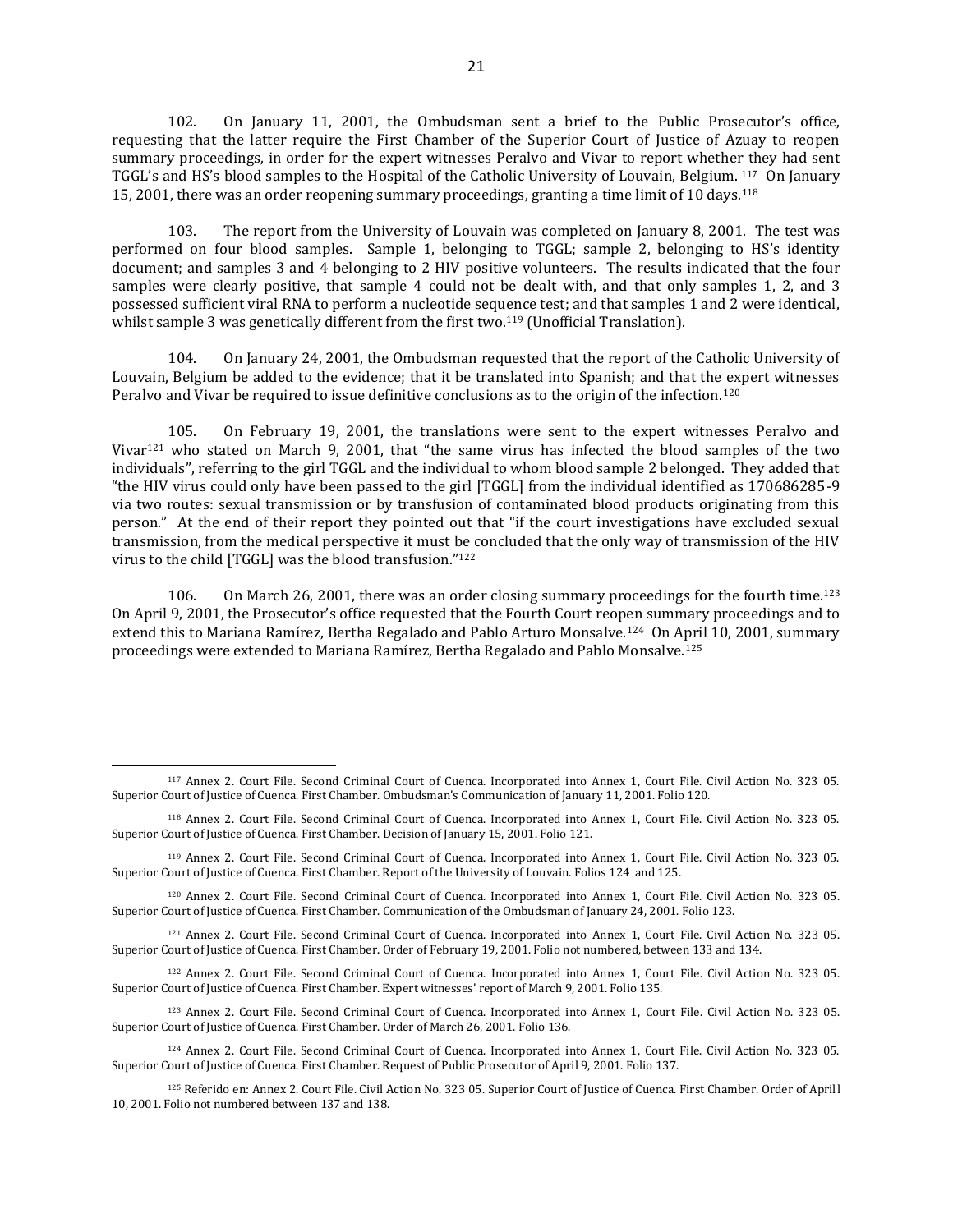102. On January 11, 2001, the Ombudsman sent a brief to the Public Prosecutor's office, requesting that the latter require the First Chamber of the Superior Court of Justice of Azuay to reopen summary proceedings, in order for the expert witnesses Peralvo and Vivar to report whether they had sent TGGL's and HS's blood samples to the Hospital of the Catholic University of Louvain, Belgium. <sup>117</sup> On January 15, 2001, there was an order reopening summary proceedings, granting a time limit of 10 days.<sup>118</sup>

103. The report from the University of Louvain was completed on January 8, 2001. The test was performed on four blood samples. Sample 1, belonging to TGGL; sample 2, belonging to HS's identity document; and samples 3 and 4 belonging to 2 HIV positive volunteers. The results indicated that the four samples were clearly positive, that sample 4 could not be dealt with, and that only samples 1, 2, and 3 possessed sufficient viral RNA to perform a nucleotide sequence test; and that samples 1 and 2 were identical, whilst sample 3 was genetically different from the first two.<sup>119</sup> (Unofficial Translation).

104. On January 24, 2001, the Ombudsman requested that the report of the Catholic University of Louvain, Belgium be added to the evidence; that it be translated into Spanish; and that the expert witnesses Peralvo and Vivar be required to issue definitive conclusions as to the origin of the infection.<sup>120</sup>

105. On February 19, 2001, the translations were sent to the expert witnesses Peralvo and Vivar<sup>121</sup> who stated on March 9, 2001, that "the same virus has infected the blood samples of the two individuals", referring to the girl TGGL and the individual to whom blood sample 2 belonged. They added that "the HIV virus could only have been passed to the girl [TGGL] from the individual identified as 170686285-9 via two routes: sexual transmission or by transfusion of contaminated blood products originating from this person." At the end of their report they pointed out that "if the court investigations have excluded sexual transmission, from the medical perspective it must be concluded that the only way of transmission of the HIV virus to the child [TGGL] was the blood transfusion."<sup>122</sup>

106. On March 26, 2001, there was an order closing summary proceedings for the fourth time.<sup>123</sup> On April 9, 2001, the Prosecutor's office requested that the Fourth Court reopen summary proceedings and to extend this to Mariana Ramírez, Bertha Regalado and Pablo Arturo Monsalve.124 On April 10, 2001, summary proceedings were extended to Mariana Ramírez, Bertha Regalado and Pablo Monsalve.<sup>125</sup>

 $\overline{a}$ 

<sup>123</sup> Annex 2. Court File. Second Criminal Court of Cuenca. Incorporated into Annex 1, Court File. Civil Action No. 323 05. Superior Court of Justice of Cuenca. First Chamber. Order of March 26, 2001. Folio 136.

<sup>125</sup> Referido en: Annex 2. Court File. Civil Action No. 323 05. Superior Court of Justice of Cuenca. First Chamber. Order of Aprill 10, 2001. Folio not numbered between 137 and 138.

<sup>117</sup> Annex 2. Court File. Second Criminal Court of Cuenca. Incorporated into Annex 1, Court File. Civil Action No. 323 05. Superior Court of Justice of Cuenca. First Chamber. Ombudsman's Communication of January 11, 2001. Folio 120.

<sup>118</sup> Annex 2. Court File. Second Criminal Court of Cuenca. Incorporated into Annex 1, Court File. Civil Action No. 323 05. Superior Court of Justice of Cuenca. First Chamber. Decision of January 15, 2001. Folio 121.

<sup>119</sup> Annex 2. Court File. Second Criminal Court of Cuenca. Incorporated into Annex 1, Court File. Civil Action No. 323 05. Superior Court of Justice of Cuenca. First Chamber. Report of the University of Louvain. Folios 124 and 125.

<sup>120</sup> Annex 2. Court File. Second Criminal Court of Cuenca. Incorporated into Annex 1, Court File. Civil Action No. 323 05. Superior Court of Justice of Cuenca. First Chamber. Communication of the Ombudsman of January 24, 2001. Folio 123.

<sup>121</sup> Annex 2. Court File. Second Criminal Court of Cuenca. Incorporated into Annex 1, Court File. Civil Action No. 323 05. Superior Court of Justice of Cuenca. First Chamber. Order of February 19, 2001. Folio not numbered, between 133 and 134.

<sup>122</sup> Annex 2. Court File. Second Criminal Court of Cuenca. Incorporated into Annex 1, Court File. Civil Action No. 323 05. Superior Court of Justice of Cuenca. First Chamber. Expert witnesses' report of March 9, 2001. Folio 135.

<sup>124</sup> Annex 2. Court File. Second Criminal Court of Cuenca. Incorporated into Annex 1, Court File. Civil Action No. 323 05. Superior Court of Justice of Cuenca. First Chamber. Request of Public Prosecutor of April 9, 2001. Folio 137.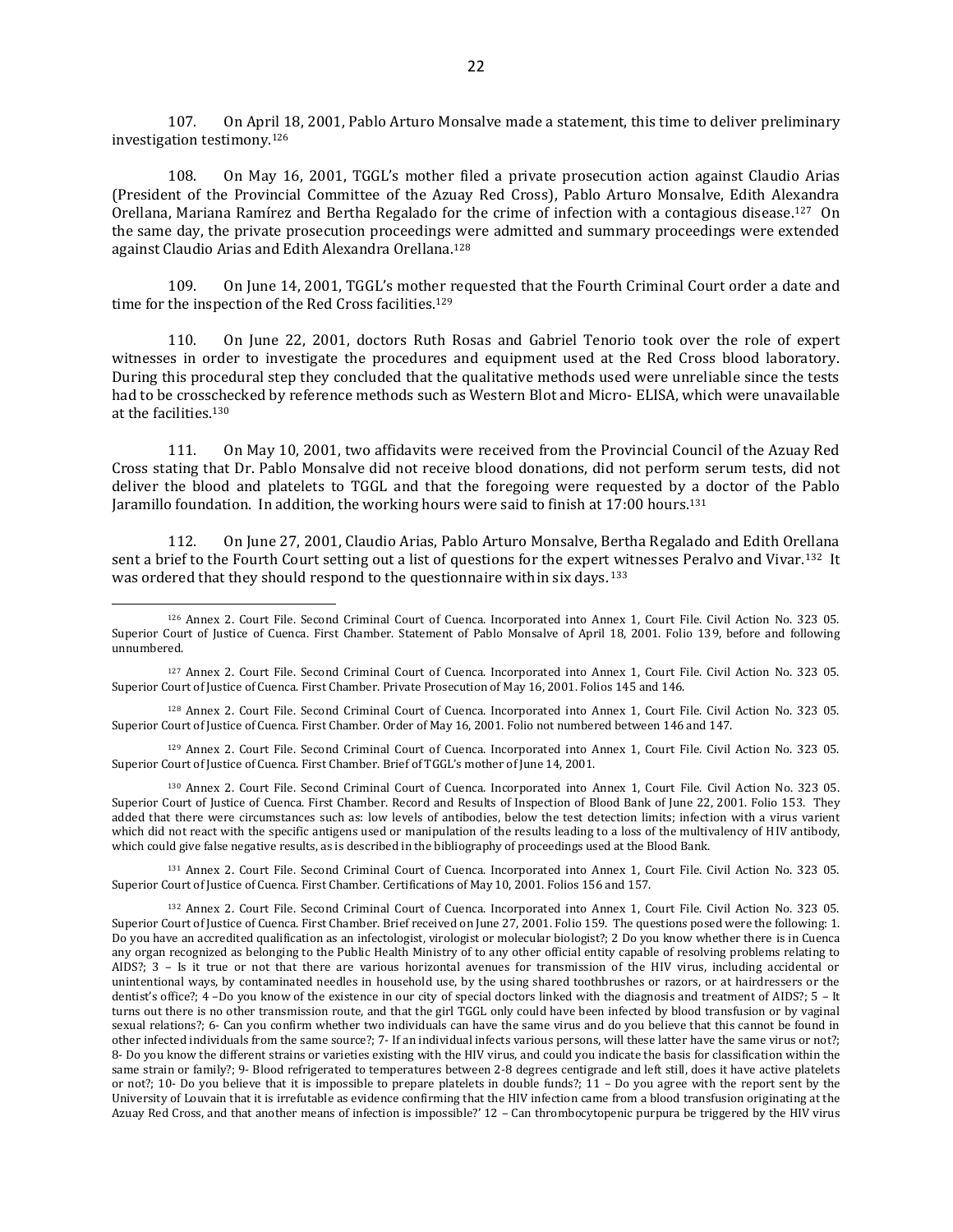107. On April 18, 2001, Pablo Arturo Monsalve made a statement, this time to deliver preliminary investigation testimony.<sup>126</sup>

108. On May 16, 2001, TGGL's mother filed a private prosecution action against Claudio Arias (President of the Provincial Committee of the Azuay Red Cross), Pablo Arturo Monsalve, Edith Alexandra Orellana, Mariana Ramírez and Bertha Regalado for the crime of infection with a contagious disease.<sup>127</sup> On the same day, the private prosecution proceedings were admitted and summary proceedings were extended against Claudio Arias and Edith Alexandra Orellana.<sup>128</sup>

109. On June 14, 2001, TGGL's mother requested that the Fourth Criminal Court order a date and time for the inspection of the Red Cross facilities.<sup>129</sup>

110. On June 22, 2001, doctors Ruth Rosas and Gabriel Tenorio took over the role of expert witnesses in order to investigate the procedures and equipment used at the Red Cross blood laboratory. During this procedural step they concluded that the qualitative methods used were unreliable since the tests had to be crosschecked by reference methods such as Western Blot and Micro- ELISA, which were unavailable at the facilities.<sup>130</sup>

111. On May 10, 2001, two affidavits were received from the Provincial Council of the Azuay Red Cross stating that Dr. Pablo Monsalve did not receive blood donations, did not perform serum tests, did not deliver the blood and platelets to TGGL and that the foregoing were requested by a doctor of the Pablo Jaramillo foundation. In addition, the working hours were said to finish at 17:00 hours.<sup>131</sup>

112. On June 27, 2001, Claudio Arias, Pablo Arturo Monsalve, Bertha Regalado and Edith Orellana sent a brief to the Fourth Court setting out a list of questions for the expert witnesses Peralvo and Vivar.<sup>132</sup> It was ordered that they should respond to the questionnaire within six days. <sup>133</sup>

<sup>128</sup> Annex 2. Court File. Second Criminal Court of Cuenca. Incorporated into Annex 1, Court File. Civil Action No. 323 05. Superior Court of Justice of Cuenca. First Chamber. Order of May 16, 2001. Folio not numbered between 146 and 147.

<sup>129</sup> Annex 2. Court File. Second Criminal Court of Cuenca. Incorporated into Annex 1, Court File. Civil Action No. 323 05. Superior Court of Justice of Cuenca. First Chamber. Brief of TGGL's mother of June 14, 2001.

<sup>130</sup> Annex 2. Court File. Second Criminal Court of Cuenca. Incorporated into Annex 1, Court File. Civil Action No. 323 05. Superior Court of Justice of Cuenca. First Chamber. Record and Results of Inspection of Blood Bank of June 22, 2001. Folio 153. They added that there were circumstances such as: low levels of antibodies, below the test detection limits; infection with a virus varient which did not react with the specific antigens used or manipulation of the results leading to a loss of the multivalency of HIV antibody, which could give false negative results, as is described in the bibliography of proceedings used at the Blood Bank.

<sup>131</sup> Annex 2. Court File. Second Criminal Court of Cuenca. Incorporated into Annex 1, Court File. Civil Action No. 323 05. Superior Court of Justice of Cuenca. First Chamber. Certifications of May 10, 2001. Folios 156 and 157.

<sup>132</sup> Annex 2. Court File. Second Criminal Court of Cuenca. Incorporated into Annex 1, Court File. Civil Action No. 323 05. Superior Court of Justice of Cuenca. First Chamber. Brief received on June 27, 2001. Folio 159. The questions posed were the following: 1. Do you have an accredited qualification as an infectologist, virologist or molecular biologist?; 2 Do you know whether there is in Cuenca any organ recognized as belonging to the Public Health Ministry of to any other official entity capable of resolving problems relating to AIDS?; 3 – Is it true or not that there are various horizontal avenues for transmission of the HIV virus, including accidental or unintentional ways, by contaminated needles in household use, by the using shared toothbrushes or razors, or at hairdressers or the dentist's office?; 4 –Do you know of the existence in our city of special doctors linked with the diagnosis and treatment of AIDS?; 5 – It turns out there is no other transmission route, and that the girl TGGL only could have been infected by blood transfusion or by vaginal sexual relations?; 6- Can you confirm whether two individuals can have the same virus and do you believe that this cannot be found in other infected individuals from the same source?; 7- If an individual infects various persons, will these latter have the same virus or not?; 8- Do you know the different strains or varieties existing with the HIV virus, and could you indicate the basis for classification within the same strain or family?; 9- Blood refrigerated to temperatures between 2-8 degrees centigrade and left still, does it have active platelets or not?; 10- Do you believe that it is impossible to prepare platelets in double funds?; 11 – Do you agree with the report sent by the University of Louvain that it is irrefutable as evidence confirming that the HIV infection came from a blood transfusion originating at the Azuay Red Cross, and that another means of infection is impossible?' 12 – Can thrombocytopenic purpura be triggered by the HIV virus

<sup>126</sup> Annex 2. Court File. Second Criminal Court of Cuenca. Incorporated into Annex 1, Court File. Civil Action No. 323 05. Superior Court of Justice of Cuenca. First Chamber. Statement of Pablo Monsalve of April 18, 2001. Folio 139, before and following unnumbered.

<sup>127</sup> Annex 2. Court File. Second Criminal Court of Cuenca. Incorporated into Annex 1, Court File. Civil Action No. 323 05. Superior Court of Justice of Cuenca. First Chamber. Private Prosecution of May 16, 2001. Folios 145 and 146.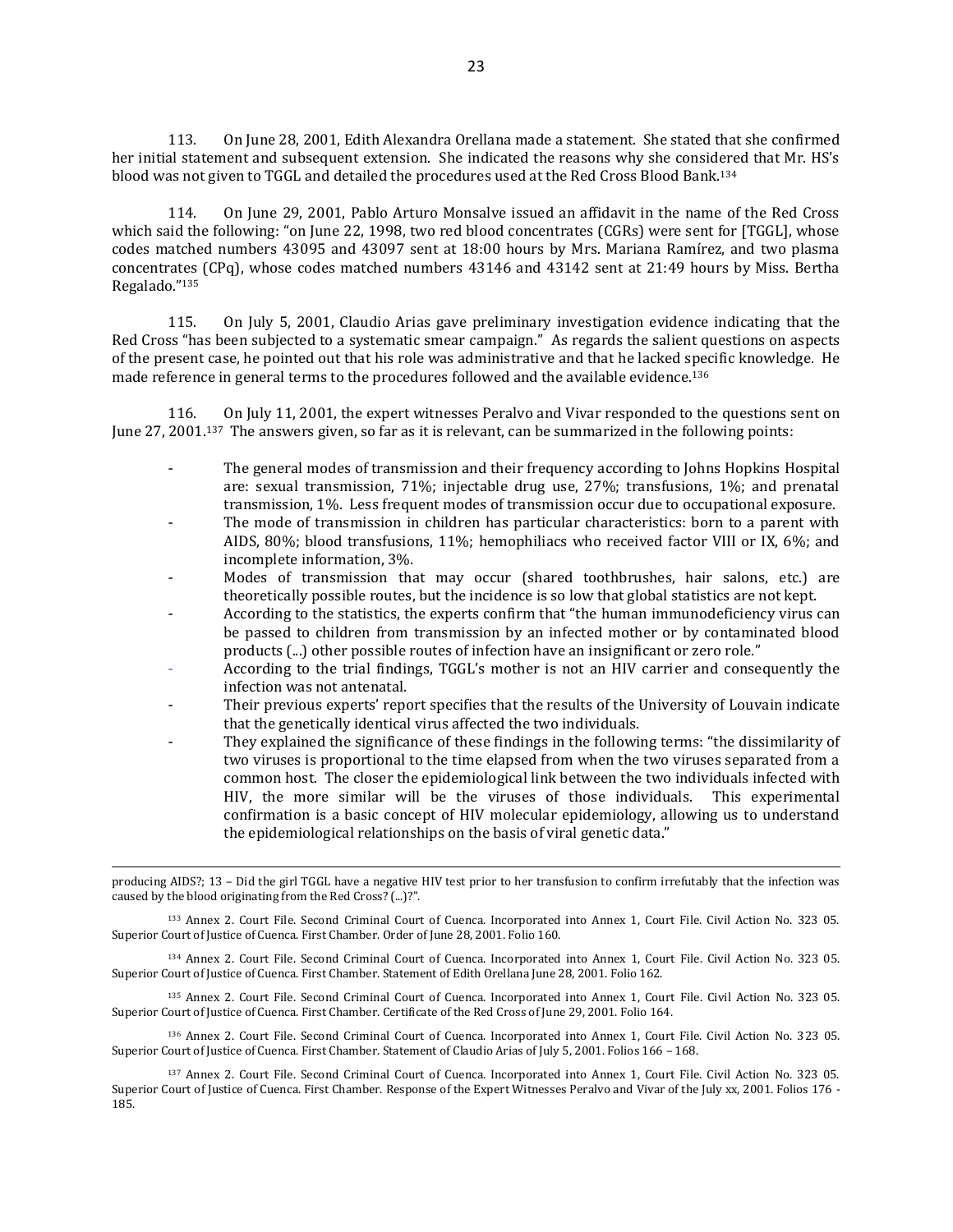113. On June 28, 2001, Edith Alexandra Orellana made a statement. She stated that she confirmed her initial statement and subsequent extension. She indicated the reasons why she considered that Mr. HS's blood was not given to TGGL and detailed the procedures used at the Red Cross Blood Bank.<sup>134</sup>

114. On June 29, 2001, Pablo Arturo Monsalve issued an affidavit in the name of the Red Cross which said the following: "on June 22, 1998, two red blood concentrates (CGRs) were sent for [TGGL], whose codes matched numbers 43095 and 43097 sent at 18:00 hours by Mrs. Mariana Ramírez, and two plasma concentrates (CPq), whose codes matched numbers 43146 and 43142 sent at 21:49 hours by Miss. Bertha Regalado."<sup>135</sup>

115. On July 5, 2001, Claudio Arias gave preliminary investigation evidence indicating that the Red Cross "has been subjected to a systematic smear campaign." As regards the salient questions on aspects of the present case, he pointed out that his role was administrative and that he lacked specific knowledge. He made reference in general terms to the procedures followed and the available evidence.<sup>136</sup>

116. On July 11, 2001, the expert witnesses Peralvo and Vivar responded to the questions sent on June 27, 2001.137 The answers given, so far as it is relevant, can be summarized in the following points:

- The general modes of transmission and their frequency according to Johns Hopkins Hospital are: sexual transmission, 71%; injectable drug use, 27%; transfusions, 1%; and prenatal transmission, 1%. Less frequent modes of transmission occur due to occupational exposure.
- The mode of transmission in children has particular characteristics: born to a parent with AIDS, 80%; blood transfusions, 11%; hemophiliacs who received factor VIII or IX, 6%; and incomplete information, 3%.
- Modes of transmission that may occur (shared toothbrushes, hair salons, etc.) are theoretically possible routes, but the incidence is so low that global statistics are not kept.
- According to the statistics, the experts confirm that "the human immunodeficiency virus can be passed to children from transmission by an infected mother or by contaminated blood products (...) other possible routes of infection have an insignificant or zero role."
- According to the trial findings, TGGL's mother is not an HIV carrier and consequently the infection was not antenatal.
- Their previous experts' report specifies that the results of the University of Louvain indicate that the genetically identical virus affected the two individuals.
- They explained the significance of these findings in the following terms: "the dissimilarity of two viruses is proportional to the time elapsed from when the two viruses separated from a common host. The closer the epidemiological link between the two individuals infected with HIV, the more similar will be the viruses of those individuals. This experimental confirmation is a basic concept of HIV molecular epidemiology, allowing us to understand the epidemiological relationships on the basis of viral genetic data."

producing AIDS?; 13 – Did the girl TGGL have a negative HIV test prior to her transfusion to confirm irrefutably that the infection was caused by the blood originating from the Red Cross? (...)?".

 $\overline{a}$ 

<sup>133</sup> Annex 2. Court File. Second Criminal Court of Cuenca. Incorporated into Annex 1, Court File. Civil Action No. 323 05. Superior Court of Justice of Cuenca. First Chamber. Order of June 28, 2001. Folio 160.

<sup>134</sup> Annex 2. Court File. Second Criminal Court of Cuenca. Incorporated into Annex 1, Court File. Civil Action No. 323 05. Superior Court of Justice of Cuenca. First Chamber. Statement of Edith Orellana June 28, 2001. Folio 162.

<sup>135</sup> Annex 2. Court File. Second Criminal Court of Cuenca. Incorporated into Annex 1, Court File. Civil Action No. 323 05. Superior Court of Justice of Cuenca. First Chamber. Certificate of the Red Cross of June 29, 2001. Folio 164.

<sup>136</sup> Annex 2. Court File. Second Criminal Court of Cuenca. Incorporated into Annex 1, Court File. Civil Action No. 323 05. Superior Court of Justice of Cuenca. First Chamber. Statement of Claudio Arias of July 5, 2001. Folios 166 – 168.

<sup>137</sup> Annex 2. Court File. Second Criminal Court of Cuenca. Incorporated into Annex 1, Court File. Civil Action No. 323 05. Superior Court of Justice of Cuenca. First Chamber. Response of the Expert Witnesses Peralvo and Vivar of the July xx, 2001. Folios 176 - 185.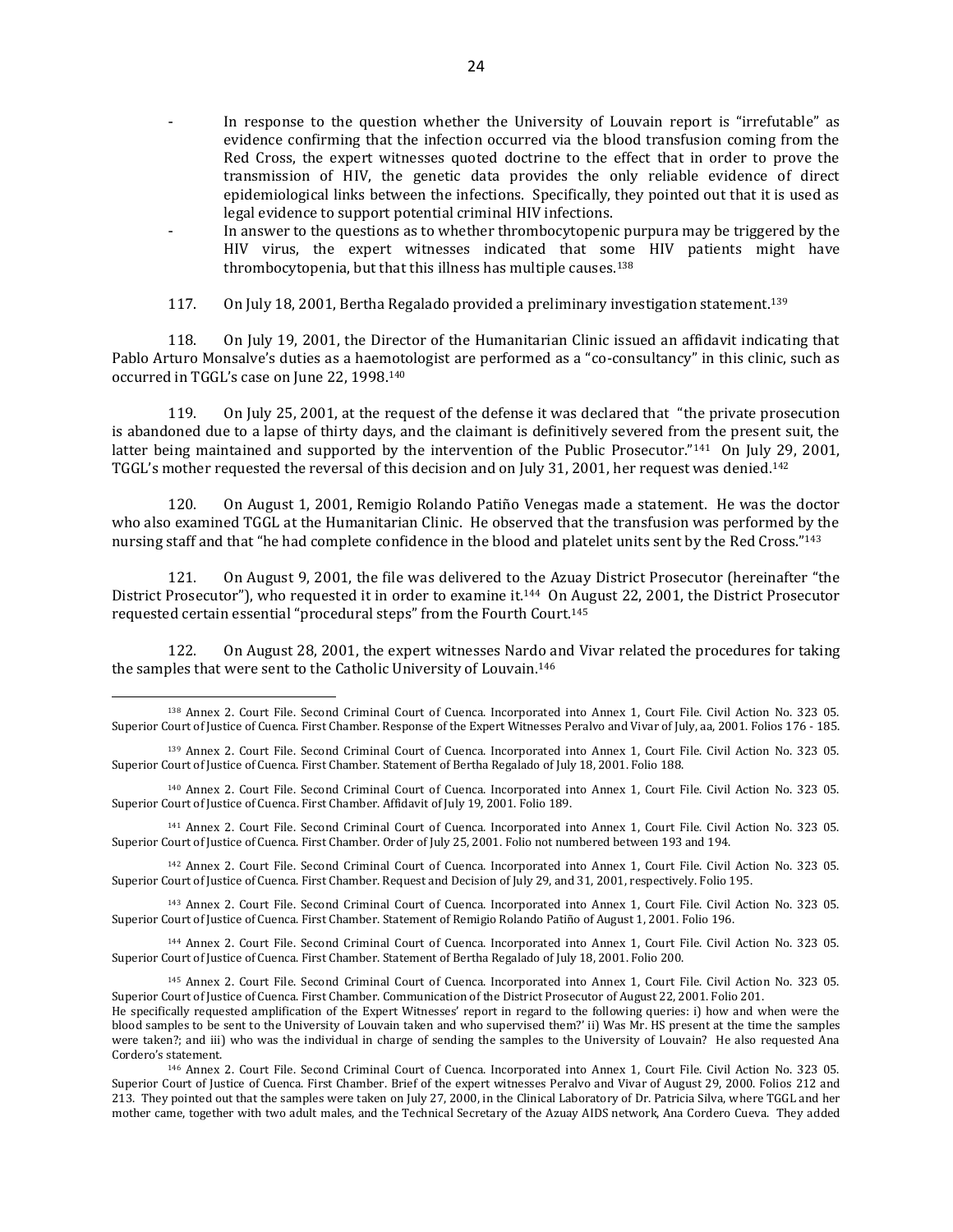- In response to the question whether the University of Louvain report is "irrefutable" as evidence confirming that the infection occurred via the blood transfusion coming from the Red Cross, the expert witnesses quoted doctrine to the effect that in order to prove the transmission of HIV, the genetic data provides the only reliable evidence of direct epidemiological links between the infections. Specifically, they pointed out that it is used as legal evidence to support potential criminal HIV infections.
- In answer to the questions as to whether thrombocytopenic purpura may be triggered by the HIV virus, the expert witnesses indicated that some HIV patients might have thrombocytopenia, but that this illness has multiple causes.<sup>138</sup>
- 117. On July 18, 2001, Bertha Regalado provided a preliminary investigation statement.<sup>139</sup>

118. On July 19, 2001, the Director of the Humanitarian Clinic issued an affidavit indicating that Pablo Arturo Monsalve's duties as a haemotologist are performed as a "co-consultancy" in this clinic, such as occurred in TGGL's case on June 22, 1998.<sup>140</sup>

119. On July 25, 2001, at the request of the defense it was declared that "the private prosecution is abandoned due to a lapse of thirty days, and the claimant is definitively severed from the present suit, the latter being maintained and supported by the intervention of the Public Prosecutor."<sup>141</sup> On July 29, 2001, TGGL's mother requested the reversal of this decision and on July 31, 2001, her request was denied. 142

120. On August 1, 2001, Remigio Rolando Patiño Venegas made a statement. He was the doctor who also examined TGGL at the Humanitarian Clinic. He observed that the transfusion was performed by the nursing staff and that "he had complete confidence in the blood and platelet units sent by the Red Cross."<sup>143</sup>

121. On August 9, 2001, the file was delivered to the Azuay District Prosecutor (hereinafter "the District Prosecutor"), who requested it in order to examine it.<sup>144</sup> On August 22, 2001, the District Prosecutor requested certain essential "procedural steps" from the Fourth Court.<sup>145</sup>

122. On August 28, 2001, the expert witnesses Nardo and Vivar related the procedures for taking the samples that were sent to the Catholic University of Louvain. 146

 $\overline{a}$ 

<sup>142</sup> Annex 2. Court File. Second Criminal Court of Cuenca. Incorporated into Annex 1, Court File. Civil Action No. 323 05. Superior Court of Justice of Cuenca. First Chamber. Request and Decision of July 29, and 31, 2001, respectively. Folio 195.

<sup>143</sup> Annex 2. Court File. Second Criminal Court of Cuenca. Incorporated into Annex 1, Court File. Civil Action No. 323 05. Superior Court of Justice of Cuenca. First Chamber. Statement of Remigio Rolando Patiño of August 1, 2001. Folio 196.

<sup>144</sup> Annex 2. Court File. Second Criminal Court of Cuenca. Incorporated into Annex 1, Court File. Civil Action No. 323 05. Superior Court of Justice of Cuenca. First Chamber. Statement of Bertha Regalado of July 18, 2001. Folio 200.

<sup>138</sup> Annex 2. Court File. Second Criminal Court of Cuenca. Incorporated into Annex 1, Court File. Civil Action No. 323 05. Superior Court of Justice of Cuenca. First Chamber. Response of the Expert Witnesses Peralvo and Vivar of July, aa, 2001. Folios 176 - 185.

<sup>139</sup> Annex 2. Court File. Second Criminal Court of Cuenca. Incorporated into Annex 1, Court File. Civil Action No. 323 05. Superior Court of Justice of Cuenca. First Chamber. Statement of Bertha Regalado of July 18, 2001. Folio 188.

<sup>140</sup> Annex 2. Court File. Second Criminal Court of Cuenca. Incorporated into Annex 1, Court File. Civil Action No. 323 05. Superior Court of Justice of Cuenca. First Chamber. Affidavit of July 19, 2001. Folio 189.

<sup>141</sup> Annex 2. Court File. Second Criminal Court of Cuenca. Incorporated into Annex 1, Court File. Civil Action No. 323 05. Superior Court of Justice of Cuenca. First Chamber. Order of July 25, 2001. Folio not numbered between 193 and 194.

<sup>145</sup> Annex 2. Court File. Second Criminal Court of Cuenca. Incorporated into Annex 1, Court File. Civil Action No. 323 05. Superior Court of Justice of Cuenca. First Chamber. Communication of the District Prosecutor of August 22, 2001. Folio 201.

He specifically requested amplification of the Expert Witnesses' report in regard to the following queries: i) how and when were the blood samples to be sent to the University of Louvain taken and who supervised them?' ii) Was Mr. HS present at the time the samples were taken?; and iii) who was the individual in charge of sending the samples to the University of Louvain? He also requested Ana Cordero's statement.

<sup>146</sup> Annex 2. Court File. Second Criminal Court of Cuenca. Incorporated into Annex 1, Court File. Civil Action No. 323 05. Superior Court of Justice of Cuenca. First Chamber. Brief of the expert witnesses Peralvo and Vivar of August 29, 2000. Folios 212 and 213. They pointed out that the samples were taken on July 27, 2000, in the Clinical Laboratory of Dr. Patricia Silva, where TGGL and her mother came, together with two adult males, and the Technical Secretary of the Azuay AIDS network, Ana Cordero Cueva. They added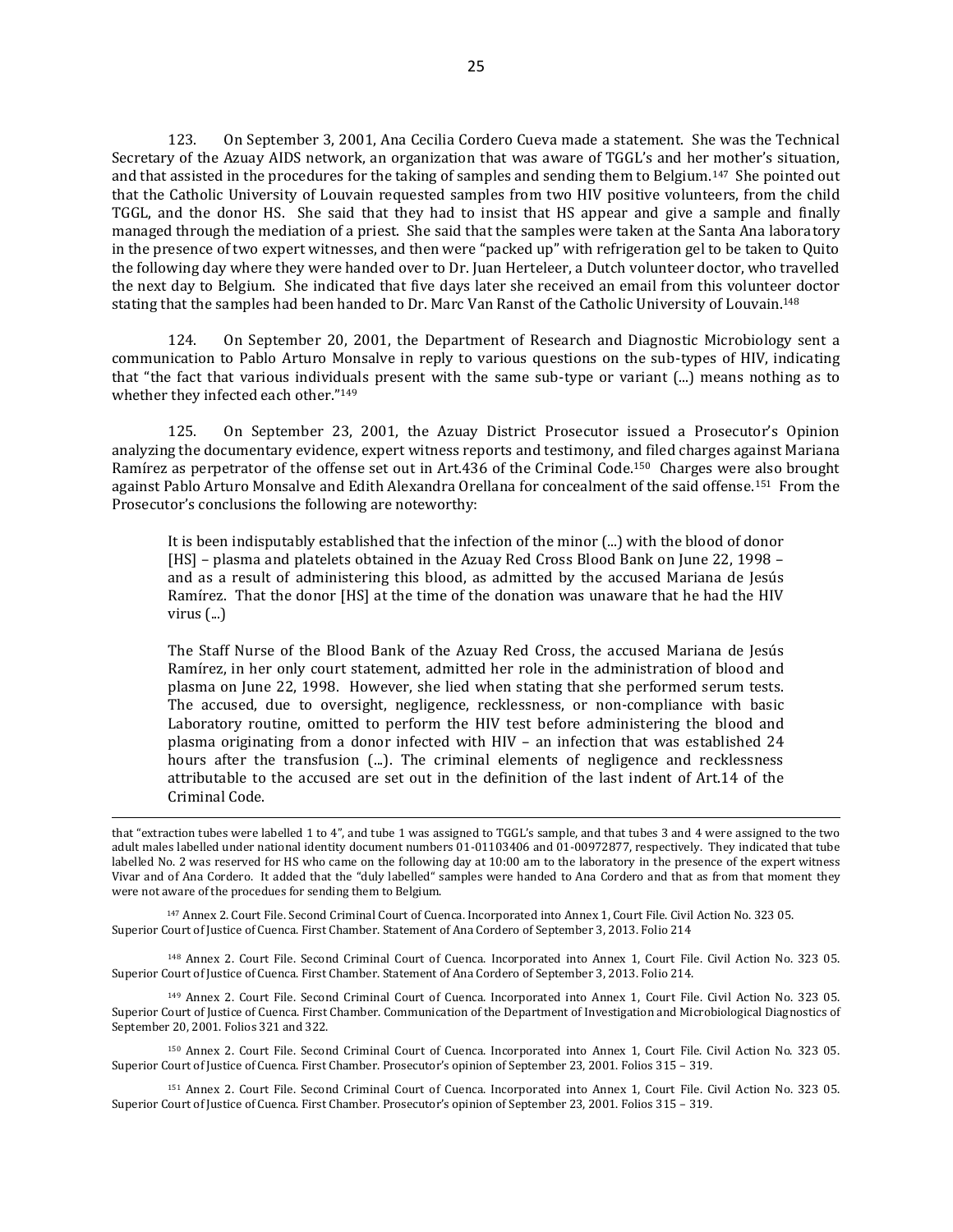123. On September 3, 2001, Ana Cecilia Cordero Cueva made a statement. She was the Technical Secretary of the Azuay AIDS network, an organization that was aware of TGGL's and her mother's situation, and that assisted in the procedures for the taking of samples and sending them to Belgium.147 She pointed out that the Catholic University of Louvain requested samples from two HIV positive volunteers, from the child TGGL, and the donor HS. She said that they had to insist that HS appear and give a sample and finally managed through the mediation of a priest. She said that the samples were taken at the Santa Ana laboratory in the presence of two expert witnesses, and then were "packed up" with refrigeration gel to be taken to Quito the following day where they were handed over to Dr. Juan Herteleer, a Dutch volunteer doctor, who travelled the next day to Belgium. She indicated that five days later she received an email from this volunteer doctor stating that the samples had been handed to Dr. Marc Van Ranst of the Catholic University of Louvain. 148

124. On September 20, 2001, the Department of Research and Diagnostic Microbiology sent a communication to Pablo Arturo Monsalve in reply to various questions on the sub-types of HIV, indicating that "the fact that various individuals present with the same sub-type or variant (...) means nothing as to whether they infected each other."<sup>149</sup>

125. On September 23, 2001, the Azuay District Prosecutor issued a Prosecutor's Opinion analyzing the documentary evidence, expert witness reports and testimony, and filed charges against Mariana Ramírez as perpetrator of the offense set out in Art.436 of the Criminal Code.150 Charges were also brought against Pablo Arturo Monsalve and Edith Alexandra Orellana for concealment of the said offense.151 From the Prosecutor's conclusions the following are noteworthy:

It is been indisputably established that the infection of the minor (...) with the blood of donor [HS] – plasma and platelets obtained in the Azuay Red Cross Blood Bank on June 22, 1998 – and as a result of administering this blood, as admitted by the accused Mariana de Jesús Ramírez. That the donor [HS] at the time of the donation was unaware that he had the HIV virus (...)

The Staff Nurse of the Blood Bank of the Azuay Red Cross, the accused Mariana de Jesús Ramírez, in her only court statement, admitted her role in the administration of blood and plasma on June 22, 1998. However, she lied when stating that she performed serum tests. The accused, due to oversight, negligence, recklessness, or non-compliance with basic Laboratory routine, omitted to perform the HIV test before administering the blood and plasma originating from a donor infected with HIV – an infection that was established 24 hours after the transfusion (...). The criminal elements of negligence and recklessness attributable to the accused are set out in the definition of the last indent of Art.14 of the Criminal Code.

that "extraction tubes were labelled 1 to 4", and tube 1 was assigned to TGGL's sample, and that tubes 3 and 4 were assigned to the two adult males labelled under national identity document numbers 01-01103406 and 01-00972877, respectively. They indicated that tube labelled No. 2 was reserved for HS who came on the following day at 10:00 am to the laboratory in the presence of the expert witness Vivar and of Ana Cordero. It added that the "duly labelled" samples were handed to Ana Cordero and that as from that moment they were not aware of the procedues for sending them to Belgium.

<sup>147</sup> Annex 2. Court File. Second Criminal Court of Cuenca. Incorporated into Annex 1, Court File. Civil Action No. 323 05. Superior Court of Justice of Cuenca. First Chamber. Statement of Ana Cordero of September 3, 2013. Folio 214

 $\overline{a}$ 

<sup>148</sup> Annex 2. Court File. Second Criminal Court of Cuenca. Incorporated into Annex 1, Court File. Civil Action No. 323 05. Superior Court of Justice of Cuenca. First Chamber. Statement of Ana Cordero of September 3, 2013. Folio 214.

<sup>149</sup> Annex 2. Court File. Second Criminal Court of Cuenca. Incorporated into Annex 1, Court File. Civil Action No. 323 05. Superior Court of Justice of Cuenca. First Chamber. Communication of the Department of Investigation and Microbiological Diagnostics of September 20, 2001. Folios 321 and 322.

<sup>150</sup> Annex 2. Court File. Second Criminal Court of Cuenca. Incorporated into Annex 1, Court File. Civil Action No. 323 05. Superior Court of Justice of Cuenca. First Chamber. Prosecutor's opinion of September 23, 2001. Folios 315 – 319.

<sup>151</sup> Annex 2. Court File. Second Criminal Court of Cuenca. Incorporated into Annex 1, Court File. Civil Action No. 323 05. Superior Court of Justice of Cuenca. First Chamber. Prosecutor's opinion of September 23, 2001. Folios 315 – 319.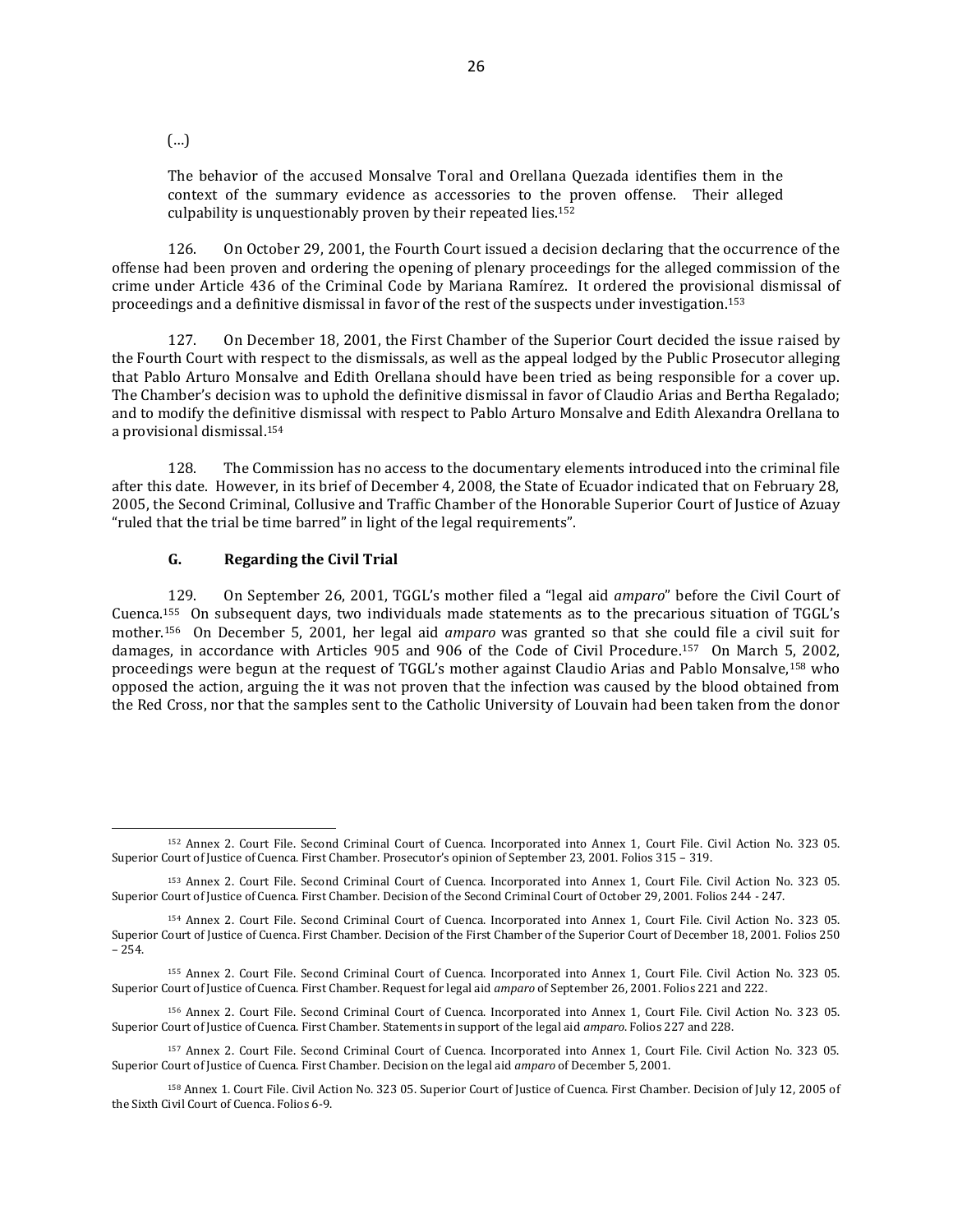(…)

The behavior of the accused Monsalve Toral and Orellana Quezada identifies them in the context of the summary evidence as accessories to the proven offense. Their alleged culpability is unquestionably proven by their repeated lies.<sup>152</sup>

126. On October 29, 2001, the Fourth Court issued a decision declaring that the occurrence of the offense had been proven and ordering the opening of plenary proceedings for the alleged commission of the crime under Article 436 of the Criminal Code by Mariana Ramírez. It ordered the provisional dismissal of proceedings and a definitive dismissal in favor of the rest of the suspects under investigation.<sup>153</sup>

127. On December 18, 2001, the First Chamber of the Superior Court decided the issue raised by the Fourth Court with respect to the dismissals, as well as the appeal lodged by the Public Prosecutor alleging that Pablo Arturo Monsalve and Edith Orellana should have been tried as being responsible for a cover up. The Chamber's decision was to uphold the definitive dismissal in favor of Claudio Arias and Bertha Regalado; and to modify the definitive dismissal with respect to Pablo Arturo Monsalve and Edith Alexandra Orellana to a provisional dismissal. 154

128. The Commission has no access to the documentary elements introduced into the criminal file after this date. However, in its brief of December 4, 2008, the State of Ecuador indicated that on February 28, 2005, the Second Criminal, Collusive and Traffic Chamber of the Honorable Superior Court of Justice of Azuay "ruled that the trial be time barred" in light of the legal requirements".

#### **G. Regarding the Civil Trial**

129. On September 26, 2001, TGGL's mother filed a "legal aid *amparo*" before the Civil Court of Cuenca.155 On subsequent days, two individuals made statements as to the precarious situation of TGGL's mother.156 On December 5, 2001, her legal aid *amparo* was granted so that she could file a civil suit for damages, in accordance with Articles 905 and 906 of the Code of Civil Procedure.157 On March 5, 2002, proceedings were begun at the request of TGGL's mother against Claudio Arias and Pablo Monsalve,<sup>158</sup> who opposed the action, arguing the it was not proven that the infection was caused by the blood obtained from the Red Cross, nor that the samples sent to the Catholic University of Louvain had been taken from the donor

<sup>152</sup> Annex 2. Court File. Second Criminal Court of Cuenca. Incorporated into Annex 1, Court File. Civil Action No. 323 05. Superior Court of Justice of Cuenca. First Chamber. Prosecutor's opinion of September 23, 2001. Folios 315 – 319.

<sup>153</sup> Annex 2. Court File. Second Criminal Court of Cuenca. Incorporated into Annex 1, Court File. Civil Action No. 323 05. Superior Court of Justice of Cuenca. First Chamber. Decision of the Second Criminal Court of October 29, 2001. Folios 244 - 247.

<sup>154</sup> Annex 2. Court File. Second Criminal Court of Cuenca. Incorporated into Annex 1, Court File. Civil Action No. 323 05. Superior Court of Justice of Cuenca. First Chamber. Decision of the First Chamber of the Superior Court of December 18, 2001. Folios 250 – 254.

<sup>155</sup> Annex 2. Court File. Second Criminal Court of Cuenca. Incorporated into Annex 1, Court File. Civil Action No. 323 05. Superior Court of Justice of Cuenca. First Chamber. Request for legal aid *amparo* of September 26, 2001. Folios 221 and 222.

<sup>156</sup> Annex 2. Court File. Second Criminal Court of Cuenca. Incorporated into Annex 1, Court File. Civil Action No. 323 05. Superior Court of Justice of Cuenca. First Chamber. Statements in support of the legal aid *amparo*. Folios 227 and 228.

<sup>157</sup> Annex 2. Court File. Second Criminal Court of Cuenca. Incorporated into Annex 1, Court File. Civil Action No. 323 05. Superior Court of Justice of Cuenca. First Chamber. Decision on the legal aid *amparo* of December 5, 2001.

<sup>158</sup> Annex 1. Court File. Civil Action No. 323 05. Superior Court of Justice of Cuenca. First Chamber. Decision of July 12, 2005 of the Sixth Civil Court of Cuenca. Folios 6-9.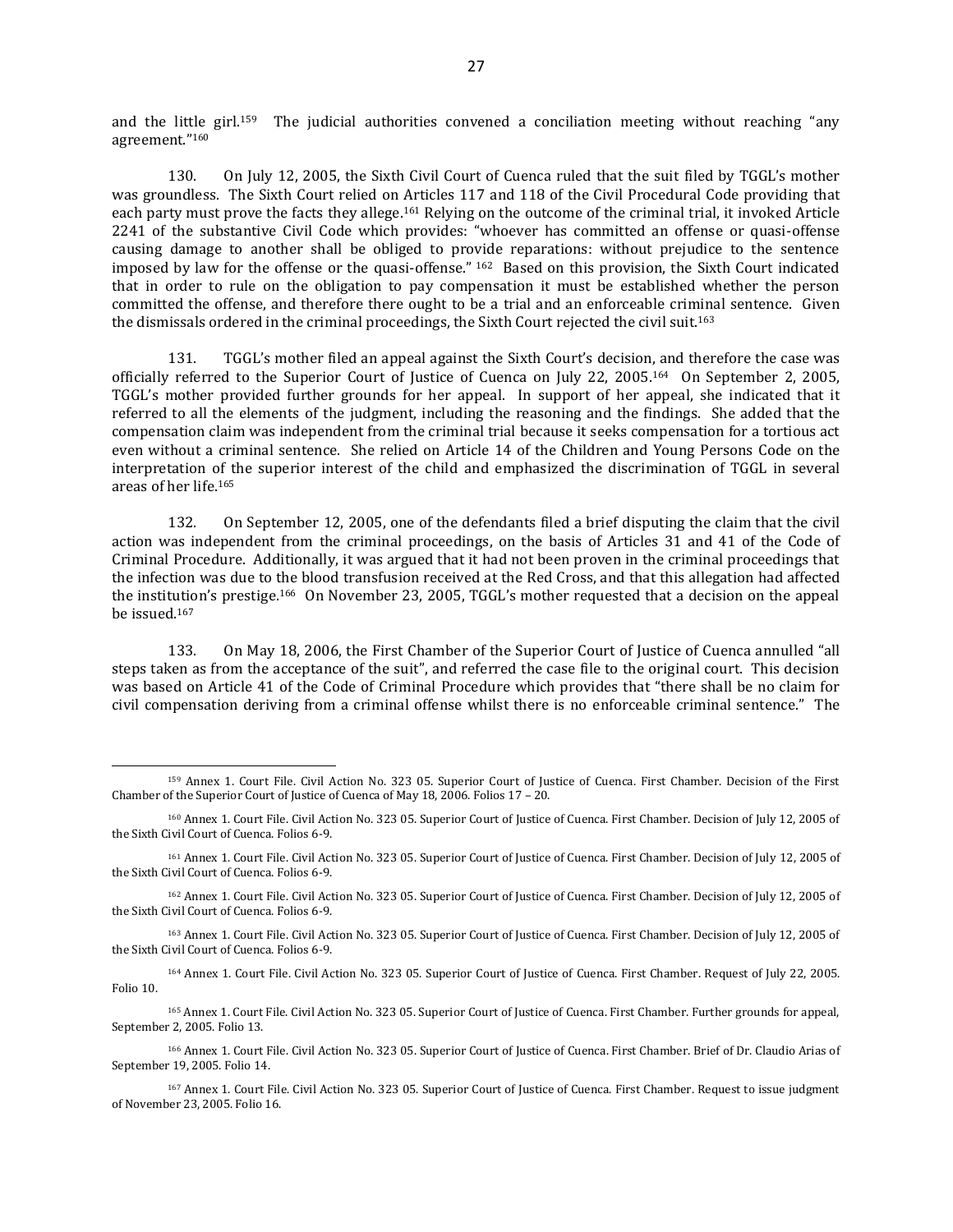and the little girl.159 The judicial authorities convened a conciliation meeting without reaching "any agreement."<sup>160</sup>

130. On July 12, 2005, the Sixth Civil Court of Cuenca ruled that the suit filed by TGGL's mother was groundless. The Sixth Court relied on Articles 117 and 118 of the Civil Procedural Code providing that each party must prove the facts they allege.<sup>161</sup> Relying on the outcome of the criminal trial, it invoked Article 2241 of the substantive Civil Code which provides: "whoever has committed an offense or quasi-offense causing damage to another shall be obliged to provide reparations: without prejudice to the sentence imposed by law for the offense or the quasi-offense." <sup>162</sup> Based on this provision, the Sixth Court indicated that in order to rule on the obligation to pay compensation it must be established whether the person committed the offense, and therefore there ought to be a trial and an enforceable criminal sentence. Given the dismissals ordered in the criminal proceedings, the Sixth Court rejected the civil suit.<sup>163</sup>

131. TGGL's mother filed an appeal against the Sixth Court's decision, and therefore the case was officially referred to the Superior Court of Justice of Cuenca on July 22, 2005.164 On September 2, 2005, TGGL's mother provided further grounds for her appeal. In support of her appeal, she indicated that it referred to all the elements of the judgment, including the reasoning and the findings. She added that the compensation claim was independent from the criminal trial because it seeks compensation for a tortious act even without a criminal sentence. She relied on Article 14 of the Children and Young Persons Code on the interpretation of the superior interest of the child and emphasized the discrimination of TGGL in several areas of her life.<sup>165</sup>

132. On September 12, 2005, one of the defendants filed a brief disputing the claim that the civil action was independent from the criminal proceedings, on the basis of Articles 31 and 41 of the Code of Criminal Procedure. Additionally, it was argued that it had not been proven in the criminal proceedings that the infection was due to the blood transfusion received at the Red Cross, and that this allegation had affected the institution's prestige.<sup>166</sup> On November 23, 2005, TGGL's mother requested that a decision on the appeal be issued. 167

133. On May 18, 2006, the First Chamber of the Superior Court of Justice of Cuenca annulled "all steps taken as from the acceptance of the suit", and referred the case file to the original court. This decision was based on Article 41 of the Code of Criminal Procedure which provides that "there shall be no claim for civil compensation deriving from a criminal offense whilst there is no enforceable criminal sentence." The

 $\overline{a}$ 

<sup>164</sup> Annex 1. Court File. Civil Action No. 323 05. Superior Court of Justice of Cuenca. First Chamber. Request of July 22, 2005. Folio 10.

<sup>165</sup> Annex 1. Court File. Civil Action No. 323 05. Superior Court of Justice of Cuenca. First Chamber. Further grounds for appeal, September 2, 2005. Folio 13.

<sup>166</sup> Annex 1. Court File. Civil Action No. 323 05. Superior Court of Justice of Cuenca. First Chamber. Brief of Dr. Claudio Arias of September 19, 2005. Folio 14.

<sup>167</sup> Annex 1. Court File. Civil Action No. 323 05. Superior Court of Justice of Cuenca. First Chamber. Request to issue judgment of November 23, 2005. Folio 16.

<sup>159</sup> Annex 1. Court File. Civil Action No. 323 05. Superior Court of Justice of Cuenca. First Chamber. Decision of the First Chamber of the Superior Court of Justice of Cuenca of May 18, 2006. Folios 17 – 20.

<sup>160</sup> Annex 1. Court File. Civil Action No. 323 05. Superior Court of Justice of Cuenca. First Chamber. Decision of July 12, 2005 of the Sixth Civil Court of Cuenca. Folios 6-9.

<sup>161</sup> Annex 1. Court File. Civil Action No. 323 05. Superior Court of Justice of Cuenca. First Chamber. Decision of July 12, 2005 of the Sixth Civil Court of Cuenca. Folios 6-9.

<sup>162</sup> Annex 1. Court File. Civil Action No. 323 05. Superior Court of Justice of Cuenca. First Chamber. Decision of July 12, 2005 of the Sixth Civil Court of Cuenca. Folios 6-9.

<sup>163</sup> Annex 1. Court File. Civil Action No. 323 05. Superior Court of Justice of Cuenca. First Chamber. Decision of July 12, 2005 of the Sixth Civil Court of Cuenca. Folios 6-9.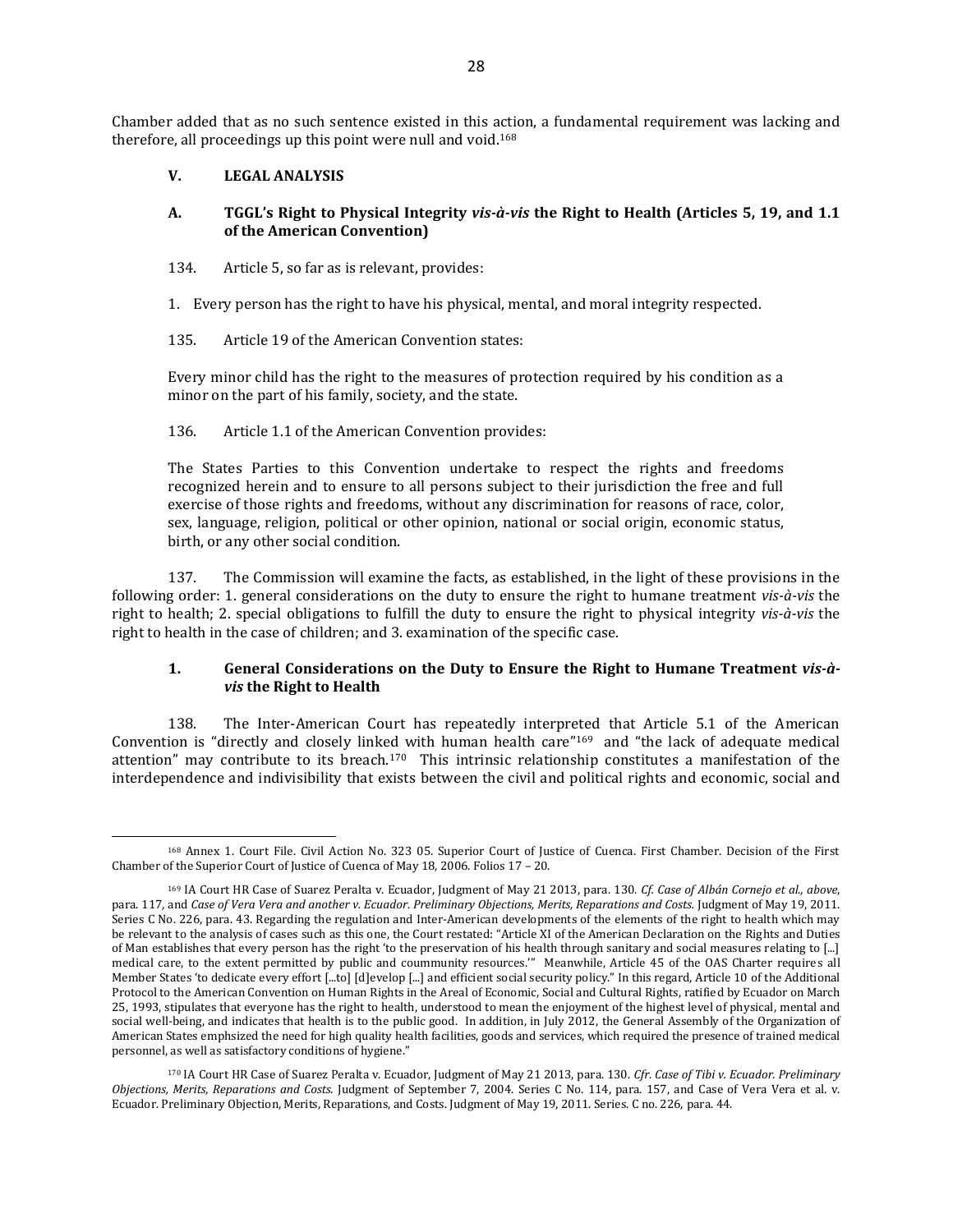Chamber added that as no such sentence existed in this action, a fundamental requirement was lacking and therefore, all proceedings up this point were null and void.<sup>168</sup>

## **V. LEGAL ANALYSIS**

 $\overline{a}$ 

## **A. TGGL's Right to Physical Integrity** *vis-à-vis* **the Right to Health (Articles 5, 19, and 1.1 of the American Convention)**

- 134. Article 5, so far as is relevant, provides:
- 1. Every person has the right to have his physical, mental, and moral integrity respected.
- 135. Article 19 of the American Convention states:

Every minor child has the right to the measures of protection required by his condition as a minor on the part of his family, society, and the state.

## 136. Article 1.1 of the American Convention provides:

The States Parties to this Convention undertake to respect the rights and freedoms recognized herein and to ensure to all persons subject to their jurisdiction the free and full exercise of those rights and freedoms, without any discrimination for reasons of race, color, sex, language, religion, political or other opinion, national or social origin, economic status, birth, or any other social condition.

137. The Commission will examine the facts, as established, in the light of these provisions in the following order: 1. general considerations on the duty to ensure the right to humane treatment *vis-à-vis* the right to health; 2. special obligations to fulfill the duty to ensure the right to physical integrity *vis-à-vis* the right to health in the case of children; and 3. examination of the specific case.

## **1. General Considerations on the Duty to Ensure the Right to Humane Treatment** *vis-àvis* **the Right to Health**

138. The Inter-American Court has repeatedly interpreted that Article 5.1 of the American Convention is "directly and closely linked with human health care"<sup>169</sup> and "the lack of adequate medical attention" may contribute to its breach.170 This intrinsic relationship constitutes a manifestation of the interdependence and indivisibility that exists between the civil and political rights and economic, social and

<sup>168</sup> Annex 1. Court File. Civil Action No. 323 05. Superior Court of Justice of Cuenca. First Chamber. Decision of the First Chamber of the Superior Court of Justice of Cuenca of May 18, 2006. Folios 17 – 20.

<sup>169</sup> IA Court HR Case of Suarez Peralta v. Ecuador, Judgment of May 21 2013, para. 130. *Cf. Case of Albán Cornejo et al., above*, para. 117*,* and *Case of Vera Vera and another v. Ecuador*. *Preliminary Objections, Merits, Reparations and Costs.* Judgment of May 19, 2011. Series C No. 226, para. 43. Regarding the regulation and Inter-American developments of the elements of the right to health which may be relevant to the analysis of cases such as this one, the Court restated: "Article XI of the American Declaration on the Rights and Duties of Man establishes that every person has the right 'to the preservation of his health through sanitary and social measures relating to [...] medical care, to the extent permitted by public and coummunity resources.'" Meanwhile, Article 45 of the OAS Charter requires all Member States 'to dedicate every effort [...to] [d]evelop [...] and efficient social security policy." In this regard, Article 10 of the Additional Protocol to the American Convention on Human Rights in the Areal of Economic, Social and Cultural Rights, ratified by Ecuador on March 25, 1993, stipulates that everyone has the right to health, understood to mean the enjoyment of the highest level of physical, mental and social well-being, and indicates that health is to the public good. In addition, in July 2012, the General Assembly of the Organization of American States emphsized the need for high quality health facilities, goods and services, which required the presence of trained medical personnel, as well as satisfactory conditions of hygiene."

<sup>170</sup> IA Court HR Case of Suarez Peralta v. Ecuador, Judgment of May 21 2013, para. 130. *Cfr. Case of Tibi v. Ecuador. Preliminary Objections, Merits, Reparations and Costs.* Judgment of September 7, 2004. Series C No. 114, para. 157, and Case of Vera Vera et al. v. Ecuador. Preliminary Objection, Merits, Reparations, and Costs. Judgment of May 19, 2011. Series. C no. 226, para. 44.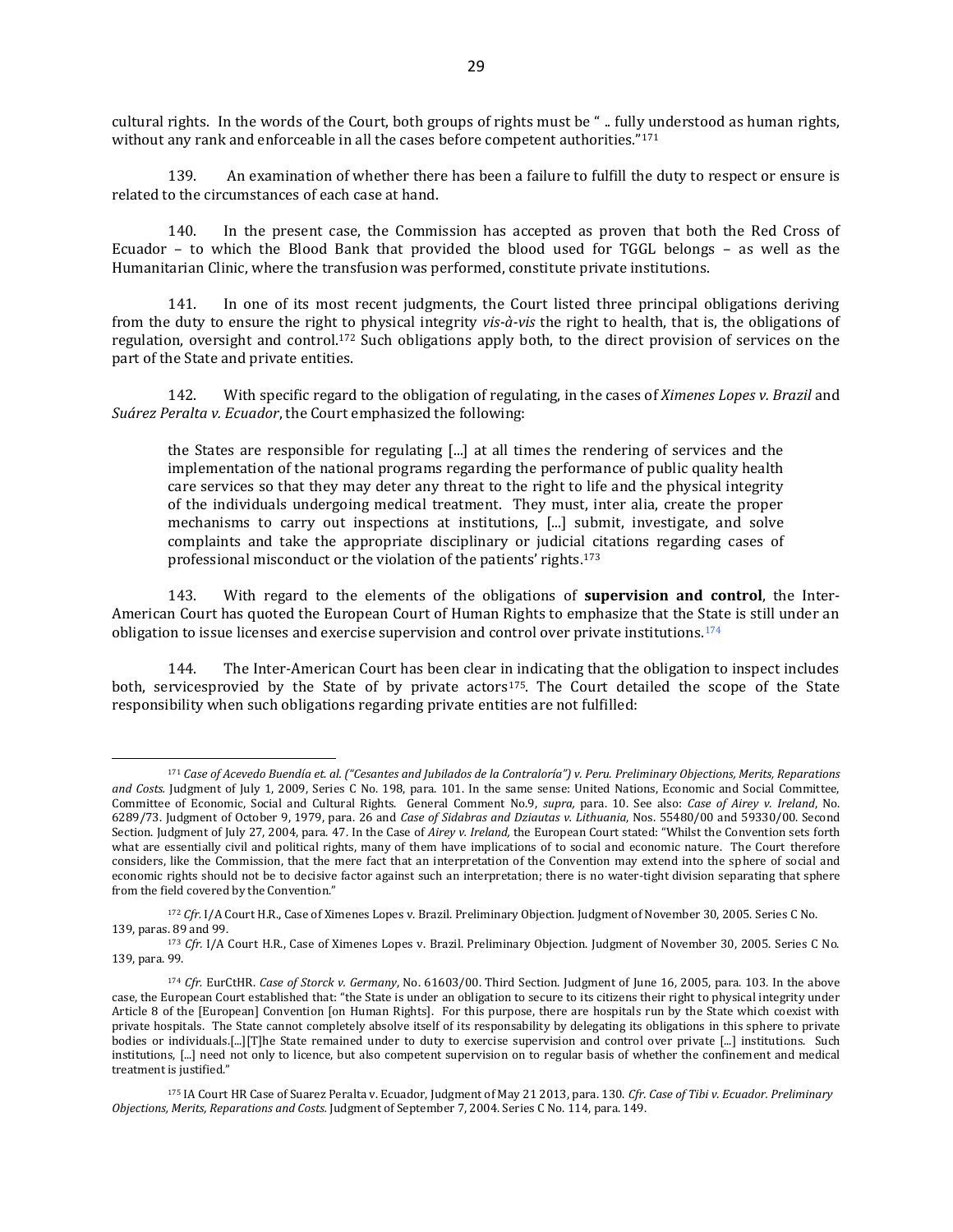cultural rights. In the words of the Court, both groups of rights must be " .. fully understood as human rights, without any rank and enforceable in all the cases before competent authorities."<sup>171</sup>

139. An examination of whether there has been a failure to fulfill the duty to respect or ensure is related to the circumstances of each case at hand.

140. In the present case, the Commission has accepted as proven that both the Red Cross of Ecuador – to which the Blood Bank that provided the blood used for TGGL belongs – as well as the Humanitarian Clinic, where the transfusion was performed, constitute private institutions.

141. In one of its most recent judgments, the Court listed three principal obligations deriving from the duty to ensure the right to physical integrity *vis-à-vis* the right to health, that is, the obligations of regulation, oversight and control.<sup>172</sup> Such obligations apply both, to the direct provision of services on the part of the State and private entities.

142. With specific regard to the obligation of regulating, in the cases of *Ximenes Lopes v. Brazil* and *Suárez Peralta v. Ecuador*, the Court emphasized the following:

the States are responsible for regulating [...] at all times the rendering of services and the implementation of the national programs regarding the performance of public quality health care services so that they may deter any threat to the right to life and the physical integrity of the individuals undergoing medical treatment. They must, inter alia, create the proper mechanisms to carry out inspections at institutions, [...] submit, investigate, and solve complaints and take the appropriate disciplinary or judicial citations regarding cases of professional misconduct or the violation of the patients' rights.<sup>173</sup>

143. With regard to the elements of the obligations of **supervision and control**, the Inter-American Court has quoted the European Court of Human Rights to emphasize that the State is still under an obligation to issue licenses and exercise supervision and control over private institutions.<sup>174</sup>

144. The Inter-American Court has been clear in indicating that the obligation to inspect includes both, servicesprovied by the State of by private actors<sup>175</sup>. The Court detailed the scope of the State responsibility when such obligations regarding private entities are not fulfilled:

<sup>171</sup> *Case of Acevedo Buendía et. al. ("Cesantes and Jubilados de la Contraloría") v. Peru. Preliminary Objections, Merits, Reparations*  and Costs. Judgment of July 1, 2009, Series C No. 198, para. 101. In the same sense: United Nations, Economic and Social Committee, Committee of Economic, Social and Cultural Rights. General Comment No.9, *supra,* para. 10. See also: *Case of Airey v. Ireland*, No. 6289/73. Judgment of October 9, 1979, para. 26 and *Case of Sidabras and Dziautas v. Lithuania*, Nos. 55480/00 and 59330/00. Second Section. Judgment of July 27, 2004, para. 47. In the Case of *Airey v. Ireland,* the European Court stated: "Whilst the Convention sets forth what are essentially civil and political rights, many of them have implications of to social and economic nature. The Court therefore considers, like the Commission, that the mere fact that an interpretation of the Convention may extend into the sphere of social and economic rights should not be to decisive factor against such an interpretation; there is no water-tight division separating that sphere from the field covered by the Convention."

<sup>172</sup> *Cfr.* I/A Court H.R., Case of Ximenes Lopes v. Brazil. Preliminary Objection. Judgment of November 30, 2005. Series C No. 139, paras. 89 and 99.

<sup>173</sup> *Cfr.* I/A Court H.R., Case of Ximenes Lopes v. Brazil. Preliminary Objection. Judgment of November 30, 2005. Series C No. 139, para. 99.

<sup>174</sup> *Cfr.* EurCtHR. *Case of Storck v. Germany*, No. 61603/00. Third Section. Judgment of June 16, 2005, para. 103*.* In the above case, the European Court established that: "the State is under an obligation to secure to its citizens their right to physical integrity under Article 8 of the [European] Convention [on Human Rights]. For this purpose, there are hospitals run by the State which coexist with private hospitals. The State cannot completely absolve itself of its responsability by delegating its obligations in this sphere to private bodies or individuals.[...][T]he State remained under to duty to exercise supervision and control over private [...] institutions. Such institutions, [...] need not only to licence, but also competent supervision on to regular basis of whether the confinement and medical treatment is justified."

<sup>175</sup> IA Court HR Case of Suarez Peralta v. Ecuador, Judgment of May 21 2013, para. 130. *Cfr. Case of Tibi v. Ecuador. Preliminary Objections, Merits, Reparations and Costs.* Judgment of September 7, 2004. Series C No. 114, para. 149.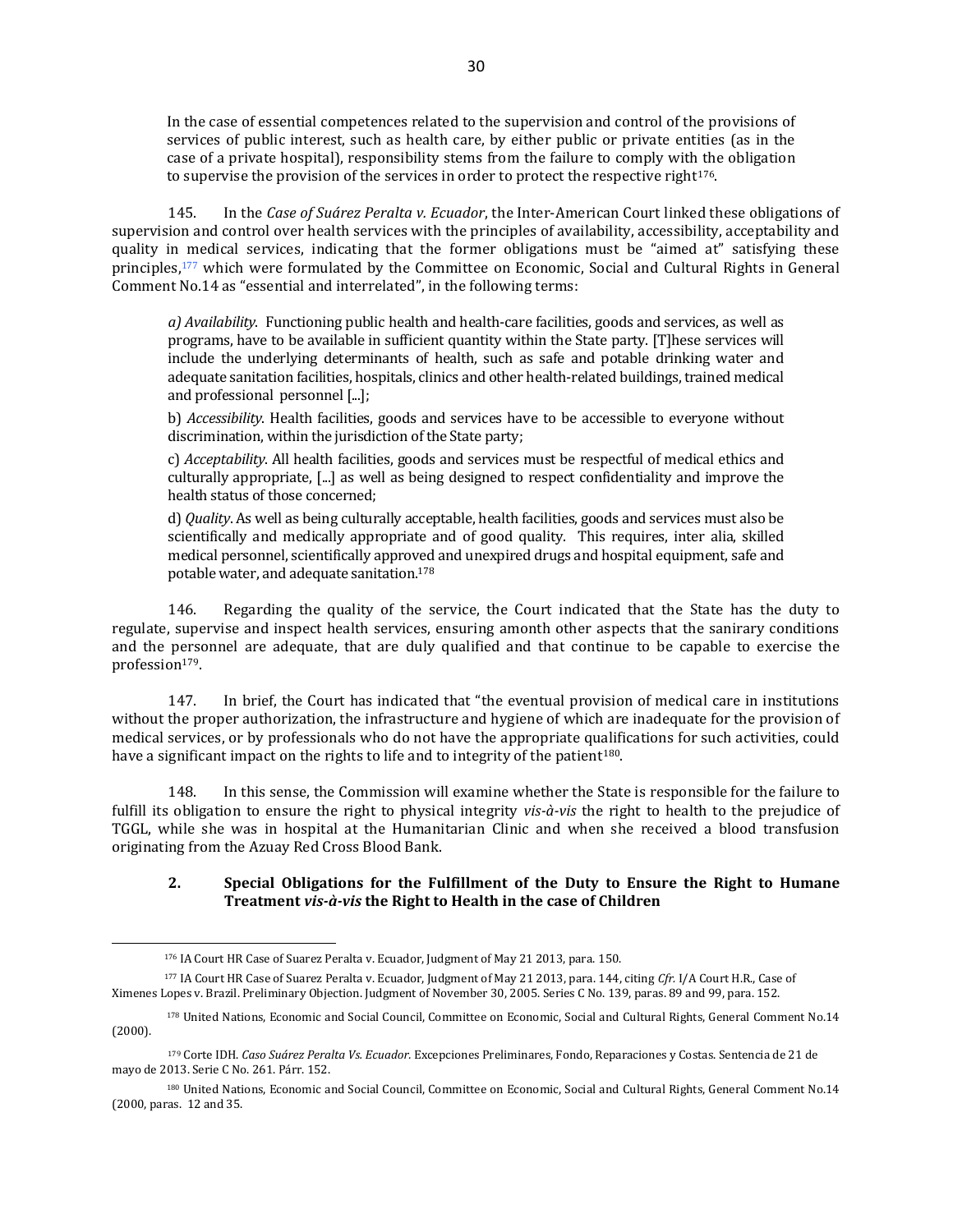In the case of essential competences related to the supervision and control of the provisions of services of public interest, such as health care, by either public or private entities (as in the case of a private hospital), responsibility stems from the failure to comply with the obligation to supervise the provision of the services in order to protect the respective right<sup>176</sup>.

145. In the *Case of Suárez Peralta v. Ecuador*, the Inter-American Court linked these obligations of supervision and control over health services with the principles of availability, accessibility, acceptability and quality in medical services, indicating that the former obligations must be "aimed at" satisfying these principles,<sup>177</sup> which were formulated by the Committee on Economic, Social and Cultural Rights in General Comment No.14 as "essential and interrelated", in the following terms:

*a) Availability*. Functioning public health and health-care facilities, goods and services, as well as programs, have to be available in sufficient quantity within the State party. [T]hese services will include the underlying determinants of health, such as safe and potable drinking water and adequate sanitation facilities, hospitals, clinics and other health-related buildings, trained medical and professional personnel [...];

b) *Accessibility*. Health facilities, goods and services have to be accessible to everyone without discrimination, within the jurisdiction of the State party;

c) *Acceptability*. All health facilities, goods and services must be respectful of medical ethics and culturally appropriate, [...] as well as being designed to respect confidentiality and improve the health status of those concerned;

d) *Quality*. As well as being culturally acceptable, health facilities, goods and services must also be scientifically and medically appropriate and of good quality. This requires, inter alia, skilled medical personnel, scientifically approved and unexpired drugs and hospital equipment, safe and potable water, and adequate sanitation.<sup>178</sup>

146. Regarding the quality of the service, the Court indicated that the State has the duty to regulate, supervise and inspect health services, ensuring amonth other aspects that the sanirary conditions and the personnel are adequate, that are duly qualified and that continue to be capable to exercise the profession<sup>179</sup>.

147. In brief, the Court has indicated that "the eventual provision of medical care in institutions without the proper authorization, the infrastructure and hygiene of which are inadequate for the provision of medical services, or by professionals who do not have the appropriate qualifications for such activities, could have a significant impact on the rights to life and to integrity of the patient<sup>180</sup>.

148. In this sense, the Commission will examine whether the State is responsible for the failure to fulfill its obligation to ensure the right to physical integrity *vis-à-vis* the right to health to the prejudice of TGGL, while she was in hospital at the Humanitarian Clinic and when she received a blood transfusion originating from the Azuay Red Cross Blood Bank.

# **2. Special Obligations for the Fulfillment of the Duty to Ensure the Right to Humane Treatment** *vis-à-vis* **the Right to Health in the case of Children**

<sup>176</sup> IA Court HR Case of Suarez Peralta v. Ecuador, Judgment of May 21 2013, para. 150.

<sup>177</sup> IA Court HR Case of Suarez Peralta v. Ecuador, Judgment of May 21 2013, para. 144, citing *Cfr.* I/A Court H.R., Case of Ximenes Lopes v. Brazil. Preliminary Objection. Judgment of November 30, 2005. Series C No. 139, paras. 89 and 99, para. 152.

<sup>178</sup> United Nations, Economic and Social Council, Committee on Economic, Social and Cultural Rights, General Comment No.14 (2000).

<sup>179</sup> Corte IDH. *Caso Suárez Peralta Vs. Ecuador.* [Excepciones Preliminares, Fondo, Reparaciones y Costas. Sentencia de 21 de](http://joomla.corteidh.or.cr:8080/joomla/es/jurisprudencia-oc-avanzado/38-jurisprudencia/2049-corte-idh-caso-suarez-peralta-vs-ecuador-excepciones-preliminares-fondo-reparaciones-y-costas-sentencia-de-21-de-mayo-de-2013-serie-c-no-261)  [mayo de 2013. Serie C No. 261.](http://joomla.corteidh.or.cr:8080/joomla/es/jurisprudencia-oc-avanzado/38-jurisprudencia/2049-corte-idh-caso-suarez-peralta-vs-ecuador-excepciones-preliminares-fondo-reparaciones-y-costas-sentencia-de-21-de-mayo-de-2013-serie-c-no-261) Párr. 152.

<sup>180</sup> United Nations, Economic and Social Council, Committee on Economic, Social and Cultural Rights, General Comment No.14 (2000, paras. 12 and 35.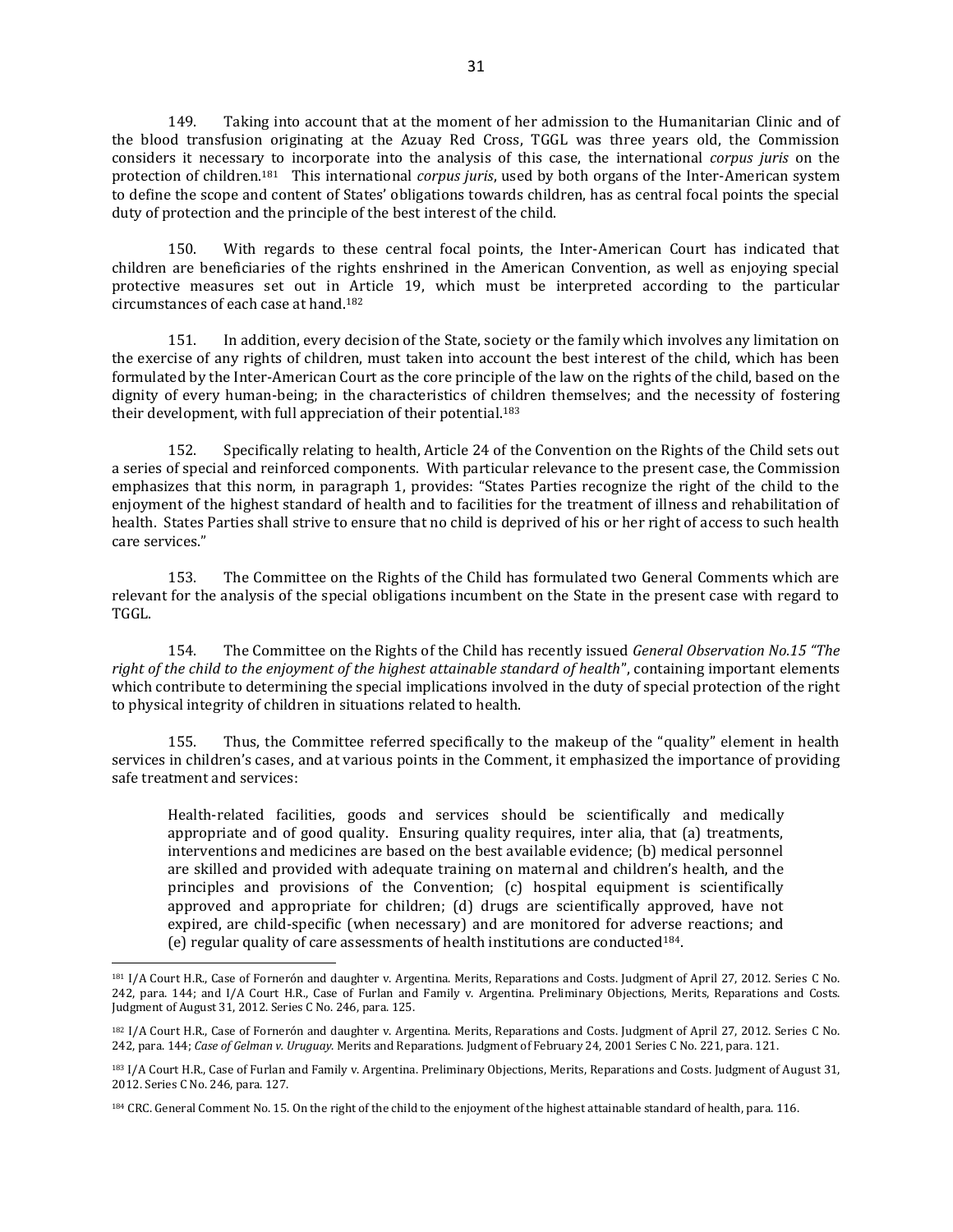149. Taking into account that at the moment of her admission to the Humanitarian Clinic and of the blood transfusion originating at the Azuay Red Cross, TGGL was three years old, the Commission considers it necessary to incorporate into the analysis of this case, the international *corpus juris* on the protection of children.181 This international *corpus juris*, used by both organs of the Inter-American system to define the scope and content of States' obligations towards children, has as central focal points the special duty of protection and the principle of the best interest of the child.

150. With regards to these central focal points, the Inter-American Court has indicated that children are beneficiaries of the rights enshrined in the American Convention, as well as enjoying special protective measures set out in Article 19, which must be interpreted according to the particular circumstances of each case at hand.<sup>182</sup>

151. In addition, every decision of the State, society or the family which involves any limitation on the exercise of any rights of children, must taken into account the best interest of the child, which has been formulated by the Inter-American Court as the core principle of the law on the rights of the child, based on the dignity of every human-being; in the characteristics of children themselves; and the necessity of fostering their development, with full appreciation of their potential.<sup>183</sup>

152. Specifically relating to health, Article 24 of the Convention on the Rights of the Child sets out a series of special and reinforced components. With particular relevance to the present case, the Commission emphasizes that this norm, in paragraph 1, provides: "States Parties recognize the right of the child to the enjoyment of the highest standard of health and to facilities for the treatment of illness and rehabilitation of health. States Parties shall strive to ensure that no child is deprived of his or her right of access to such health care services."

153. The Committee on the Rights of the Child has formulated two General Comments which are relevant for the analysis of the special obligations incumbent on the State in the present case with regard to TGGL.

154. The Committee on the Rights of the Child has recently issued *General Observation No.15 "The right of the child to the enjoyment of the highest attainable standard of health*", containing important elements which contribute to determining the special implications involved in the duty of special protection of the right to physical integrity of children in situations related to health.

155. Thus, the Committee referred specifically to the makeup of the "quality" element in health services in children's cases, and at various points in the Comment, it emphasized the importance of providing safe treatment and services:

Health-related facilities, goods and services should be scientifically and medically appropriate and of good quality. Ensuring quality requires, inter alia, that (a) treatments, interventions and medicines are based on the best available evidence; (b) medical personnel are skilled and provided with adequate training on maternal and children's health, and the principles and provisions of the Convention; (c) hospital equipment is scientifically approved and appropriate for children; (d) drugs are scientifically approved, have not expired, are child-specific (when necessary) and are monitored for adverse reactions; and (e) regular quality of care assessments of health institutions are conducted184.

<sup>181</sup> I/A Court H.R., Case of Fornerón and daughter v. Argentina. Merits, Reparations and Costs. Judgment of April 27, 2012. Series C No. 242, para. 144; and I/A Court H.R., Case of Furlan and Family v. Argentina. Preliminary Objections, Merits, Reparations and Costs. Judgment of August 31, 2012. Series C No. 246, para. 125.

<sup>182</sup> I/A Court H.R., Case of Fornerón and daughter v. Argentina. Merits, Reparations and Costs. Judgment of April 27, 2012. Series C No. 242, para. 144; *Case of Gelman v. Uruguay*. Merits and Reparations. Judgment of February 24, 2001 Series C No. 221, para. 121.

<sup>183</sup> I/A Court H.R., Case of Furlan and Family v. Argentina. Preliminary Objections, Merits, Reparations and Costs. Judgment of August 31, 2012. Series C No. 246, para. 127.

<sup>184</sup> CRC. General Comment No. 15. On the right of the child to the enjoyment of the highest attainable standard of health, para. 116.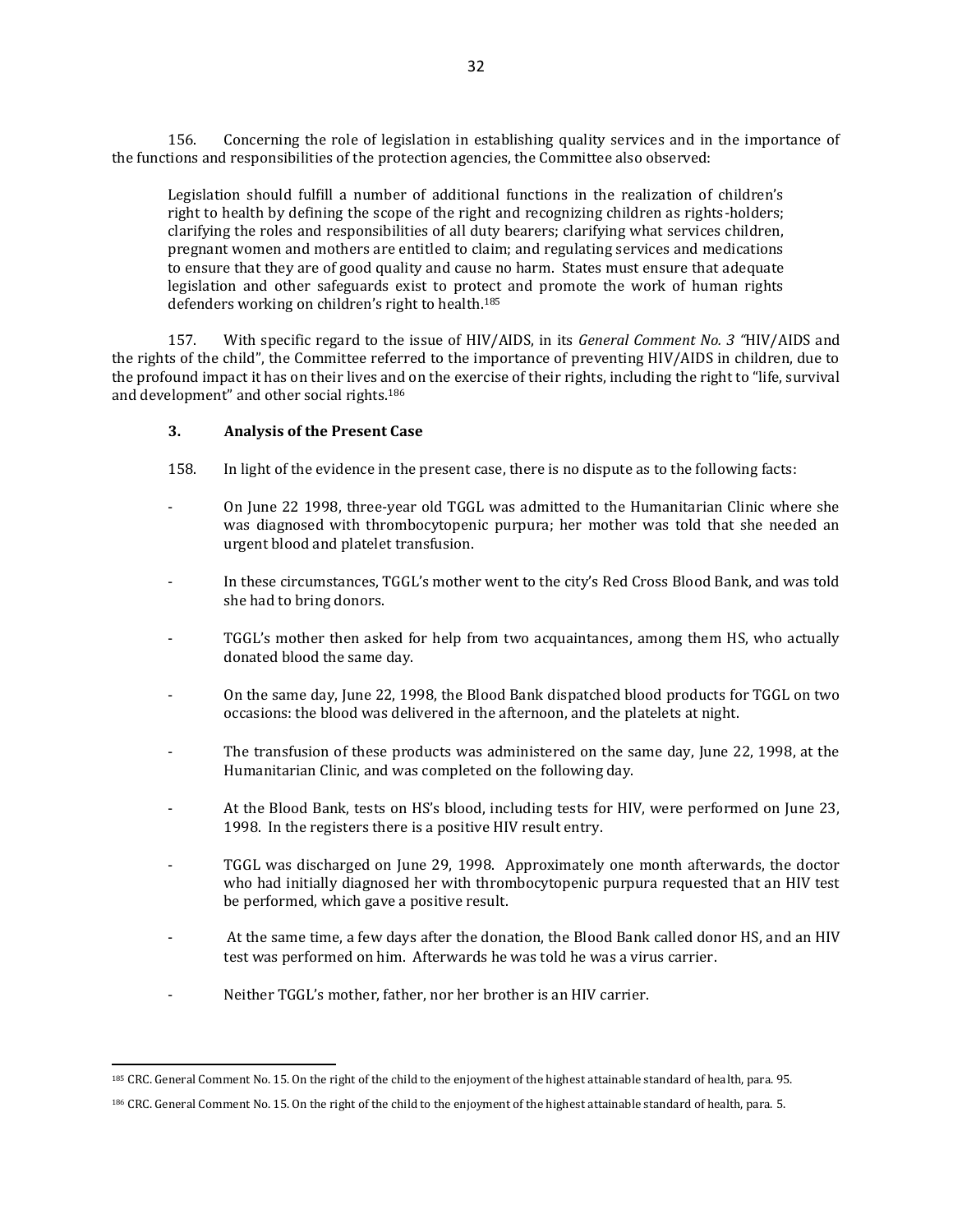156. Concerning the role of legislation in establishing quality services and in the importance of the functions and responsibilities of the protection agencies, the Committee also observed:

Legislation should fulfill a number of additional functions in the realization of children's right to health by defining the scope of the right and recognizing children as rights-holders; clarifying the roles and responsibilities of all duty bearers; clarifying what services children, pregnant women and mothers are entitled to claim; and regulating services and medications to ensure that they are of good quality and cause no harm. States must ensure that adequate legislation and other safeguards exist to protect and promote the work of human rights defenders working on children's right to health. 185

157. With specific regard to the issue of HIV/AIDS, in its *General Comment No. 3 "*HIV/AIDS and the rights of the child", the Committee referred to the importance of preventing HIV/AIDS in children, due to the profound impact it has on their lives and on the exercise of their rights, including the right to "life, survival and development" and other social rights.<sup>186</sup>

## **3. Analysis of the Present Case**

- 158. In light of the evidence in the present case, there is no dispute as to the following facts:
- On June 22 1998, three-year old TGGL was admitted to the Humanitarian Clinic where she was diagnosed with thrombocytopenic purpura; her mother was told that she needed an urgent blood and platelet transfusion.
- In these circumstances, TGGL's mother went to the city's Red Cross Blood Bank, and was told she had to bring donors.
- TGGL's mother then asked for help from two acquaintances, among them HS, who actually donated blood the same day.
- On the same day, June 22, 1998, the Blood Bank dispatched blood products for TGGL on two occasions: the blood was delivered in the afternoon, and the platelets at night.
- The transfusion of these products was administered on the same day, June 22, 1998, at the Humanitarian Clinic, and was completed on the following day.
- At the Blood Bank, tests on HS's blood, including tests for HIV, were performed on June 23, 1998. In the registers there is a positive HIV result entry.
- TGGL was discharged on June 29, 1998. Approximately one month afterwards, the doctor who had initially diagnosed her with thrombocytopenic purpura requested that an HIV test be performed, which gave a positive result.
- At the same time, a few days after the donation, the Blood Bank called donor HS, and an HIV test was performed on him. Afterwards he was told he was a virus carrier.
- Neither TGGL's mother, father, nor her brother is an HIV carrier.

<sup>185</sup> CRC. General Comment No. 15. On the right of the child to the enjoyment of the highest attainable standard of health, para. 95.

<sup>186</sup> CRC. General Comment No. 15. On the right of the child to the enjoyment of the highest attainable standard of health, para. 5.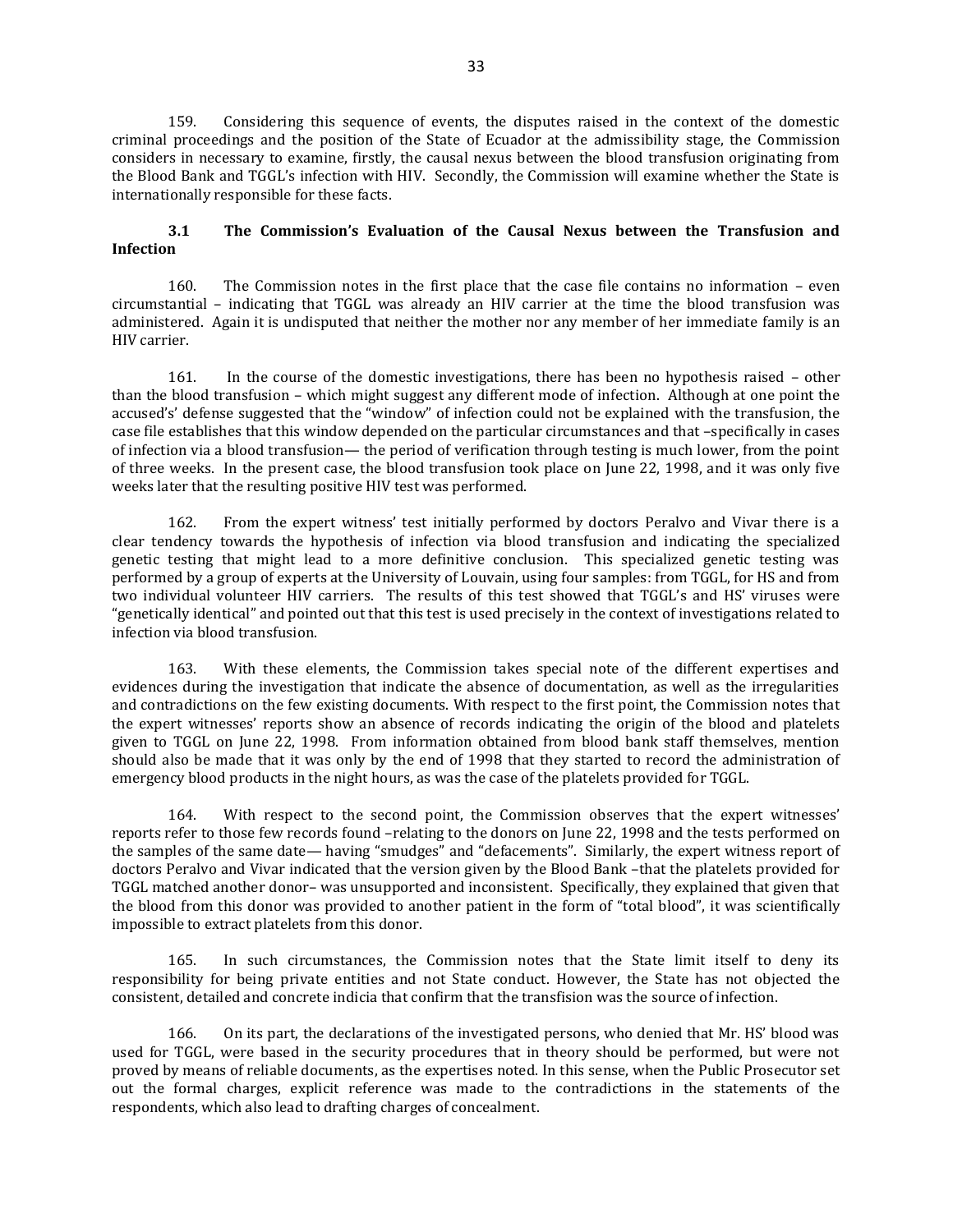159. Considering this sequence of events, the disputes raised in the context of the domestic criminal proceedings and the position of the State of Ecuador at the admissibility stage, the Commission considers in necessary to examine, firstly, the causal nexus between the blood transfusion originating from the Blood Bank and TGGL's infection with HIV. Secondly, the Commission will examine whether the State is internationally responsible for these facts.

# **3.1 The Commission's Evaluation of the Causal Nexus between the Transfusion and Infection**

160. The Commission notes in the first place that the case file contains no information – even circumstantial – indicating that TGGL was already an HIV carrier at the time the blood transfusion was administered. Again it is undisputed that neither the mother nor any member of her immediate family is an HIV carrier.

161. In the course of the domestic investigations, there has been no hypothesis raised – other than the blood transfusion – which might suggest any different mode of infection. Although at one point the accused's' defense suggested that the "window" of infection could not be explained with the transfusion, the case file establishes that this window depended on the particular circumstances and that –specifically in cases of infection via a blood transfusion— the period of verification through testing is much lower, from the point of three weeks. In the present case, the blood transfusion took place on June 22, 1998, and it was only five weeks later that the resulting positive HIV test was performed.

162. From the expert witness' test initially performed by doctors Peralvo and Vivar there is a clear tendency towards the hypothesis of infection via blood transfusion and indicating the specialized genetic testing that might lead to a more definitive conclusion. This specialized genetic testing was performed by a group of experts at the University of Louvain, using four samples: from TGGL, for HS and from two individual volunteer HIV carriers. The results of this test showed that TGGL's and HS' viruses were "genetically identical" and pointed out that this test is used precisely in the context of investigations related to infection via blood transfusion.

163. With these elements, the Commission takes special note of the different expertises and evidences during the investigation that indicate the absence of documentation, as well as the irregularities and contradictions on the few existing documents. With respect to the first point, the Commission notes that the expert witnesses' reports show an absence of records indicating the origin of the blood and platelets given to TGGL on June 22, 1998. From information obtained from blood bank staff themselves, mention should also be made that it was only by the end of 1998 that they started to record the administration of emergency blood products in the night hours, as was the case of the platelets provided for TGGL.

164. With respect to the second point, the Commission observes that the expert witnesses' reports refer to those few records found –relating to the donors on June 22, 1998 and the tests performed on the samples of the same date— having "smudges" and "defacements". Similarly, the expert witness report of doctors Peralvo and Vivar indicated that the version given by the Blood Bank –that the platelets provided for TGGL matched another donor– was unsupported and inconsistent. Specifically, they explained that given that the blood from this donor was provided to another patient in the form of "total blood", it was scientifically impossible to extract platelets from this donor.

165. In such circumstances, the Commission notes that the State limit itself to deny its responsibility for being private entities and not State conduct. However, the State has not objected the consistent, detailed and concrete indicia that confirm that the transfision was the source of infection.

166. On its part, the declarations of the investigated persons, who denied that Mr. HS' blood was used for TGGL, were based in the security procedures that in theory should be performed, but were not proved by means of reliable documents, as the expertises noted. In this sense, when the Public Prosecutor set out the formal charges, explicit reference was made to the contradictions in the statements of the respondents, which also lead to drafting charges of concealment.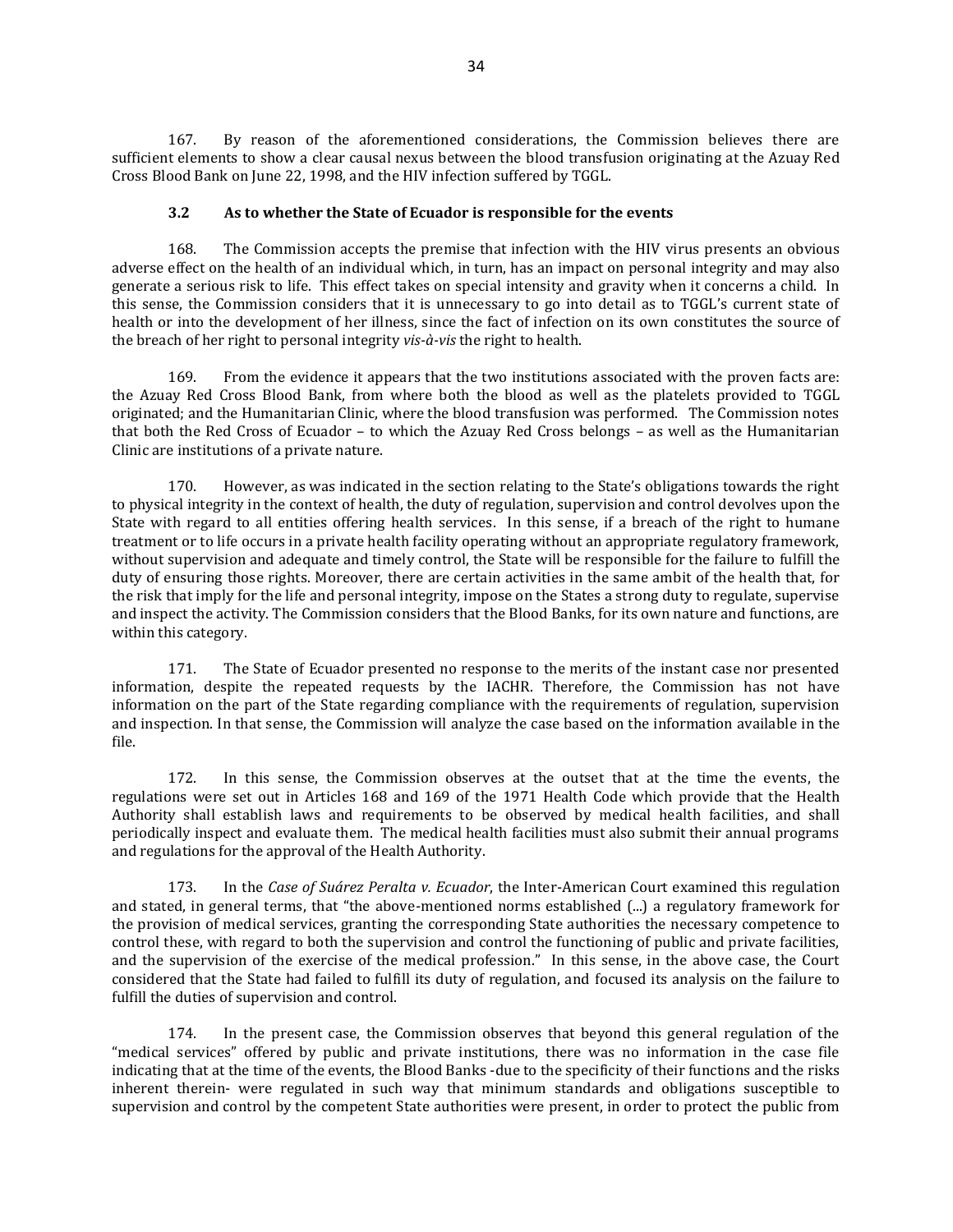167. By reason of the aforementioned considerations, the Commission believes there are sufficient elements to show a clear causal nexus between the blood transfusion originating at the Azuay Red Cross Blood Bank on June 22, 1998, and the HIV infection suffered by TGGL.

## **3.2 As to whether the State of Ecuador is responsible for the events**

168. The Commission accepts the premise that infection with the HIV virus presents an obvious adverse effect on the health of an individual which, in turn, has an impact on personal integrity and may also generate a serious risk to life. This effect takes on special intensity and gravity when it concerns a child. In this sense, the Commission considers that it is unnecessary to go into detail as to TGGL's current state of health or into the development of her illness, since the fact of infection on its own constitutes the source of the breach of her right to personal integrity *vis-à-vis* the right to health.

169. From the evidence it appears that the two institutions associated with the proven facts are: the Azuay Red Cross Blood Bank, from where both the blood as well as the platelets provided to TGGL originated; and the Humanitarian Clinic, where the blood transfusion was performed. The Commission notes that both the Red Cross of Ecuador – to which the Azuay Red Cross belongs – as well as the Humanitarian Clinic are institutions of a private nature.

170. However, as was indicated in the section relating to the State's obligations towards the right to physical integrity in the context of health, the duty of regulation, supervision and control devolves upon the State with regard to all entities offering health services. In this sense, if a breach of the right to humane treatment or to life occurs in a private health facility operating without an appropriate regulatory framework, without supervision and adequate and timely control, the State will be responsible for the failure to fulfill the duty of ensuring those rights. Moreover, there are certain activities in the same ambit of the health that, for the risk that imply for the life and personal integrity, impose on the States a strong duty to regulate, supervise and inspect the activity. The Commission considers that the Blood Banks, for its own nature and functions, are within this category.

171. The State of Ecuador presented no response to the merits of the instant case nor presented information, despite the repeated requests by the IACHR. Therefore, the Commission has not have information on the part of the State regarding compliance with the requirements of regulation, supervision and inspection. In that sense, the Commission will analyze the case based on the information available in the file.

172. In this sense, the Commission observes at the outset that at the time the events, the regulations were set out in Articles 168 and 169 of the 1971 Health Code which provide that the Health Authority shall establish laws and requirements to be observed by medical health facilities, and shall periodically inspect and evaluate them. The medical health facilities must also submit their annual programs and regulations for the approval of the Health Authority.

173. In the *Case of Suárez Peralta v. Ecuador*, the Inter-American Court examined this regulation and stated, in general terms, that "the above-mentioned norms established (...) a regulatory framework for the provision of medical services, granting the corresponding State authorities the necessary competence to control these, with regard to both the supervision and control the functioning of public and private facilities, and the supervision of the exercise of the medical profession." In this sense, in the above case, the Court considered that the State had failed to fulfill its duty of regulation, and focused its analysis on the failure to fulfill the duties of supervision and control.

174. In the present case, the Commission observes that beyond this general regulation of the "medical services" offered by public and private institutions, there was no information in the case file indicating that at the time of the events, the Blood Banks -due to the specificity of their functions and the risks inherent therein- were regulated in such way that minimum standards and obligations susceptible to supervision and control by the competent State authorities were present, in order to protect the public from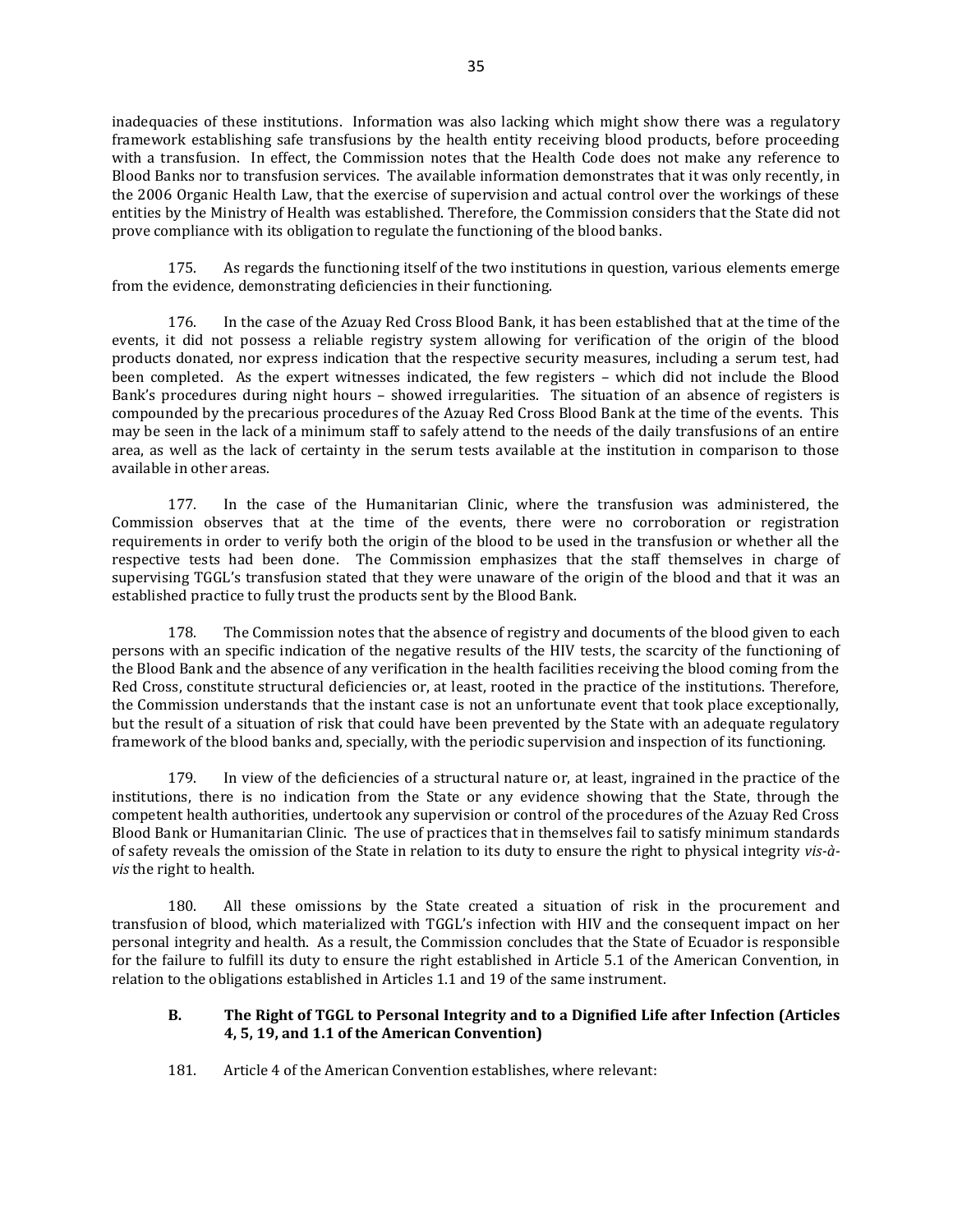inadequacies of these institutions. Information was also lacking which might show there was a regulatory framework establishing safe transfusions by the health entity receiving blood products, before proceeding with a transfusion. In effect, the Commission notes that the Health Code does not make any reference to Blood Banks nor to transfusion services. The available information demonstrates that it was only recently, in the 2006 Organic Health Law, that the exercise of supervision and actual control over the workings of these entities by the Ministry of Health was established. Therefore, the Commission considers that the State did not prove compliance with its obligation to regulate the functioning of the blood banks.

175. As regards the functioning itself of the two institutions in question, various elements emerge from the evidence, demonstrating deficiencies in their functioning.

176. In the case of the Azuay Red Cross Blood Bank, it has been established that at the time of the events, it did not possess a reliable registry system allowing for verification of the origin of the blood products donated, nor express indication that the respective security measures, including a serum test, had been completed. As the expert witnesses indicated, the few registers – which did not include the Blood Bank's procedures during night hours – showed irregularities. The situation of an absence of registers is compounded by the precarious procedures of the Azuay Red Cross Blood Bank at the time of the events. This may be seen in the lack of a minimum staff to safely attend to the needs of the daily transfusions of an entire area, as well as the lack of certainty in the serum tests available at the institution in comparison to those available in other areas.

177. In the case of the Humanitarian Clinic, where the transfusion was administered, the Commission observes that at the time of the events, there were no corroboration or registration requirements in order to verify both the origin of the blood to be used in the transfusion or whether all the respective tests had been done. The Commission emphasizes that the staff themselves in charge of supervising TGGL's transfusion stated that they were unaware of the origin of the blood and that it was an established practice to fully trust the products sent by the Blood Bank.

178. The Commission notes that the absence of registry and documents of the blood given to each persons with an specific indication of the negative results of the HIV tests, the scarcity of the functioning of the Blood Bank and the absence of any verification in the health facilities receiving the blood coming from the Red Cross, constitute structural deficiencies or, at least, rooted in the practice of the institutions. Therefore, the Commission understands that the instant case is not an unfortunate event that took place exceptionally, but the result of a situation of risk that could have been prevented by the State with an adequate regulatory framework of the blood banks and, specially, with the periodic supervision and inspection of its functioning.

179. In view of the deficiencies of a structural nature or, at least, ingrained in the practice of the institutions, there is no indication from the State or any evidence showing that the State, through the competent health authorities, undertook any supervision or control of the procedures of the Azuay Red Cross Blood Bank or Humanitarian Clinic. The use of practices that in themselves fail to satisfy minimum standards of safety reveals the omission of the State in relation to its duty to ensure the right to physical integrity *vis-àvis* the right to health.

180. All these omissions by the State created a situation of risk in the procurement and transfusion of blood, which materialized with TGGL's infection with HIV and the consequent impact on her personal integrity and health. As a result, the Commission concludes that the State of Ecuador is responsible for the failure to fulfill its duty to ensure the right established in Article 5.1 of the American Convention, in relation to the obligations established in Articles 1.1 and 19 of the same instrument.

# **B. The Right of TGGL to Personal Integrity and to a Dignified Life after Infection (Articles 4, 5, 19, and 1.1 of the American Convention)**

181. Article 4 of the American Convention establishes, where relevant: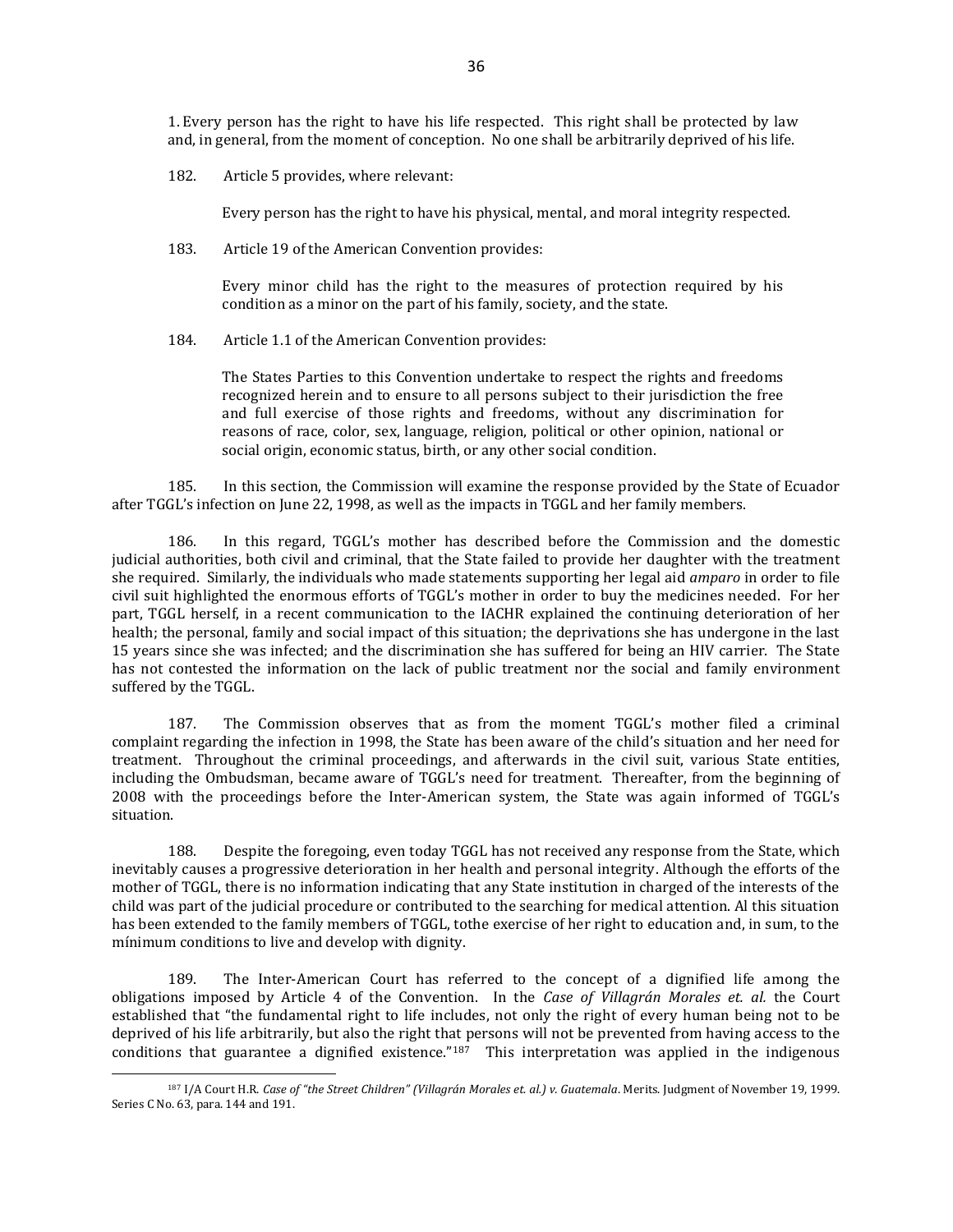1. Every person has the right to have his life respected. This right shall be protected by law and, in general, from the moment of conception. No one shall be arbitrarily deprived of his life.

182. Article 5 provides, where relevant:

Every person has the right to have his physical, mental, and moral integrity respected.

183. Article 19 of the American Convention provides:

Every minor child has the right to the measures of protection required by his condition as a minor on the part of his family, society, and the state.

184. Article 1.1 of the American Convention provides:

The States Parties to this Convention undertake to respect the rights and freedoms recognized herein and to ensure to all persons subject to their jurisdiction the free and full exercise of those rights and freedoms, without any discrimination for reasons of race, color, sex, language, religion, political or other opinion, national or social origin, economic status, birth, or any other social condition.

185. In this section, the Commission will examine the response provided by the State of Ecuador after TGGL's infection on June 22, 1998, as well as the impacts in TGGL and her family members.

186. In this regard, TGGL's mother has described before the Commission and the domestic judicial authorities, both civil and criminal, that the State failed to provide her daughter with the treatment she required. Similarly, the individuals who made statements supporting her legal aid *amparo* in order to file civil suit highlighted the enormous efforts of TGGL's mother in order to buy the medicines needed. For her part, TGGL herself, in a recent communication to the IACHR explained the continuing deterioration of her health; the personal, family and social impact of this situation; the deprivations she has undergone in the last 15 years since she was infected; and the discrimination she has suffered for being an HIV carrier. The State has not contested the information on the lack of public treatment nor the social and family environment suffered by the TGGL.

187. The Commission observes that as from the moment TGGL's mother filed a criminal complaint regarding the infection in 1998, the State has been aware of the child's situation and her need for treatment. Throughout the criminal proceedings, and afterwards in the civil suit, various State entities, including the Ombudsman, became aware of TGGL's need for treatment. Thereafter, from the beginning of 2008 with the proceedings before the Inter-American system, the State was again informed of TGGL's situation.

188. Despite the foregoing, even today TGGL has not received any response from the State, which inevitably causes a progressive deterioration in her health and personal integrity. Although the efforts of the mother of TGGL, there is no information indicating that any State institution in charged of the interests of the child was part of the judicial procedure or contributed to the searching for medical attention. Al this situation has been extended to the family members of TGGL, tothe exercise of her right to education and, in sum, to the mínimum conditions to live and develop with dignity.

189. The Inter-American Court has referred to the concept of a dignified life among the obligations imposed by Article 4 of the Convention. In the *Case of Villagrán Morales et. al.* the Court established that "the fundamental right to life includes, not only the right of every human being not to be deprived of his life arbitrarily, but also the right that persons will not be prevented from having access to the conditions that guarantee a dignified existence."<sup>187</sup> This interpretation was applied in the indigenous

<sup>187</sup> I/A Court H.R. *Case of "the Street Children" (Villagrán Morales et. al.) v. Guatemala*. Merits. Judgment of November 19, 1999. Series C No. 63, para. 144 and 191.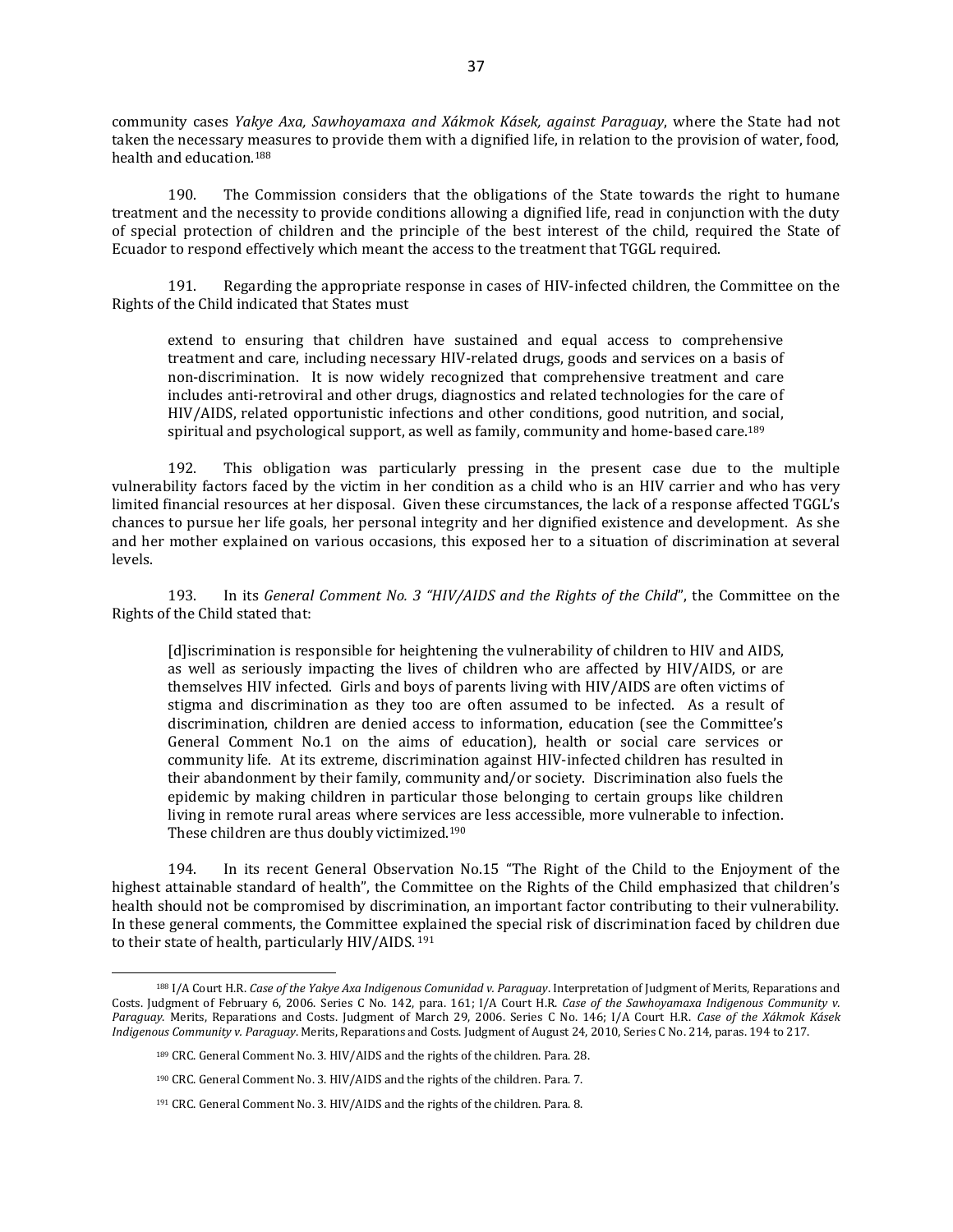community cases *Yakye Axa, Sawhoyamaxa and Xákmok Kásek, against Paraguay*, where the State had not taken the necessary measures to provide them with a dignified life, in relation to the provision of water, food, health and education.<sup>188</sup>

190. The Commission considers that the obligations of the State towards the right to humane treatment and the necessity to provide conditions allowing a dignified life, read in conjunction with the duty of special protection of children and the principle of the best interest of the child, required the State of Ecuador to respond effectively which meant the access to the treatment that TGGL required.

191. Regarding the appropriate response in cases of HIV-infected children, the Committee on the Rights of the Child indicated that States must

extend to ensuring that children have sustained and equal access to comprehensive treatment and care, including necessary HIV-related drugs, goods and services on a basis of non-discrimination. It is now widely recognized that comprehensive treatment and care includes anti-retroviral and other drugs, diagnostics and related technologies for the care of HIV/AIDS, related opportunistic infections and other conditions, good nutrition, and social, spiritual and psychological support, as well as family, community and home-based care.<sup>189</sup>

192. This obligation was particularly pressing in the present case due to the multiple vulnerability factors faced by the victim in her condition as a child who is an HIV carrier and who has very limited financial resources at her disposal. Given these circumstances, the lack of a response affected TGGL's chances to pursue her life goals, her personal integrity and her dignified existence and development. As she and her mother explained on various occasions, this exposed her to a situation of discrimination at several levels.

193. In its *General Comment No. 3 "HIV/AIDS and the Rights of the Child*", the Committee on the Rights of the Child stated that:

[d]iscrimination is responsible for heightening the vulnerability of children to HIV and AIDS, as well as seriously impacting the lives of children who are affected by HIV/AIDS, or are themselves HIV infected. Girls and boys of parents living with HIV/AIDS are often victims of stigma and discrimination as they too are often assumed to be infected. As a result of discrimination, children are denied access to information, education (see the Committee's General Comment No.1 on the aims of education), health or social care services or community life. At its extreme, discrimination against HIV-infected children has resulted in their abandonment by their family, community and/or society. Discrimination also fuels the epidemic by making children in particular those belonging to certain groups like children living in remote rural areas where services are less accessible, more vulnerable to infection. These children are thus doubly victimized.<sup>190</sup>

194. In its recent General Observation No.15 "The Right of the Child to the Enjoyment of the highest attainable standard of health", the Committee on the Rights of the Child emphasized that children's health should not be compromised by discrimination, an important factor contributing to their vulnerability. In these general comments, the Committee explained the special risk of discrimination faced by children due to their state of health, particularly HIV/AIDS. <sup>191</sup>

<sup>188</sup> I/A Court H.R. *Case of the Yakye Axa Indigenous Comunidad v. Paraguay*. Interpretation of Judgment of Merits, Reparations and Costs. Judgment of February 6, 2006. Series C No. 142, para. 161; I/A Court H.R. *Case of the Sawhoyamaxa Indigenous Community v. Paraguay*. Merits, Reparations and Costs. Judgment of March 29, 2006. Series C No. 146; I/A Court H.R. *Case of the Xákmok Kásek Indigenous Community v. Paraguay*. Merits, Reparations and Costs. Judgment of August 24, 2010, Series C No. 214, paras. 194 to 217.

<sup>189</sup> CRC. General Comment No. 3. HIV/AIDS and the rights of the children. Para. 28.

<sup>190</sup> CRC. General Comment No. 3. HIV/AIDS and the rights of the children. Para. 7.

<sup>191</sup> CRC. General Comment No. 3. HIV/AIDS and the rights of the children. Para. 8.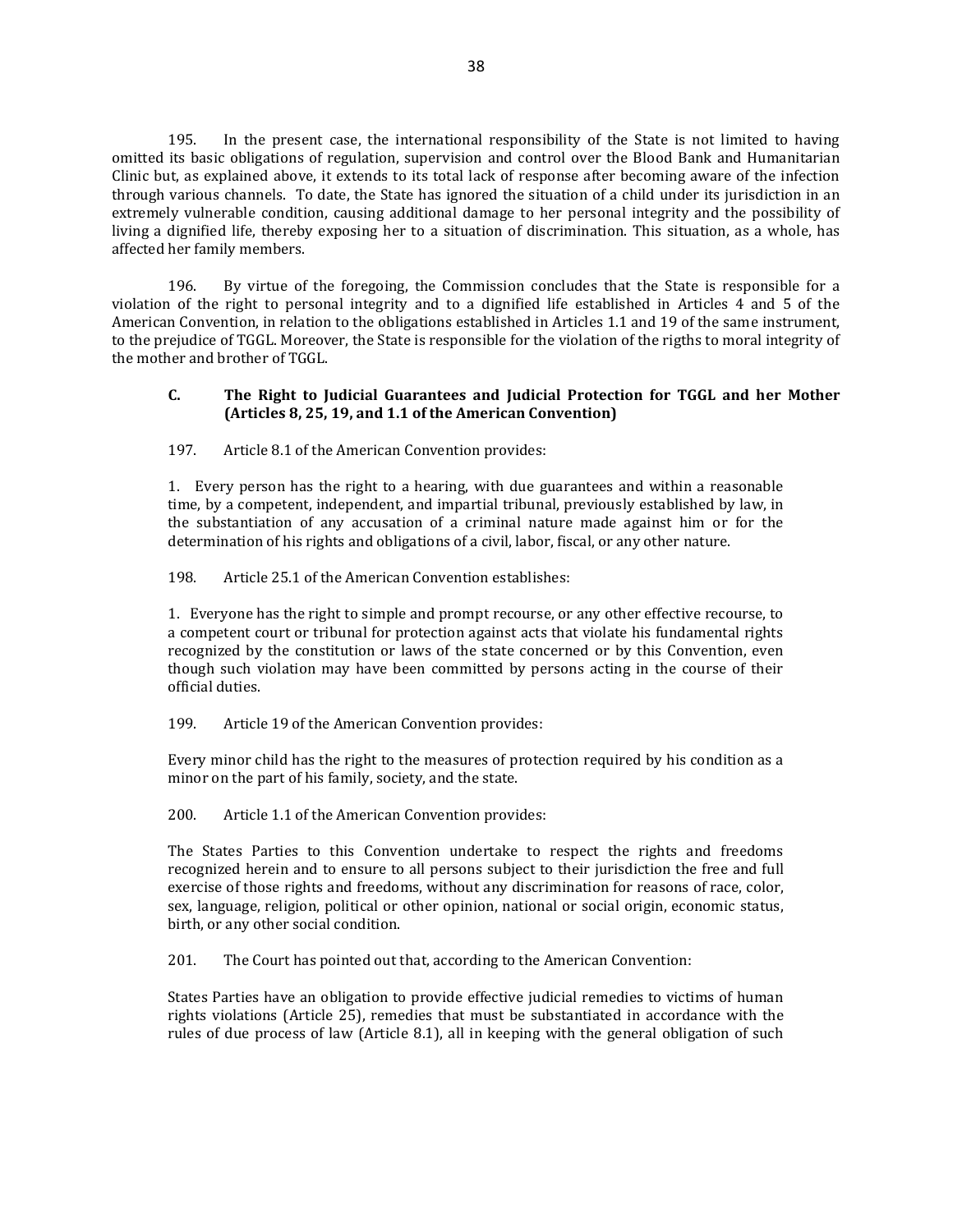195. In the present case, the international responsibility of the State is not limited to having omitted its basic obligations of regulation, supervision and control over the Blood Bank and Humanitarian Clinic but, as explained above, it extends to its total lack of response after becoming aware of the infection through various channels. To date, the State has ignored the situation of a child under its jurisdiction in an extremely vulnerable condition, causing additional damage to her personal integrity and the possibility of living a dignified life, thereby exposing her to a situation of discrimination. This situation, as a whole, has affected her family members.

196. By virtue of the foregoing, the Commission concludes that the State is responsible for a violation of the right to personal integrity and to a dignified life established in Articles 4 and 5 of the American Convention, in relation to the obligations established in Articles 1.1 and 19 of the same instrument, to the prejudice of TGGL. Moreover, the State is responsible for the violation of the rigths to moral integrity of the mother and brother of TGGL.

## **C. The Right to Judicial Guarantees and Judicial Protection for TGGL and her Mother (Articles 8, 25, 19, and 1.1 of the American Convention)**

197. Article 8.1 of the American Convention provides:

1. Every person has the right to a hearing, with due guarantees and within a reasonable time, by a competent, independent, and impartial tribunal, previously established by law, in the substantiation of any accusation of a criminal nature made against him or for the determination of his rights and obligations of a civil, labor, fiscal, or any other nature.

198. Article 25.1 of the American Convention establishes:

1. Everyone has the right to simple and prompt recourse, or any other effective recourse, to a competent court or tribunal for protection against acts that violate his fundamental rights recognized by the constitution or laws of the state concerned or by this Convention, even though such violation may have been committed by persons acting in the course of their official duties.

199. Article 19 of the American Convention provides:

Every minor child has the right to the measures of protection required by his condition as a minor on the part of his family, society, and the state.

200. Article 1.1 of the American Convention provides:

The States Parties to this Convention undertake to respect the rights and freedoms recognized herein and to ensure to all persons subject to their jurisdiction the free and full exercise of those rights and freedoms, without any discrimination for reasons of race, color, sex, language, religion, political or other opinion, national or social origin, economic status, birth, or any other social condition.

201. The Court has pointed out that, according to the American Convention:

States Parties have an obligation to provide effective judicial remedies to victims of human rights violations (Article 25), remedies that must be substantiated in accordance with the rules of due process of law (Article 8.1), all in keeping with the general obligation of such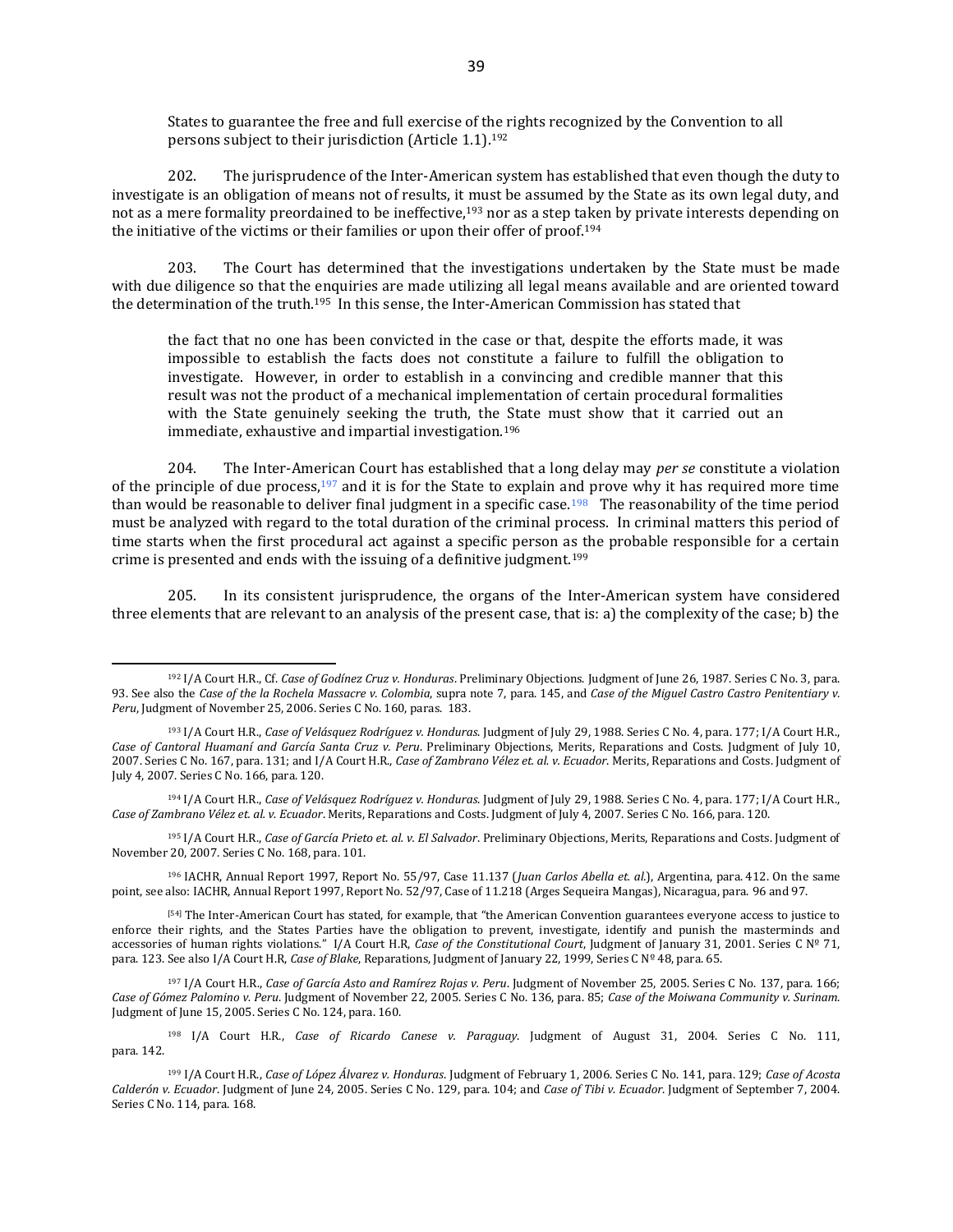States to guarantee the free and full exercise of the rights recognized by the Convention to all persons subject to their jurisdiction (Article 1.1).<sup>192</sup>

202. The jurisprudence of the Inter-American system has established that even though the duty to investigate is an obligation of means not of results, it must be assumed by the State as its own legal duty, and not as a mere formality preordained to be ineffective,<sup>193</sup> nor as a step taken by private interests depending on the initiative of the victims or their families or upon their offer of proof.<sup>194</sup>

203. The Court has determined that the investigations undertaken by the State must be made with due diligence so that the enquiries are made utilizing all legal means available and are oriented toward the determination of the truth.195 In this sense, the Inter-American Commission has stated that

the fact that no one has been convicted in the case or that, despite the efforts made, it was impossible to establish the facts does not constitute a failure to fulfill the obligation to investigate. However, in order to establish in a convincing and credible manner that this result was not the product of a mechanical implementation of certain procedural formalities with the State genuinely seeking the truth, the State must show that it carried out an immediate, exhaustive and impartial investigation.<sup>196</sup>

204. The Inter-American Court has established that a long delay may *per se* constitute a violation of the principle of due process, $197$  and it is for the State to explain and prove why it has required more time than would be reasonable to deliver final judgment in a specific case.<sup>198</sup> The reasonability of the time period must be analyzed with regard to the total duration of the criminal process. In criminal matters this period of time starts when the first procedural act against a specific person as the probable responsible for a certain crime is presented and ends with the issuing of a definitive judgment.<sup>199</sup>

205. In its consistent jurisprudence, the organs of the Inter-American system have considered three elements that are relevant to an analysis of the present case, that is: a) the complexity of the case; b) the

<sup>195</sup> I/A Court H.R., *Case of García Prieto et. al. v. El Salvador*. Preliminary Objections, Merits, Reparations and Costs. Judgment of November 20, 2007. Series C No. 168, para. 101.

<sup>196</sup> IACHR, Annual Report 1997, Report No. 55/97, Case 11.137 (*Juan Carlos Abella et. al.*), Argentina, para. 412. On the same point, see also: IACHR, Annual Report 1997, Report No. 52/97, Case of 11.218 (Arges Sequeira Mangas), Nicaragua, para. 96 and 97.

[\[54\]](http://www.cidh.oas.org/annualrep/2004sp/Brasil.11634.htm#_ftnref54) The Inter-American Court has stated, for example, that "the American Convention guarantees everyone access to justice to enforce their rights, and the States Parties have the obligation to prevent, investigate, identify and punish the masterminds and accessories of human rights violations." I/A Court H.R, *Case of the Constitutional Court*, Judgment of January 31, 2001. Series C Nº 71, para. 123. See also I/A Court H.R, *Case of Blake*, Reparations, Judgment of January 22, 1999, Series C Nº 48, para. 65.

<sup>197</sup> I/A Court H.R., *Case of García Asto and Ramírez Rojas v. Peru*. Judgment of November 25, 2005. Series C No. 137, para. 166; *Case of Gómez Palomino v. Peru*. Judgment of November 22, 2005. Series C No. 136, para. 85; *Case of the Moiwana Community v. Surinam*. Judgment of June 15, 2005. Series C No. 124, para. 160.

<sup>198</sup> I/A Court H.R., *Case of Ricardo Canese v. Paraguay*. Judgment of August 31, 2004. Series C No. 111, para. 142.

<sup>192</sup> I/A Court H.R., Cf. *Case of Godínez Cruz v. Honduras*. Preliminary Objections. Judgment of June 26, 1987. Series C No. 3, para. 93. See also the *Case of the la Rochela Massacre v. Colombia*, supra note 7, para. 145, and *Case of the Miguel Castro Castro Penitentiary v. Peru*, Judgment of November 25, 2006. Series C No. 160, paras. 183.

<sup>193</sup> I/A Court H.R., *Case of Velásquez Rodríguez v. Honduras*. Judgment of July 29, 1988. Series C No. 4, para. 177; I/A Court H.R., *Case of Cantoral Huamaní and García Santa Cruz v. Peru*. Preliminary Objections, Merits, Reparations and Costs. Judgment of July 10, 2007. Series C No. 167, para. 131; and I/A Court H.R., *Case of Zambrano Vélez et. al. v. Ecuador*. Merits, Reparations and Costs. Judgment of July 4, 2007. Series C No. 166, para. 120.

<sup>194</sup> I/A Court H.R., *Case of Velásquez Rodríguez v. Honduras*. Judgment of July 29, 1988. Series C No. 4, para. 177; I/A Court H.R., *Case of Zambrano Vélez et. al. v. Ecuador*. Merits, Reparations and Costs. Judgment of July 4, 2007. Series C No. 166, para. 120.

<sup>199</sup> I/A Court H.R., *Case of López Álvarez v. Honduras*. Judgment of February 1, 2006. Series C No. 141, para. 129; *Case of Acosta Calderón v. Ecuador*. Judgment of June 24, 2005. Series C No. 129, para. 104; and *Case of Tibi v. Ecuador*. Judgment of September 7, 2004. Series C No. 114, para. 168.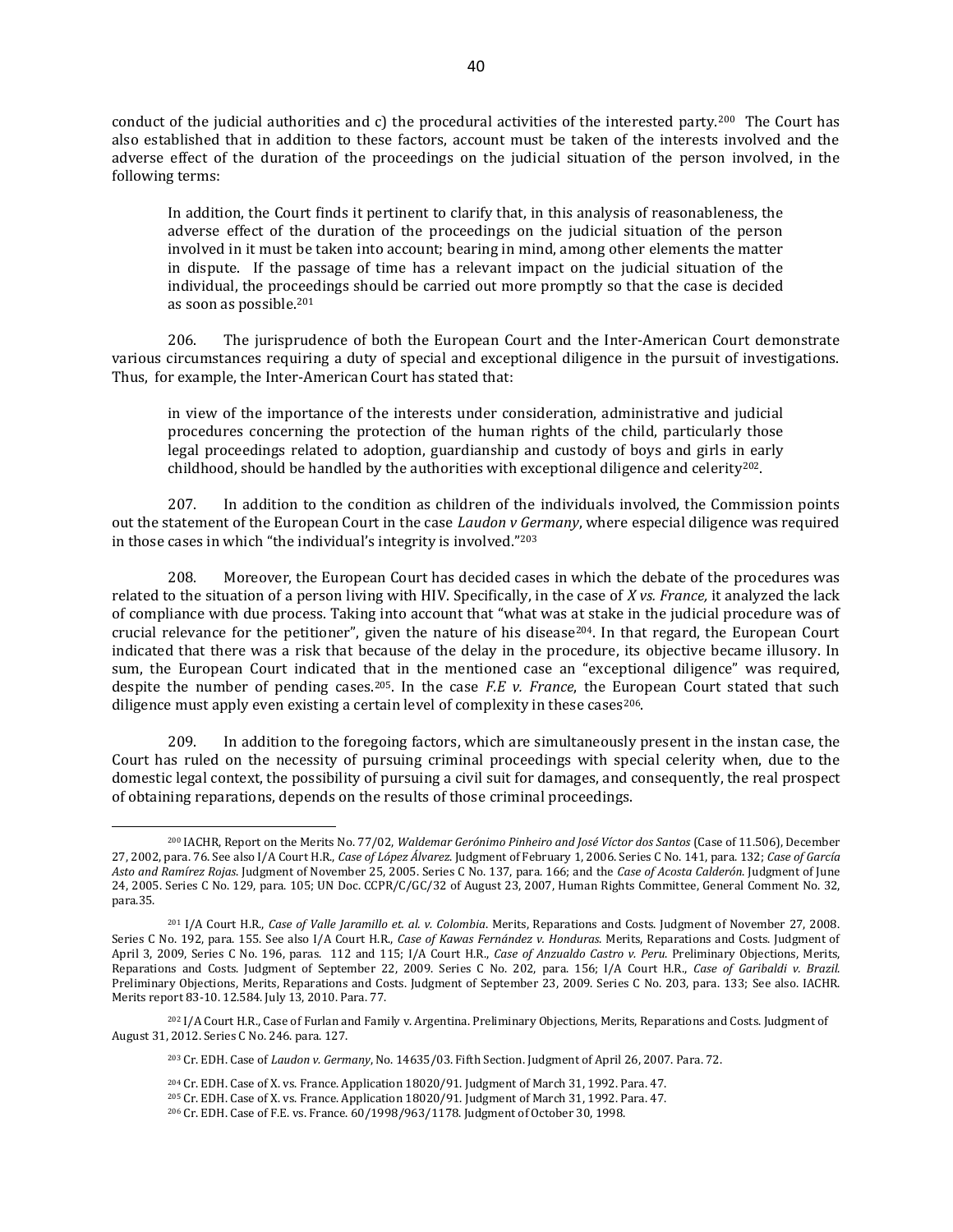conduct of the judicial authorities and c) the procedural activities of the interested party.200 The Court has also established that in addition to these factors, account must be taken of the interests involved and the adverse effect of the duration of the proceedings on the judicial situation of the person involved, in the following terms:

In addition, the Court finds it pertinent to clarify that, in this analysis of reasonableness, the adverse effect of the duration of the proceedings on the judicial situation of the person involved in it must be taken into account; bearing in mind, among other elements the matter in dispute. If the passage of time has a relevant impact on the judicial situation of the individual, the proceedings should be carried out more promptly so that the case is decided as soon as possible.<sup>201</sup>

206. The jurisprudence of both the European Court and the Inter-American Court demonstrate various circumstances requiring a duty of special and exceptional diligence in the pursuit of investigations. Thus, for example, the Inter-American Court has stated that:

in view of the importance of the interests under consideration, administrative and judicial procedures concerning the protection of the human rights of the child, particularly those legal proceedings related to adoption, guardianship and custody of boys and girls in early childhood, should be handled by the authorities with exceptional diligence and celerity $^{202}$ .

207. In addition to the condition as children of the individuals involved, the Commission points out the statement of the European Court in the case *Laudon v Germany*, where especial diligence was required in those cases in which "the individual's integrity is involved."<sup>203</sup>

208. Moreover, the European Court has decided cases in which the debate of the procedures was related to the situation of a person living with HIV. Specifically, in the case of *X vs. France,* it analyzed the lack of compliance with due process. Taking into account that "what was at stake in the judicial procedure was of crucial relevance for the petitioner", given the nature of his disease<sup>204</sup>. In that regard, the European Court indicated that there was a risk that because of the delay in the procedure, its objective became illusory. In sum, the European Court indicated that in the mentioned case an "exceptional diligence" was required, despite the number of pending cases.205. In the case *F.E v. France*, the European Court stated that such diligence must apply even existing a certain level of complexity in these cases $^{206}$ .

209. In addition to the foregoing factors, which are simultaneously present in the instan case, the Court has ruled on the necessity of pursuing criminal proceedings with special celerity when, due to the domestic legal context, the possibility of pursuing a civil suit for damages, and consequently, the real prospect of obtaining reparations, depends on the results of those criminal proceedings.

<sup>200</sup> IACHR, Report on the Merits No. 77/02, *Waldemar Gerónimo Pinheiro and José Víctor dos Santos* (Case of 11.506), December 27, 2002, para. 76. See also I/A Court H.R., *Case of López Álvarez*. Judgment of February 1, 2006. Series C No. 141, para. 132; *Case of García Asto and Ramírez Rojas*. Judgment of November 25, 2005. Series C No. 137, para. 166; and the *Case of Acosta Calderón*. Judgment of June 24, 2005. Series C No. 129, para. 105; UN Doc. CCPR/C/GC/32 of August 23, 2007, Human Rights Committee, General Comment No. 32, para.35.

<sup>201</sup> I/A Court H.R., *Case of Valle Jaramillo et. al. v. Colombia*. Merits, Reparations and Costs. Judgment of November 27, 2008. Series C No. 192, para. 155. See also I/A Court H.R., *Case of Kawas Fernández v. Honduras*. Merits, Reparations and Costs. Judgment of April 3, 2009, Series C No. 196, paras. 112 and 115; I/A Court H.R., *Case of Anzualdo Castro v. Peru*. Preliminary Objections, Merits, Reparations and Costs. Judgment of September 22, 2009. Series C No. 202, para. 156; I/A Court H.R., *Case of Garibaldi v. Brazil*. Preliminary Objections, Merits, Reparations and Costs. Judgment of September 23, 2009. Series C No. 203, para. 133; See also. IACHR. Merits report 83-10. 12.584. July 13, 2010. Para. 77.

<sup>202</sup> I/A Court H.R., Case of Furlan and Family v. Argentina. Preliminary Objections, Merits, Reparations and Costs. Judgment of August 31, 2012. Series C No. 246. para. 127.

<sup>203</sup> Cr. EDH. Case of *Laudon v. Germany*, No. 14635/03. Fifth Section. Judgment of April 26, 2007. Para. 72.

<sup>204</sup> Cr. EDH. Case of X. vs. France. Application 18020/91. Judgment of March 31, 1992. Para. 47.

<sup>205</sup> Cr. EDH. Case of X. vs. France. Application 18020/91. Judgment of March 31, 1992. Para. 47.

<sup>206</sup> Cr. EDH. Case of F.E. vs. France. 60/1998/963/1178. Judgment of October 30, 1998.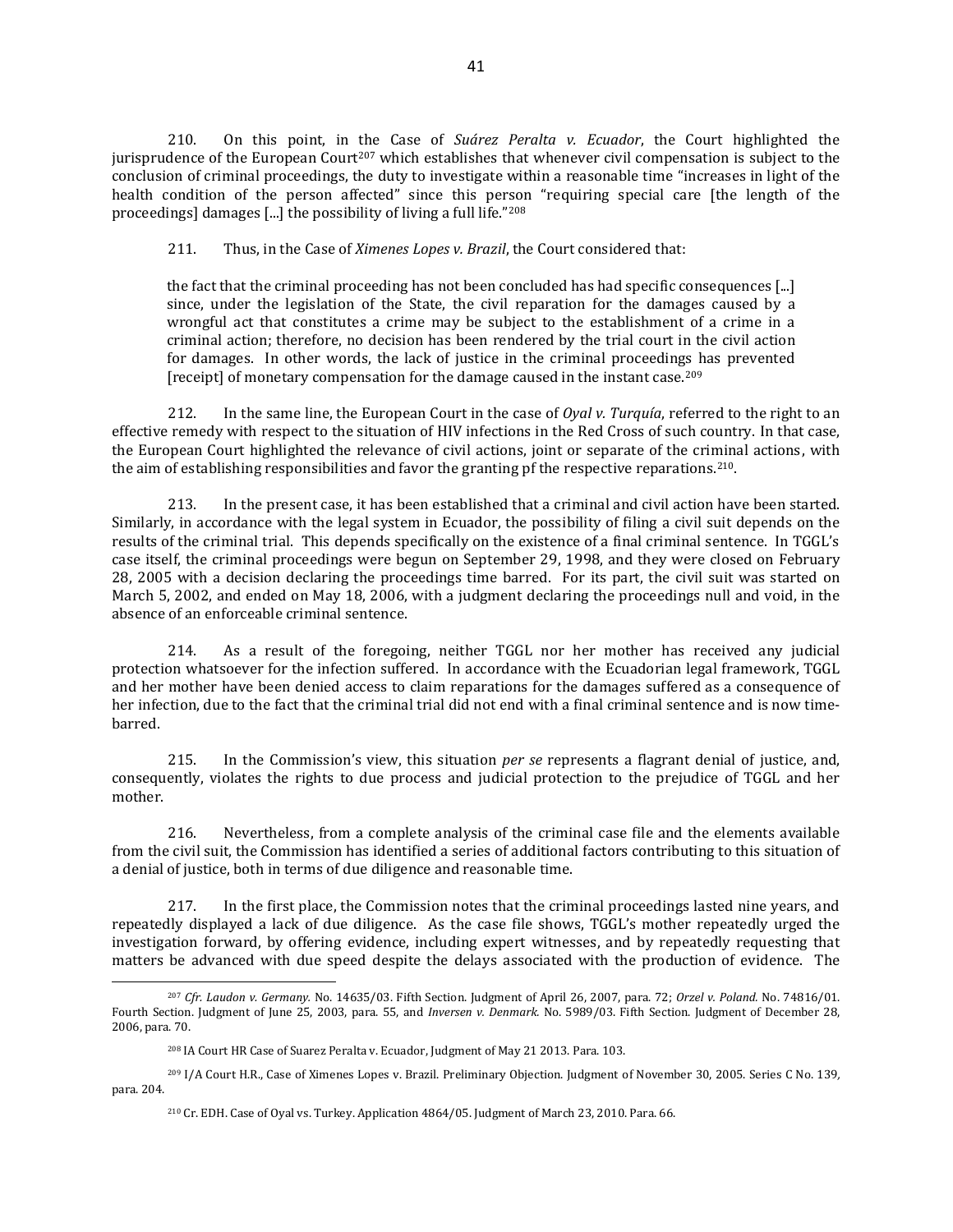210. On this point, in the Case of *Suárez Peralta v. Ecuador*, the Court highlighted the jurisprudence of the European Court<sup>207</sup> which establishes that whenever civil compensation is subject to the conclusion of criminal proceedings, the duty to investigate within a reasonable time "increases in light of the health condition of the person affected" since this person "requiring special care [the length of the proceedings] damages [...] the possibility of living a full life."<sup>208</sup>

211. Thus, in the Case of *Ximenes Lopes v. Brazil*, the Court considered that:

the fact that the criminal proceeding has not been concluded has had specific consequences [...] since, under the legislation of the State, the civil reparation for the damages caused by a wrongful act that constitutes a crime may be subject to the establishment of a crime in a criminal action; therefore, no decision has been rendered by the trial court in the civil action for damages. In other words, the lack of justice in the criminal proceedings has prevented [receipt] of monetary compensation for the damage caused in the instant case.<sup>209</sup>

212. In the same line, the European Court in the case of *Oyal v. Turquía*, referred to the right to an effective remedy with respect to the situation of HIV infections in the Red Cross of such country. In that case, the European Court highlighted the relevance of civil actions, joint or separate of the criminal actions, with the aim of establishing responsibilities and favor the granting pf the respective reparations.210.

213. In the present case, it has been established that a criminal and civil action have been started. Similarly, in accordance with the legal system in Ecuador, the possibility of filing a civil suit depends on the results of the criminal trial. This depends specifically on the existence of a final criminal sentence. In TGGL's case itself, the criminal proceedings were begun on September 29, 1998, and they were closed on February 28, 2005 with a decision declaring the proceedings time barred. For its part, the civil suit was started on March 5, 2002, and ended on May 18, 2006, with a judgment declaring the proceedings null and void, in the absence of an enforceable criminal sentence.

214. As a result of the foregoing, neither TGGL nor her mother has received any judicial protection whatsoever for the infection suffered. In accordance with the Ecuadorian legal framework, TGGL and her mother have been denied access to claim reparations for the damages suffered as a consequence of her infection, due to the fact that the criminal trial did not end with a final criminal sentence and is now timebarred.

215. In the Commission's view, this situation *per se* represents a flagrant denial of justice, and, consequently, violates the rights to due process and judicial protection to the prejudice of TGGL and her mother.

216. Nevertheless, from a complete analysis of the criminal case file and the elements available from the civil suit, the Commission has identified a series of additional factors contributing to this situation of a denial of justice, both in terms of due diligence and reasonable time.

217. In the first place, the Commission notes that the criminal proceedings lasted nine years, and repeatedly displayed a lack of due diligence. As the case file shows, TGGL's mother repeatedly urged the investigation forward, by offering evidence, including expert witnesses, and by repeatedly requesting that matters be advanced with due speed despite the delays associated with the production of evidence. The

<sup>207</sup> *Cfr. Laudon v. Germany.* No. 14635/03. Fifth Section. Judgment of April 26, 2007, para. 72; *Orzel v. Poland.* No. 74816/01. Fourth Section. Judgment of June 25, 2003, para. 55, and *Inversen v. Denmark.* No. 5989/03. Fifth Section. Judgment of December 28, 2006, para. 70.

<sup>208</sup> IA Court HR Case of Suarez Peralta v. Ecuador, Judgment of May 21 2013. Para. 103.

<sup>209</sup> I/A Court H.R., Case of Ximenes Lopes v. Brazil. Preliminary Objection. Judgment of November 30, 2005. Series C No. 139*,* para. 204.

<sup>210</sup> Cr. EDH. Case of Oyal vs. Turkey. Application 4864/05. Judgment of March 23, 2010. Para. 66.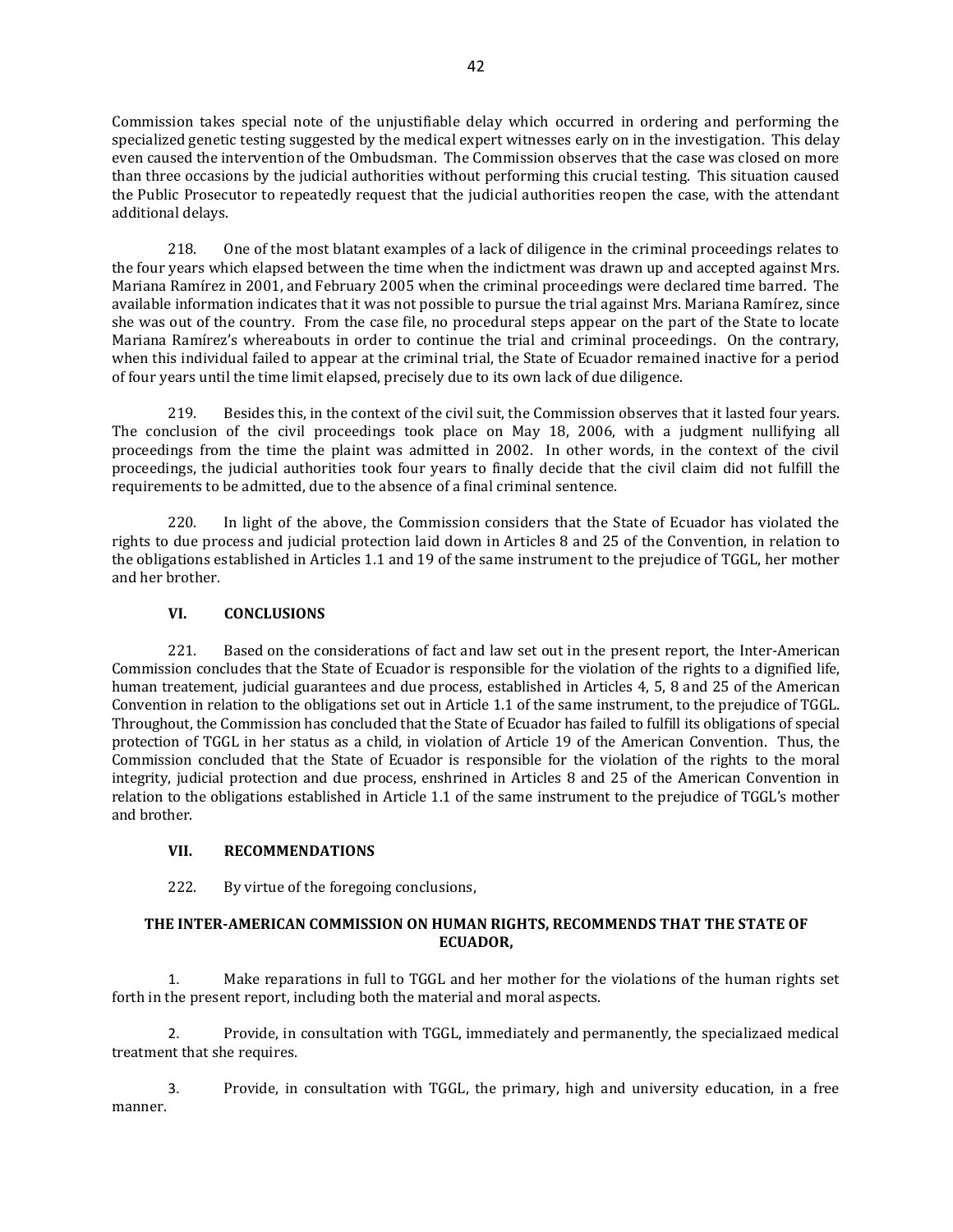Commission takes special note of the unjustifiable delay which occurred in ordering and performing the specialized genetic testing suggested by the medical expert witnesses early on in the investigation. This delay even caused the intervention of the Ombudsman. The Commission observes that the case was closed on more than three occasions by the judicial authorities without performing this crucial testing. This situation caused the Public Prosecutor to repeatedly request that the judicial authorities reopen the case, with the attendant additional delays.

218. One of the most blatant examples of a lack of diligence in the criminal proceedings relates to the four years which elapsed between the time when the indictment was drawn up and accepted against Mrs. Mariana Ramírez in 2001, and February 2005 when the criminal proceedings were declared time barred. The available information indicates that it was not possible to pursue the trial against Mrs. Mariana Ramírez, since she was out of the country. From the case file, no procedural steps appear on the part of the State to locate Mariana Ramírez's whereabouts in order to continue the trial and criminal proceedings. On the contrary, when this individual failed to appear at the criminal trial, the State of Ecuador remained inactive for a period of four years until the time limit elapsed, precisely due to its own lack of due diligence.

219. Besides this, in the context of the civil suit, the Commission observes that it lasted four years. The conclusion of the civil proceedings took place on May 18, 2006, with a judgment nullifying all proceedings from the time the plaint was admitted in 2002. In other words, in the context of the civil proceedings, the judicial authorities took four years to finally decide that the civil claim did not fulfill the requirements to be admitted, due to the absence of a final criminal sentence.

220. In light of the above, the Commission considers that the State of Ecuador has violated the rights to due process and judicial protection laid down in Articles 8 and 25 of the Convention, in relation to the obligations established in Articles 1.1 and 19 of the same instrument to the prejudice of TGGL, her mother and her brother.

# **VI. CONCLUSIONS**

221. Based on the considerations of fact and law set out in the present report, the Inter-American Commission concludes that the State of Ecuador is responsible for the violation of the rights to a dignified life, human treatement, judicial guarantees and due process, established in Articles 4, 5, 8 and 25 of the American Convention in relation to the obligations set out in Article 1.1 of the same instrument, to the prejudice of TGGL. Throughout, the Commission has concluded that the State of Ecuador has failed to fulfill its obligations of special protection of TGGL in her status as a child, in violation of Article 19 of the American Convention. Thus, the Commission concluded that the State of Ecuador is responsible for the violation of the rights to the moral integrity, judicial protection and due process, enshrined in Articles 8 and 25 of the American Convention in relation to the obligations established in Article 1.1 of the same instrument to the prejudice of TGGL's mother and brother.

# **VII. RECOMMENDATIONS**

222. By virtue of the foregoing conclusions,

# **THE INTER-AMERICAN COMMISSION ON HUMAN RIGHTS, RECOMMENDS THAT THE STATE OF ECUADOR,**

1. Make reparations in full to TGGL and her mother for the violations of the human rights set forth in the present report, including both the material and moral aspects.

2. Provide, in consultation with TGGL, immediately and permanently, the specializaed medical treatment that she requires.

3. Provide, in consultation with TGGL, the primary, high and university education, in a free manner.